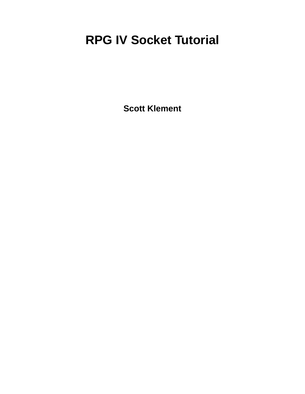# **RPG IV Socket Tutorial**

**Scott Klement**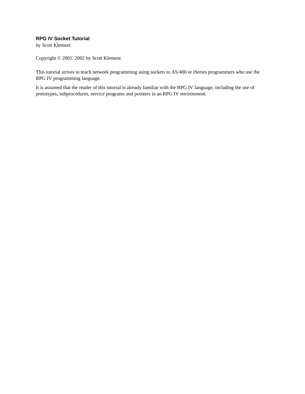#### **RPG IV Socket Tutorial**

by Scott Klement

Copyright © 2001, 2002 by Scott Klement

This tutorial strives to teach network programming using sockets to AS/400 or iSeries programmers who use the RPG IV programming language.

It is assumed that the reader of this tutorial is already familiar with the RPG IV language, including the use of prototypes, subprocedures, service programs and pointers in an RPG IV environment.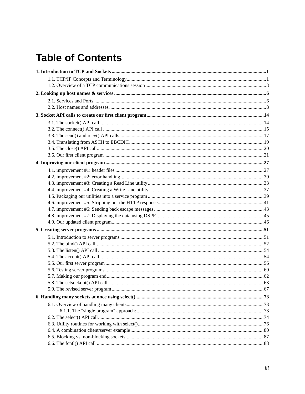## **Table of Contents**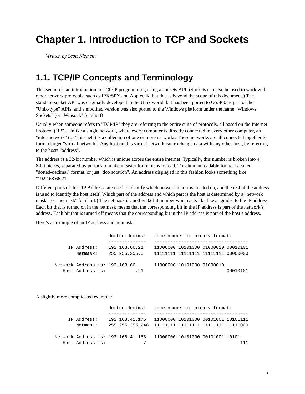### <span id="page-4-0"></span>**Chapter 1. Introduction to TCP and Sockets**

<span id="page-4-1"></span>*Written by Scott Klement.*

#### **1.1. TCP/IP Concepts and Terminology**

This section is an introduction to TCP/IP programming using a sockets API. (Sockets can also be used to work with other network protocols, such as IPX/SPX and Appletalk, but that is beyond the scope of this document.) The standard socket API was originally developed in the Unix world, but has been ported to OS/400 as part of the "Unix-type" APIs, and a modified version was also ported to the Windows platform under the name "Windows Sockets" (or "Winsock" for short)

Usually when someone refers to "TCP/IP" they are referring to the entire suite of protocols, all based on the Internet Protocol ("IP"). Unlike a single network, where every computer is directly connected to every other computer, an "inter-network" (or "internet") is a collection of one or more networks. These networks are all connected together to form a larger "virtual network". Any host on this virtual network can exchange data with any other host, by referring to the hosts "address".

The address is a 32-bit number which is unique across the entire internet. Typically, this number is broken into 4 8-bit pieces, separated by periods to make it easier for humans to read. This human readable format is called "dotted-decimal" format, or just "dot-notation". An address displayed in this fashion looks something like "192.168.66.21".

Different parts of this "IP Address" are used to identify which network a host is located on, and the rest of the address is used to identify the host itself. Which part of the address and which part is the host is determined by a "network mask" (or "netmask" for short.) The netmask is another 32-bit number which acts like like a "guide" to the IP address. Each bit that is turned on in the netmask means that the corresponding bit in the IP address is part of the network's address. Each bit that is turned off means that the corresponding bit in the IP address is part of the host's address.

Here's an example of an IP address and netmask:

|                                | dotted-decimal | same number in binary format:       |          |
|--------------------------------|----------------|-------------------------------------|----------|
|                                |                |                                     |          |
| IP Address:                    | 192.168.66.21  | 11000000 10101000 01000010 00010101 |          |
| Netmask:                       | 255.255.255.0  | 11111111 11111111 11111111 00000000 |          |
| Network Address is: 192.168.66 |                | 11000000 10101000 01000010          |          |
| Host Address is:               | .21            |                                     | 00010101 |

A slightly more complicated example:

|                  | dotted-decimal same number in binary format:                          |
|------------------|-----------------------------------------------------------------------|
|                  |                                                                       |
| IP Address:      | 192.168.41.175    11000000    10101000    00101001    10101111        |
| Netmask:         |                                                                       |
|                  | Network Address is: 192.168.41.168   11000000 10101000 00101001 10101 |
| Host Address is: |                                                                       |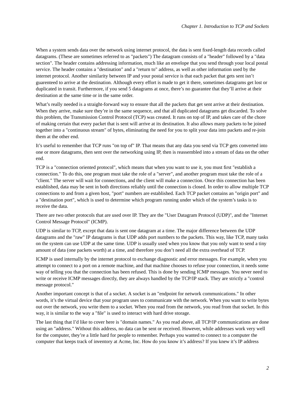When a system sends data over the network using internet protocol, the data is sent fixed-length data records called datagrams. (These are sometimes referred to as "packets") The datagram consists of a "header" followed by a "data section". The header contains addressing information, much like an envelope that you send through your local postal service. The header contains a "destination" and a "return to" address, as well as other information used by the internet protocol. Another similarity between IP and your postal service is that each packet that gets sent isn't guarenteed to arrive at the destination. Although every effort is made to get it there, sometimes datagrams get lost or duplicated in transit. Furthermore, if you send 5 datagrams at once, there's no guarantee that they'll arrive at their destination at the same time or in the same order.

What's really needed is a straight-forward way to ensure that all the packets that get sent arrive at their destination. When they arrive, make sure they're in the same sequence, and that all duplicated datagrams get discarded. To solve this problem, the Transmission Control Protocol (TCP) was created. It runs on top of IP, and takes care of the chore of making certain that every packet that is sent will arrive at its destination. It also allows many packets to be joined together into a "continuous stream" of bytes, eliminating the need for you to split your data into packets and re-join them at the other end.

It's useful to remember that TCP runs "on top of" IP. That means that any data you send via TCP gets converted into one or more datagrams, then sent over the networking using IP, then is reassembled into a stream of data on the other end.

TCP is a "connection oriented protocol", which means that when you want to use it, you must first "establish a connection." To do this, one program must take the role of a "server", and another program must take the role of a "client." The server will wait for connections, and the client will make a connection. Once this connection has been established, data may be sent in both directions reliably until the connection is closed. In order to allow multiple TCP connections to and from a given host, "port" numbers are established. Each TCP packet contains an "origin port" and a "destination port", which is used to determine which program running under which of the system's tasks is to receive the data.

There are two other protocols that are used over IP. They are the "User Datagram Protocol (UDP)", and the "Internet Control Message Protocol" (ICMP).

UDP is similar to TCP, except that data is sent one datagram at a time. The major difference between the UDP datagrams and the "raw" IP datagrams is that UDP adds port numbers to the packets. This way, like TCP, many tasks on the system can use UDP at the same time. UDP is usually used when you know that you only want to send a tiny amount of data (one packets worth) at a time, and therefore you don't need all the extra overhead of TCP.

ICMP is used internally by the internet protocol to exchange diagnostic and error messages. For example, when you attempt to connect to a port on a remote machine, and that machine chooses to refuse your connection, it needs some way of telling you that the connection has been refused. This is done by sending ICMP messages. You never need to write or receive ICMP messages directly, they are always handled by the TCP/IP stack. They are strictly a "control message protocol."

Another important concept is that of a socket. A socket is an "endpoint for network communications." In other words, it's the virtual device that your program uses to communicate with the network. When you want to write bytes out over the network, you write them to a socket. When you read from the network, you read from that socket. In this way, it is similar to the way a "file" is used to interact with hard drive storage.

The last thing that I'd like to cover here is "domain names." As you read above, all TCP/IP communications are done using an "address." Without this address, no data can be sent or received. However, while addresses work very well for the computer, they're a little hard for people to remember. Perhaps you wanted to connect to a computer the computer that keeps track of inventory at Acme, Inc. How do you know it's address? If you knew it's IP address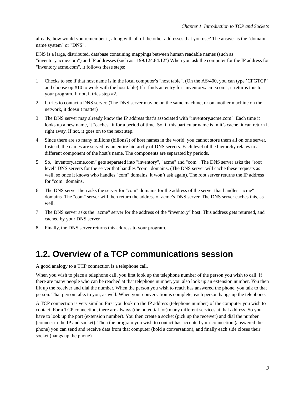already, how would you remember it, along with all of the other addresses that you use? The answer is the "domain name system" or "DNS".

DNS is a large, distributed, database containing mappings between human readable names (such as "inventory.acme.com") and IP addresses (such as "199.124.84.12") When you ask the computer for the IP address for "inventory.acme.com", it follows these steps:

- 1. Checks to see if that host name is in the local computer's "host table". (On the AS/400, you can type 'CFGTCP' and choose opt#10 to work with the host table) If it finds an entry for "inventory.acme.com", it returns this to your program. If not, it tries step #2.
- 2. It tries to contact a DNS server. (The DNS server may be on the same machine, or on another machine on the network, it doesn't matter)
- 3. The DNS server may already know the IP address that's associated with "inventory.acme.com". Each time it looks up a new name, it "caches" it for a period of time. So, if this particular name is in it's cache, it can return it right away. If not, it goes on to the next step.
- 4. Since there are so many millions (billons?) of host names in the world, you cannot store them all on one server. Instead, the names are served by an entire hierarchy of DNS servers. Each level of the hierarchy relates to a different component of the host's name. The components are separated by periods.
- 5. So, "inventory.acme.com" gets separated into "inventory", "acme" and "com". The DNS server asks the "root level" DNS servers for the server that handles "com" domains. (The DNS server will cache these requests as well, so once it knows who handles "com" domains, it won't ask again). The root server returns the IP address for "com" domains.
- 6. The DNS server then asks the server for "com" domains for the address of the server that handles "acme" domains. The "com" server will then return the address of acme's DNS server. The DNS server caches this, as well.
- 7. The DNS server asks the "acme" server for the address of the "inventory" host. This address gets returned, and cached by your DNS server.
- <span id="page-6-0"></span>8. Finally, the DNS server returns this address to your program.

#### **1.2. Overview of a TCP communications session**

A good analogy to a TCP connection is a telephone call.

When you wish to place a telephone call, you first look up the telephone number of the person you wish to call. If there are many people who can be reached at that telephone number, you also look up an extension number. You then lift up the receiver and dial the number. When the person you wish to reach has answered the phone, you talk to that person. That person talks to you, as well. When your conversation is complete, each person hangs up the telephone.

A TCP connection is very similar. First you look up the IP address (telephone number) of the computer you wish to contact. For a TCP connection, there are always (the potential for) many different services at that address. So you have to look up the port (extension number). You then create a socket (pick up the receiver) and dial the number (connect to the IP and socket). Then the program you wish to contact has accepted your connection (answered the phone) you can send and receive data from that computer (hold a conversation), and finally each side closes their socket (hangs up the phone).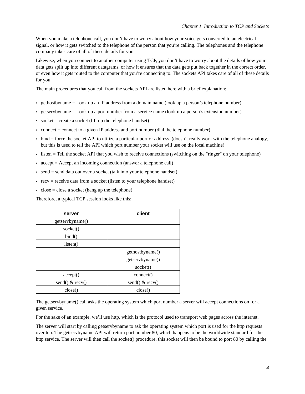When you make a telephone call, you don't have to worry about how your voice gets converted to an electrical signal, or how it gets switched to the telephone of the person that you're calling. The telephones and the telephone company takes care of all of these details for you.

Likewise, when you connect to another computer using TCP, you don't have to worry about the details of how your data gets split up into different datagrams, or how it ensures that the data gets put back together in the correct order, or even how it gets routed to the computer that you're connecting to. The sockets API takes care of all of these details for you.

The main procedures that you call from the sockets API are listed here with a brief explanation:

- $\bullet$  gethostbyname = Look up an IP address from a domain name (look up a person's telephone number)
- $\bullet$  getservbyname = Look up a port number from a service name (look up a person's extension number)
- socket  $=$  create a socket (lift up the telephone handset)
- $\bullet$  connect = connect to a given IP address and port number (dial the telephone number)
- bind = force the socket API to utilize a particular port or address. (doesn't really work with the telephone analogy, but this is used to tell the API which port number your socket will use on the local machine)
- listen = Tell the socket API that you wish to receive connections (switching on the "ringer" on your telephone)
- accept = Accept an incoming connection (answer a telephone call)
- $\bullet$  send = send data out over a socket (talk into your telephone handset)
- $\bullet$  recv = receive data from a socket (listen to your telephone handset)
- $\cdot$  close = close a socket (hang up the telephone)

Therefore, a typical TCP session looks like this:

| server          | client            |
|-----------------|-------------------|
| getservbyname() |                   |
| socket()        |                   |
| bind()          |                   |
| listen()        |                   |
|                 | gethostbyname()   |
|                 | getservbyname()   |
|                 | socket()          |
| accept()        | connect()         |
| send() & recv() | send() $&$ recv() |
| close()         | close()           |

The getservbyname() call asks the operating system which port number a server will accept connections on for a given service.

For the sake of an example, we'll use http, which is the protocol used to transport web pages across the internet.

The server will start by calling getservbyname to ask the operating system which port is used for the http requests over tcp. The getservbyname API will return port number 80, which happens to be the worldwide standard for the http service. The server will then call the socket() procedure, this socket will then be bound to port 80 by calling the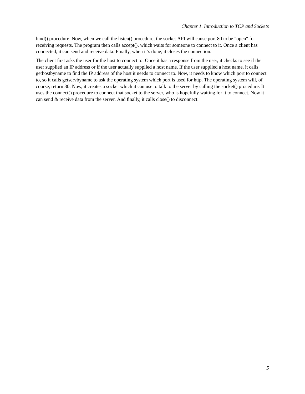bind() procedure. Now, when we call the listen() procedure, the socket API will cause port 80 to be "open" for receiving requests. The program then calls accept(), which waits for someone to connect to it. Once a client has connected, it can send and receive data. Finally, when it's done, it closes the connection.

The client first asks the user for the host to connect to. Once it has a response from the user, it checks to see if the user supplied an IP address or if the user actually supplied a host name. If the user supplied a host name, it calls gethostbyname to find the IP address of the host it needs to connect to. Now, it needs to know which port to connect to, so it calls getservbyname to ask the operating system which port is used for http. The operating system will, of course, return 80. Now, it creates a socket which it can use to talk to the server by calling the socket() procedure. It uses the connect() procedure to connect that socket to the server, who is hopefully waiting for it to connect. Now it can send & receive data from the server. And finally, it calls close() to disconnect.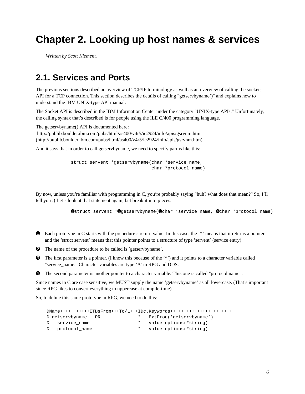### <span id="page-9-0"></span>**Chapter 2. Looking up host names & services**

<span id="page-9-1"></span>*Written by Scott Klement.*

#### **2.1. Services and Ports**

The previous sections described an overview of TCP/IP terminology as well as an overview of calling the sockets API for a TCP connection. This section describes the details of calling "getservbyname()" and explains how to understand the IBM UNIX-type API manual.

The Socket API is described in the IBM Information Center under the category "UNIX-type APIs." Unfortunately, the calling syntax that's described is for people using the ILE C/400 programming language.

The getservbyname() API is documented here: http://publib.boulder.ibm.com/pubs/html/as400/v4r5/ic2924/info/apis/gsrvnm.htm (http://publib.boulder.ibm.com/pubs/html/as400/v4r5/ic2924/info/apis/gsrvnm.htm)

And it says that in order to call getservbyname, we need to specify parms like this:

struct servent \*getservbyname(char \*service\_name, char \*protocol\_name)

By now, unless you're familiar with programming in C, you're probably saying "huh? what does that mean?" So, I'll tell you :) Let's look at that statement again, but break it into pieces:

➊struct servent \*➋getservbyname(➌char \*service\_name, ➍char \*protocol\_name)

- ➊ Each prototype in C starts with the prcoedure's return value. In this case, the '\*' means that it returns a pointer, and the 'struct servent' means that this pointer points to a structure of type 'servent' (service entry).
- ➋ The name of the procedure to be called is 'getservbyname'.
- ➌ The first parameter is a pointer. (I know this because of the '\*') and it points to a character variable called "service\_name." Character variables are type 'A' in RPG and DDS.
- ➍ The second parameter is another pointer to a character variable. This one is called "protocol name".

Since names in C are case sensitive, we MUST supply the name 'getservbyname' as all lowercase. (That's important since RPG likes to convert everything to uppercase at compile-time).

So, to define this same prototype in RPG, we need to do this:

| DName+++++++++++ETDsFrom+++To/L+++IDc.Keywords+++++++++++++++++++++++++++++++++++ |           |         |                           |  |  |  |  |
|-----------------------------------------------------------------------------------|-----------|---------|---------------------------|--|--|--|--|
| D getservbyname                                                                   | <b>PR</b> | $\star$ | ExtProc('qetservbyname')  |  |  |  |  |
| D service name                                                                    |           |         | * value options (*string) |  |  |  |  |
| D protocol name                                                                   |           |         | * value options (*string) |  |  |  |  |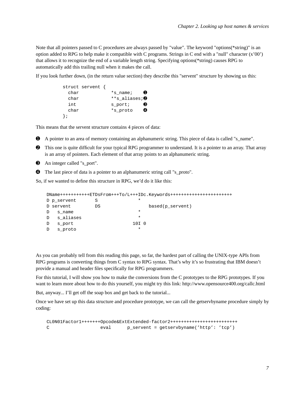Note that all pointers passed to C procedures are always passed by "value". The keyword "options(\*string)" is an option added to RPG to help make it compatible with C programs. Strings in C end with a "null" character (x'00') that allows it to recognize the end of a variable length string. Specifying options(\*string) causes RPG to automatically add this trailing null when it makes the call.

If you look further down, (in the return value section) they describe this "servent" structure by showing us this:

```
struct servent {
 char *s_name; \bulletchar **s_aliases; 0
 int s_port; \qquad \qquad \bulletchar *s_proto \bullet};
```
This means that the servent structure contains 4 pieces of data:

- ➊ A pointer to an area of memory containing an alphanumeric string. This piece of data is called "s\_name".
- ➋ This one is quite difficult for your typical RPG programmer to understand. It is a pointer to an array. That array is an array of pointers. Each element of that array points to an alphanumeric string.
- ➌ An integer called "s\_port".
- ➍ The last piece of data is a pointer to an alphanumeric string call "s\_proto".

So, if we wanted to define this structure in RPG, we'd do it like this:

```
DName+++++++++++ETDsFrom+++To/L+++IDc.Keywords+++++++++++++++++++++++
D p_servent S *
D servent DS based(p_servent)
D s_name
D s_aliases *
D sport 10I 0
D s_proto *
```
As you can probably tell from this reading this page, so far, the hardest part of calling the UNIX-type APIs from RPG programs is converting things from C syntax to RPG syntax. That's why it's so frustrating that IBM doesn't provide a manual and header files specifically for RPG programmers.

For this tutorial, I will show you how to make the conversions from the C prototypes to the RPG prototypes. If you want to learn more about how to do this yourself, you might try this link: http://www.opensource400.org/callc.html

But, anyway... I'll get off the soap box and get back to the tutorial...

Once we have set up this data structure and procedure prototype, we can call the getservbyname procedure simply by coding:

```
CL0N01Factor1+++++++Opcode&ExtExtended-factor2+++++++++++++++++++++++++
C eval p_servent = getservbyname('http': 'tcp')
```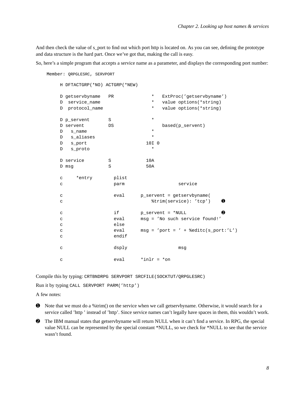And then check the value of s\_port to find out which port http is located on. As you can see, defining the prototype and data structure is the hard part. Once we've got that, making the call is easy.

So, here's a simple program that accepts a service name as a parameter, and displays the corresponding port number:

```
Member: QRPGLESRC, SERVPORT
  H DFTACTGRP(*NO) ACTGRP(*NEW)
  D getservbyname PR * ExtProc('getservbyname')
  D service_name \bullet * value options(*string)
  D protocol_name * value options(*string)
  D p_servent S *
  D servent DS based(p_servent)
  D s name *D s_aliases * *
  D sport 10I 0
  D s_proto *
  D service S 3 10A
  D msg S 50A
  c *entry plist
  c parm parm service
  c eval p_servent = getservbyname(
  c \texttt{trim}(\texttt{service}): 'top') 
O
  c if p_servent = *NULL ➋
  c eval msg = 'No such service found!'
  c else
  c eval msg = 'port = ' + %editc(s_port:'L')
  c endif
  c dsply msg
  c \alpha eval \alpha \alpha \alpha \alpha
```
Compile this by typing: CRTBNDRPG SERVPORT SRCFILE(SOCKTUT/QRPGLESRC)

Run it by typing CALL SERVPORT PARM('http')

A few notes:

- ➊ Note that we must do a %trim() on the service when we call getservbyname. Otherwise, it would search for a service called 'http ' instead of 'http'. Since service names can't legally have spaces in them, this wouldn't work.
- <span id="page-11-0"></span>➋ The IBM manual states that getservbyname will return NULL when it can't find a service. In RPG, the special value NULL can be represented by the special constant \*NULL, so we check for \*NULL to see that the service wasn't found.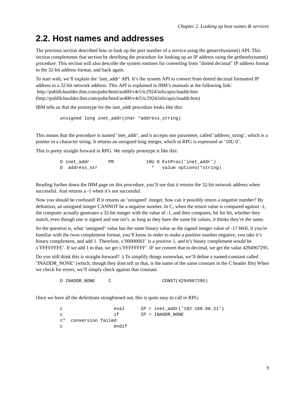#### **2.2. Host names and addresses**

The previous section described how to look up the port number of a service using the getservbyname() API. This section complements that section by desribing the procedure for looking up an IP address using the gethostbyname() procedure. This section will also describe the system routines for converting from "dotted decimal" IP address format to the 32-bit address format, and back again.

To start with, we'll explain the 'inet addr' API. It's the system API to convert from dotted decimal formatted IP address to a 32-bit network address. This API is explained in IBM's manuals at the following link: http://publib.boulder.ibm.com/pubs/html/as400/v4r5/ic2924/info/apis/inaddr.htm (http://publib.boulder.ibm.com/pubs/html/as400/v4r5/ic2924/info/apis/inaddr.htm)

IBM tells us that the prototype for the inet\_addr procedure looks like this:

unsigned long inet\_addr(char \*address\_string)

This means that the procedure is named 'inet addr', and it accepts one parameter, called 'address string', which is a pointer to a character string. It returns an unsigned long integer, which in RPG is expressed as '10U 0'.

This is pretty straight forward in RPG. We simply prototype it like this:

| D inet addr   | PR |  | 100 0 ExtProc('inet addr') |
|---------------|----|--|----------------------------|
| D address str |    |  | value options (*string)    |

Reading further down the IBM page on this procedure, you'll see that it returns the 32-bit network address when successful. And returns a -1 when it's not successful.

Now you should be confused! If it returns an 'unsigned' integer, how can it possibly return a negative number? By definition, an unsigned integer CANNOT be a negative number. In C, when the return value is compared against -1, the computer actually generates a 32-bit integer with the value of -1, and then compares, bit for bit, whether they match, even though one is signed and one isn't, as long as they have the same bit values, it thinks they're the same.

So the question is, what 'unsigned' value has the same binary value as the signed integer value of -1? Well, if you're familiar with the twos complement format, you'll know in order to make a positive number negative, you take it's binary complement, and add 1. Therefore, x'00000001' is a positive 1, and it's binary complement would be x'FFFFFFFE'. If we add 1 to that, we get x'FFFFFFFF'. IF we convert that to decimal, we get the value 4294967295.

Do you still think this is straight-forward? :) To simplify things somewhat, we'll define a named-constant called 'INADDR\_NONE' (which, though they dont tell us that, is the name of the same constant in the C header file) When we check for errors, we'll simply check against that constant.

D INADDR NONE C CONST(4294967295)

Once we have all the definitions straightened out, this is quite easy to call in RPG:

c eval IP = inet\_addr('192.168.66.21') c if  $IP = INADDR\text{ }NONE$ c\* conversion failed c endif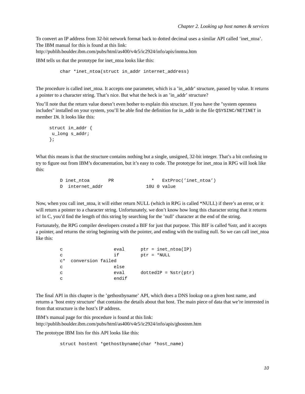To convert an IP address from 32-bit network format back to dotted decimal uses a similar API called 'inet\_ntoa'. The IBM manual for this is found at this link:

http://publib.boulder.ibm.com/pubs/html/as400/v4r5/ic2924/info/apis/inntoa.htm

IBM tells us that the prototype for inet\_ntoa looks like this:

char \*inet\_ntoa(struct in\_addr internet\_address)

The procedure is called inet\_ntoa. It accepts one parameter, which is a 'in\_addr' structure, passed by value. It returns a pointer to a character string. That's nice. But what the heck is an 'in\_addr' structure?

You'll note that the return value doesn't even bother to explain this structure. If you have the "system openness" includes" installed on your system, you'll be able find the definition for in\_addr in the file QSYSINC/NETINET in member IN. It looks like this:

```
struct in_addr {
 u_long s_addr;
};
```
What this means is that the structure contains nothing but a single, unsigned, 32-bit integer. That's a bit confusing to try to figure out from IBM's documentation, but it's easy to code. The prototype for inet\_ntoa in RPG will look like this:

```
D inet_ntoa PR * ExtProc('inet_ntoa')
D internet addr 10U 0 value
```
Now, when you call inet ntoa, it will either return NULL (which in RPG is called \*NULL) if there's an error, or it will return a pointer to a character string. Unfortunately, we don't know how long this character string that it returns is! In C, you'd find the length of this string by searching for the 'null' character at the end of the string.

Fortunately, the RPG compiler developers created a BIF for just that purpose. This BIF is called %str, and it accepts a pointer, and returns the string beginning with the pointer, and ending with the trailing null. So we can call inet\_ntoa like this:

```
c eval ptr = inet_ntoa(IP)
c if ptr = *NULL
c* conversion failed
c else
c eval dottedIP = %str(ptr)
c endif
```
The final API in this chapter is the 'gethostbyname' API, which does a DNS lookup on a given host name, and returns a 'host entry structure' that contains the details about that host. The main piece of data that we're interested in from that structure is the host's IP address.

IBM's manual page for this procedure is found at this link: http://publib.boulder.ibm.com/pubs/html/as400/v4r5/ic2924/info/apis/ghostnm.htm

The prototype IBM lists for this API looks like this:

```
struct hostent *gethostbyname(char *host_name)
```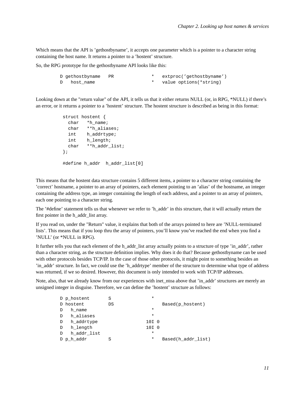Which means that the API is 'gethostbyname', it accepts one parameter which is a pointer to a character string containing the host name. It returns a pointer to a 'hostent' structure.

So, the RPG prototype for the gethostbyname API looks like this:

|              | D gethostbyname PR |  | extproc('qethostbyname') |
|--------------|--------------------|--|--------------------------|
| $\mathbb{D}$ | host name          |  | value options(*string)   |

Looking down at the "return value" of the API, it tells us that it either returns NULL (or, in RPG, \*NULL) if there's an error, or it returns a pointer to a 'hostent' structure. The hostent structure is described as being in this format:

```
struct hostent {
 char *h_name;
 char **h_aliases;
 int h_addrtype;
 int h_length;
 char **h_addr_list;
};
#define h_addr h_addr_list[0]
```
This means that the hostent data structure contains 5 different items, a pointer to a character string containing the 'correct' hostname, a pointer to an array of pointers, each element pointing to an 'alias' of the hostname, an integer containing the address type, an integer containing the length of each address, and a pointer to an array of pointers, each one pointing to a character string.

The '#define' statement tells us that whenever we refer to 'h\_addr' in this structure, that it will actually return the first pointer in the h\_addr\_list array.

If you read on, under the "Return" value, it explains that both of the arrays pointed to here are 'NULL-terminated lists'. This means that if you loop thru the array of pointers, you'll know you've reached the end when you find a 'NULL' (or \*NULL in RPG).

It further tells you that each element of the h\_addr\_list array actually points to a structure of type 'in\_addr', rather than a character string, as the structure definition implies. Why does it do that? Because gethostbyname can be used with other protocols besides TCP/IP. In the case of those other protocols, it might point to something besides an 'in\_addr' structure. In fact, we could use the 'h\_addrtype' member of the structure to determine what type of address was returned, if we so desired. However, this document is only intended to work with TCP/IP addresses.

Note, also, that we already know from our experiences with inet\_ntoa above that 'in\_addr' structures are merely an unsigned integer in disguise. Therefore, we can define the 'hostent' structure as follows:

|   | D p hostent | S  | $\star$          |                    |
|---|-------------|----|------------------|--------------------|
|   | D hostent   | DS |                  | Based(p_hostent)   |
| D | h name      |    | $\ast$           |                    |
| D | h aliases   |    | $\ast$           |                    |
| D | h addrtype  |    | 10I 0            |                    |
| D | h length    |    | 10I <sub>0</sub> |                    |
| D | h addr list |    | $\star$          |                    |
|   | D p h addr  | S  | $\ast$           | Based(h addr list) |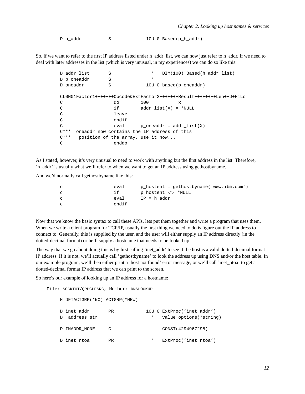D h\_addr S 10U 0 Based(p\_h\_addr)

So, if we want to refer to the first IP address listed under h\_addr\_list, we can now just refer to h\_addr. If we need to deal with later addresses in the list (which is very unusual, in my experiences) we can do so like this:

```
D addr list S * DIM(100) Based(h addr list)
D p_oneaddr S
D oneaddr S 10U 0 based(p_oneaddr)
CL0N01Factor1+++++++Opcode&ExtFactor2+++++++Result++++++++Len++D+HiLo
C do 100 x
C if addr_list(X) = *NULL
C leave
C endif
C eval p\_oneaddr = addr\_list(X)C*** oneaddr now contains the IP address of this
C*** position of the array, use it now...
C enddo
```
As I stated, however, it's very unusual to need to work with anything but the first address in the list. Therefore, 'h\_addr' is usually what we'll refer to when we want to get an IP address using gethostbyname.

And we'd normally call gethostbyname like this:

| $\mathbf{C}$ | eval  | $p_{\text{hostent}} = q_{\text{ethostbyname}}('www.ibm.com')$ |
|--------------|-------|---------------------------------------------------------------|
| $\mathbf{C}$ | i f   | $p$ hostent $\langle >$ *NULL                                 |
| $\mathbf{C}$ | eval  | IP = h addr                                                   |
| $\mathbf{C}$ | endif |                                                               |

Now that we know the basic syntax to call these APIs, lets put them together and write a program that uses them. When we write a client program for TCP/IP, usually the first thing we need to do is figure out the IP address to connect to. Generally, this is supplied by the user, and the user will either supply an IP address directly (in the dotted-decimal format) or he'll supply a hostname that needs to be looked up.

The way that we go about doing this is by first calling 'inet\_addr' to see if the host is a valid dotted-decimal format IP address. If it is not, we'll actually call 'gethostbyname' to look the address up using DNS and/or the host table. In our example program, we'll then either print a 'host not found' error message, or we'll call 'inet\_ntoa' to get a dotted-decimal format IP address that we can print to the screen.

So here's our example of looking up an IP address for a hostname:

```
File: SOCKTUT/QRPGLESRC, Member: DNSLOOKUP
   H DFTACTGRP(*NO) ACTGRP(*NEW)
   D inet_addr PR 10U 0 ExtProc('inet_addr')
   D address_str \bullet * value options(*string)
   D INADDR NONE C CONST(4294967295)
   D inet_ntoa PR * ExtProc('inet_ntoa')
```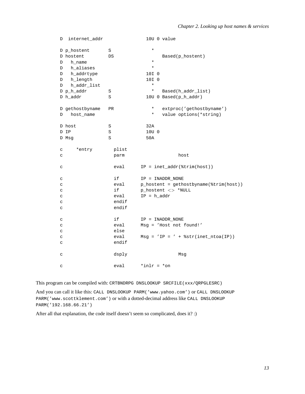| D            | internet_addr   |           | 10U 0 value                            |
|--------------|-----------------|-----------|----------------------------------------|
|              | D p_hostent     | S         | $\star$                                |
|              | D hostent       | DS        | Based(p_hostent)                       |
| D            | h_name          |           | $\star$                                |
| D            | h_aliases       |           | $\star$                                |
| D            | h_addrtype      |           | 10I 0                                  |
| D            | h_length        |           | 10I 0                                  |
| D            | h_addr_list     |           | $\star$                                |
|              | D p_h_addr      | S         | $^\star$<br>Based(h_addr_list)         |
|              | D h_addr        | S         | 10U 0 Based(p_h_addr)                  |
|              | D gethostbyname | <b>PR</b> | $\star$<br>extproc('gethostbyname')    |
| D            | host_name       |           | value options(*string)<br>$^\star$     |
|              | D host          | S         | 32A                                    |
|              | D IP            | S         | 10U 0                                  |
|              | D Msg           | S         | 50A                                    |
| $\mathtt{C}$ | *entry          | plist     |                                        |
| C            |                 | parm      | host                                   |
| $\mathtt{C}$ |                 | eval      | $IP = inter\_addr(\text{trim}(host))$  |
| $\mathtt{C}$ |                 | if        | IP = INADDR NONE                       |
| $\mathtt{C}$ |                 | eval      | p_hostent = gethostbyname(%trim(host)) |
| $\mathtt{C}$ |                 | if        | p_hostent <> *NULL                     |
| C            |                 | eval      | $IP = h\_addr$                         |
| C            |                 | endif     |                                        |
| C            |                 | endif     |                                        |
| C            |                 | if        | IP = INADDR_NONE                       |
| C            |                 | eval      | Msg = 'Host not found!'                |
| $\mathtt{C}$ |                 | else      |                                        |
| C            |                 | eval      | $Msg = 'IP = ' + %str(inet_ntoa(IP))$  |
| C            |                 | endif     |                                        |
| $\mathtt{C}$ |                 | dsply     | Msq                                    |
| C            |                 | eval      | $*inlr = *on$                          |

This program can be compiled with: CRTBNDRPG DNSLOOKUP SRCFILE(xxx/QRPGLESRC)

And you can call it like this: CALL DNSLOOKUP PARM('www.yahoo.com') or CALL DNSLOOKUP PARM('www.scottklement.com') or with a dotted-decimal address like CALL DNSLOOKUP PARM('192.168.66.21')

After all that explanation, the code itself doesn't seem so complicated, does it? :)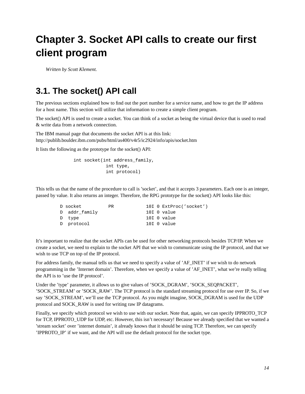## <span id="page-17-0"></span>**Chapter 3. Socket API calls to create our first client program**

<span id="page-17-1"></span>*Written by Scott Klement.*

#### **3.1. The socket() API call**

The previous sections explained how to find out the port number for a service name, and how to get the IP address for a host name. This section will utilize that information to create a simple client program.

The socket() API is used to create a socket. You can think of a socket as being the virtual device that is used to read & write data from a network connection.

The IBM manual page that documents the socket API is at this link: http://publib.boulder.ibm.com/pubs/html/as400/v4r5/ic2924/info/apis/socket.htm

It lists the following as the prototype for the socket() API:

int socket(int address\_family, int type, int protocol)

This tells us that the name of the procedure to call is 'socket', and that it accepts 3 parameters. Each one is an integer, passed by value. It also returns an integer. Therefore, the RPG prototype for the socket() API looks like this:

| D socket      | PR. |  | 10I 0 ExtProc('socket') |
|---------------|-----|--|-------------------------|
| D addr family |     |  | 10I O value             |
| D type        |     |  | 10I 0 value             |
| D protocol    |     |  | 10I O value             |

It's important to realize that the socket APIs can be used for other networking protocols besides TCP/IP. When we create a socket, we need to explain to the socket API that we wish to communicate using the IP protocol, and that we wish to use TCP on top of the IP protocol.

For address family, the manual tells us that we need to specify a value of 'AF\_INET' if we wish to do network programming in the 'Internet domain'. Therefore, when we specify a value of 'AF\_INET', what we're really telling the API is to 'use the IP protocol'.

Under the 'type' parameter, it allows us to give values of 'SOCK\_DGRAM', 'SOCK\_SEQPACKET', 'SOCK\_STREAM' or 'SOCK\_RAW'. The TCP protocol is the standard streaming protocol for use over IP. So, if we say 'SOCK\_STREAM', we'll use the TCP protocol. As you might imagine, SOCK\_DGRAM is used for the UDP protocol and SOCK\_RAW is used for writing raw IP datagrams.

Finally, we specify which protocol we wish to use with our socket. Note that, again, we can specify IPPROTO\_TCP for TCP, IPPROTO\_UDP for UDP, etc. However, this isn't necessary! Because we already specified that we wanted a 'stream socket' over 'internet domain', it already knows that it should be using TCP. Therefore, we can specify 'IPPROTO\_IP' if we want, and the API will use the default protocol for the socket type.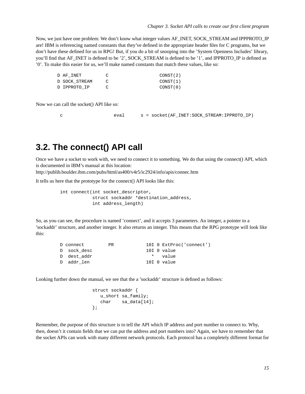Now, we just have one problem: We don't know what integer values AF\_INET, SOCK\_STREAM and IPPPROTO\_IP are! IBM is referencing named constants that they've defined in the appropriate header files for C programs, but we don't have these defined for us in RPG! But, if you do a bit of snooping into the 'System Openness Includes' library, you'll find that AF\_INET is defined to be '2', SOCK\_STREAM is defined to be '1', and IPPROTO\_IP is defined as '0'. To make this easier for us, we'll make named constants that match these values, like so:

| D AF INET     |          | CONST(2) |
|---------------|----------|----------|
| D SOCK STREAM |          | CONST(1) |
| D IPPROTO IP  | $\Gamma$ | CONST(0) |

Now we can call the socket() API like so:

c eval s = socket(AF\_INET:SOCK\_STREAM:IPPROTO\_IP)

#### <span id="page-18-0"></span>**3.2. The connect() API call**

Once we have a socket to work with, we need to connect it to something. We do that using the connect() API, which is documented in IBM's manual at this location:

http://publib.boulder.ibm.com/pubs/html/as400/v4r5/ic2924/info/apis/connec.htm

It tells us here that the prototype for the connect() API looks like this:

```
int connect(int socket_descriptor,
            struct sockaddr *destination_address,
            int address_length)
```
So, as you can see, the procedure is named 'connect', and it accepts 3 parameters. An integer, a pointer to a 'sockaddr' structure, and another integer. It also returns an integer. This means that the RPG prototype will look like this:

| D connect    | PR. |  | 10I 0 ExtProc('connect') |
|--------------|-----|--|--------------------------|
| D sock desc  |     |  | 10I O value              |
| D) dest addr |     |  | * value                  |
| D addr len   |     |  | 10I O value              |

Looking further down the manual, we see that the a 'sockaddr' structure is defined as follows:

```
struct sockaddr {
  u_short sa_family;
  char sa_data[14];
};
```
Remember, the purpose of this structure is to tell the API which IP address and port number to connect to. Why, then, doesn't it contain fields that we can put the address and port numbers into? Again, we have to remember that the socket APIs can work with many different network protocols. Each protocol has a completely different format for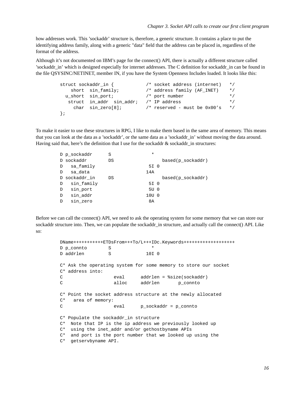how addresses work. This 'sockaddr' structure is, therefore, a generic structure. It contains a place to put the identifying address family, along with a generic "data" field that the address can be placed in, regardless of the format of the address.

Although it's not documented on IBM's page for the connect() API, there is actually a different structure called 'sockaddr in' which is designed especially for internet addresses. The C definition for sockaddr in can be found in the file QSYSINC/NETINET, member IN, if you have the System Openness Includes loaded. It looks like this:

```
struct sockaddr_in { /* socket address (internet) */
  short sin_family; /* address family (AF_INET) */
 u_short sin_port; /* port number */
  struct in_addr sin_addr; /* IP address */
   char sin_zero[8]; /* reserved - must be 0x00's */
};
```
To make it easier to use these structures in RPG, I like to make them based in the same area of memory. This means that you can look at the data as a 'sockaddr', or the same data as a 'sockaddr\_in' without moving the data around. Having said that, here's the definition that I use for the sockaddr  $\&$  sockaddr in structures:

|            | S                                                                    | $\ast$ |                                          |
|------------|----------------------------------------------------------------------|--------|------------------------------------------|
|            | DS                                                                   |        | based(p sockaddr)                        |
|            |                                                                      |        |                                          |
| sa data    |                                                                      | 14A    |                                          |
|            | DS                                                                   |        | based(p sockaddr)                        |
| sin family |                                                                      |        |                                          |
| sin_port   |                                                                      |        |                                          |
| sin addr   |                                                                      |        |                                          |
| sin zero   |                                                                      | 8A     |                                          |
| D<br>D     | D p sockaddr<br>D sockaddr<br>D sa family<br>D<br>D sockaddr in<br>D |        | 5I 0<br>5I 0<br>5U 0<br>10U <sub>0</sub> |

Before we can call the connect() API, we need to ask the operating system for some memory that we can store our sockaddr structure into. Then, we can populate the sockaddr\_in structure, and actually call the connect() API. Like so:

```
DName+++++++++++ETDsFrom+++To/L+++IDc.Keywords+++++++++++++++++++
D p_connto S *
D addrlen S 10I 0
C* Ask the operating system for some memory to store our socket
C* address into:
C eval addrlen = %size(sockaddr)
C alloc addrlen p_connto
C* Point the socket address structure at the newly allocated
C* area of memory:
C eval p_sockaddr = p_connto
C* Populate the sockaddr_in structure
C* Note that IP is the ip address we previously looked up
C* using the inet_addr and/or gethostbyname APIs
C* and port is the port number that we looked up using the
C* getservbyname API.
```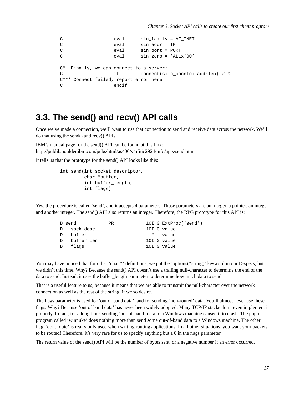```
C eval sin_family = AF_INET
C eval sin addr = IP
C eval sin_port = PORT
C eval sin_zero = *ALLx'00'
C* Finally, we can connect to a server:
C if connect(s: p_connto: addrlen) < 0
C*** Connect failed, report error here
C endif
```
#### <span id="page-20-0"></span>**3.3. The send() and recv() API calls**

Once we've made a connection, we'll want to use that connection to send and receive data across the network. We'll do that using the send() and recv() APIs.

IBM's manual page for the send() API can be found at this link: http://publib.boulder.ibm.com/pubs/html/as400/v4r5/ic2924/info/apis/send.htm

It tells us that the prototype for the send() API looks like this:

```
int send(int socket_descriptor,
         char *buffer,
         int buffer_length,
         int flags)
```
Yes, the procedure is called 'send', and it accepts 4 parameters. Those parameters are an integer, a pointer, an integer and another integer. The send() API also returns an integer. Therefore, the RPG prototype for this API is:

|          | D send       | PR. |  | 10I 0 ExtProc('send') |
|----------|--------------|-----|--|-----------------------|
|          | D sock desc  |     |  | 10I 0 value           |
| $\Gamma$ | buffer       |     |  | * value               |
|          | D buffer len |     |  | $10I$ 0 value         |
|          | D flags      |     |  | 10I 0 value           |

You may have noticed that for other 'char \*' definitions, we put the 'options(\*string)' keyword in our D-specs, but we didn't this time. Why? Because the send() API doesn't use a trailing null-character to determine the end of the data to send. Instead, it uses the buffer length parameter to determine how much data to send.

That is a useful feature to us, because it means that we are able to transmit the null-character over the network connection as well as the rest of the string, if we so desire.

The flags parameter is used for 'out of band data', and for sending 'non-routed' data. You'll almost never use these flags. Why? Because 'out of band data' has never been widely adopted. Many TCP/IP stacks don't even implement it properly. In fact, for a long time, sending 'out-of-band' data to a Windows machine caused it to crash. The popular program called 'winnuke' does nothing more than send some out-of-band data to a Windows machine. The other flag, 'dont route' is really only used when writing routing applications. In all other situations, you want your packets to be routed! Therefore, it's very rare for us to specify anything but a 0 in the flags parameter.

The return value of the send() API will be the number of bytes sent, or a negative number if an error occurred.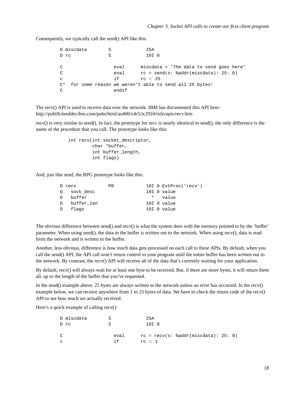Consequently, we typically call the send() API like this:

|              | D miscdata |       | 25A                                                   |  |
|--------------|------------|-------|-------------------------------------------------------|--|
|              | D rc       | S     | 10I <sub>0</sub>                                      |  |
|              |            |       |                                                       |  |
| C            |            | eval  | miscdata = 'The data to send goes here'               |  |
| C            |            | eval  | $rc = send(s: %addr(miscdata): 25: 0)$                |  |
| $\mathbf{C}$ |            | i f   | rc < 25                                               |  |
| $C^*$        |            |       | for some reason we weren't able to send all 25 bytes! |  |
| C            |            | endif |                                                       |  |

The recv() API is used to receive data over the network. IBM has documented this API here: http://publib.boulder.ibm.com/pubs/html/as400/v4r5/ic2924/info/apis/recv.htm

recv() is very similar to send(). In fact, the prototype for recv is nearly identical to send(), the only difference is the name of the procedure that you call. The prototype looks like this:

```
int recv(int socket_descriptor,
         char *buffer,
         int buffer_length,
         int flags)
```
And, just like send, the RPG prototype looks like this:

| D recv       | <b>PR</b> |  | 10I 0 ExtProc('recv') |
|--------------|-----------|--|-----------------------|
| D sock desc  |           |  | $10I$ 0 value         |
| D buffer     |           |  | * value               |
| D buffer len |           |  | $10I$ 0 value         |
| D flags      |           |  | 10I O value           |
|              |           |  |                       |

The obvious difference between send() and recv() is what the system does with the memory pointed to by the 'buffer' parameter. When using send(), the data in the buffer is written out to the network. When using recv(), data is read from the network and is written to the buffer.

Another, less obvious, difference is how much data gets processed on each call to these APIs. By default, when you call the send() API, the API call won't return control to your program until the entire buffer has been written out to the network. By contrast, the recv() API will receive all of the data that's currently waiting for your application.

By default, recv() will always wait for at least one byte to be received. But, if there are more bytes, it will return them all, up to the length of the buffer that you've requested.

In the send() example above, 25 bytes are always written to the network unless an error has occurred. In the recv() example below, we can receive anywhere from 1 to 25 bytes of data. We have to check the return code of the recv() API to see how much we actually received.

Here's a quick example of calling recv():

|               | D miscdata |      | 25A    |                                        |  |
|---------------|------------|------|--------|----------------------------------------|--|
|               | D rc       |      | 10I 0  |                                        |  |
|               |            |      |        |                                        |  |
| $\mathcal{C}$ |            | eval |        | $rc = recv(s: %addr(miscdata): 25: 0)$ |  |
| $\mathbf{C}$  |            | i fi | rc < 1 |                                        |  |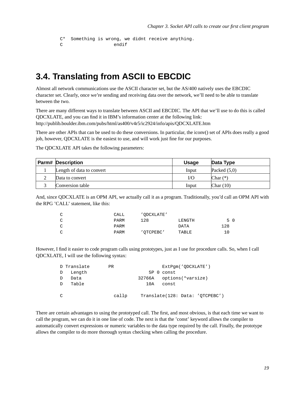```
C* Something is wrong, we didnt receive anything.
C endif
```
#### <span id="page-22-0"></span>**3.4. Translating from ASCII to EBCDIC**

Almost all network communications use the ASCII character set, but the AS/400 natively uses the EBCDIC character set. Clearly, once we're sending and receiving data over the network, we'll need to be able to translate between the two.

There are many different ways to translate between ASCII and EBCDIC. The API that we'll use to do this is called QDCXLATE, and you can find it in IBM's information center at the following link: http://publib.boulder.ibm.com/pubs/html/as400/v4r5/ic2924/info/apis/QDCXLATE.htm

There are other APIs that can be used to do these conversions. In particular, the iconv() set of APIs does really a good job, however, QDCXLATE is the easiest to use, and will work just fine for our purposes.

The QDCXLATE API takes the following parameters:

| <b>Parm# Description</b>  | <b>Usage</b> | Data Type      |
|---------------------------|--------------|----------------|
| Length of data to convert | Input        | Packed $(5,0)$ |
| Data to convert           | I/O          | Char $(*)$     |
| Conversion table          | Input        | Char $(10)$    |

And, since QDCXLATE is an OPM API, we actually call it as a program. Traditionally, you'd call an OPM API with the RPG 'CALL' statement, like this:

| $\sim$<br>◡ | CALL        | 'ODCXLATE' |             |     |
|-------------|-------------|------------|-------------|-----|
| $\cap$<br>◡ | <b>PARM</b> | 128        | LENGTH      | 5 0 |
| $\sim$<br>◡ | PARM        |            | <b>DATA</b> | 128 |
| $\sim$      | <b>PARM</b> | 'OTCPEBC'  | TABLE       |     |

However, I find it easier to code program calls using prototypes, just as I use for procedure calls. So, when I call QDCXLATE, I will use the following syntax:

|   | D Translate | <b>PR</b> | ExtPqm('ODCXLATE')              |
|---|-------------|-----------|---------------------------------|
| D | Length      |           | 5P 0 const                      |
|   | Data        |           | 32766A options(*varsize)        |
| D | Table       |           | 10A<br>const                    |
| C |             | callp     | Translate(128: Data: 'OTCPEBC') |

There are certain advantages to using the prototyped call. The first, and most obvious, is that each time we want to call the program, we can do it in one line of code. The next is that the 'const' keyword allows the compiler to automatically convert expressions or numeric variables to the data type required by the call. Finally, the prototype allows the compiler to do more thorough syntax checking when calling the procedure.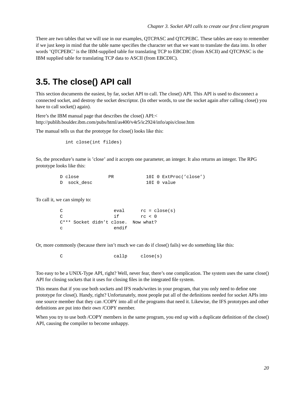There are two tables that we will use in our examples, QTCPASC and QTCPEBC. These tables are easy to remember if we just keep in mind that the table name specifies the character set that we want to translate the data into. In other words 'QTCPEBC' is the IBM-supplied table for translating TCP to EBCDIC (from ASCII) and QTCPASC is the IBM supplied table for translating TCP data to ASCII (from EBCDIC).

### <span id="page-23-0"></span>**3.5. The close() API call**

This section documents the easiest, by far, socket API to call. The close() API. This API is used to disconnect a connected socket, and destroy the socket descriptor. (In other words, to use the socket again after calling close() you have to call socket() again).

Here's the IBM manual page that describes the close() API:< http://publib.boulder.ibm.com/pubs/html/as400/v4r5/ic2924/info/apis/close.htm

The manual tells us that the prototype for close() looks like this:

int close(int fildes)

So, the procedure's name is 'close' and it accepts one parameter, an integer. It also returns an integer. The RPG prototype looks like this:

| D close     | РR |  | 10I 0 ExtProc('close') |
|-------------|----|--|------------------------|
| D sock desc |    |  | 10I O value            |

To call it, we can simply to:

| C             |  | eval                                |        | $rc = close(s)$ |
|---------------|--|-------------------------------------|--------|-----------------|
| $\mathcal{C}$ |  | i f                                 | rc < 0 |                 |
|               |  | C*** Socket didn't close. Now what? |        |                 |
| C             |  | endif                               |        |                 |

Or, more commonly (because there isn't much we can do if close() fails) we do something like this:

C callp close(s)

Too easy to be a UNIX-Type API, right? Well, never fear, there's one complication. The system uses the same close() API for closing sockets that it uses for closing files in the integrated file system.

This means that if you use both sockets and IFS reads/writes in your program, that you only need to define one prototype for close(). Handy, right? Unfortunately, most people put all of the definitions needed for socket APIs into one source member that they can /COPY into all of the programs that need it. Likewise, the IFS prototypes and other definitions are put into their own /COPY member.

When you try to use both /COPY members in the same program, you end up with a duplicate definition of the close() API, causing the compiler to become unhappy.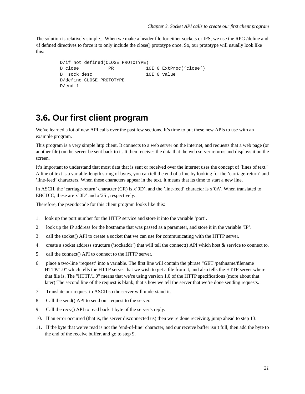The solution is relatively simple... When we make a header file for either sockets or IFS, we use the RPG /define and /if defined directives to force it to only include the close() prototype once. So, our prototype will usually look like this:

```
D/if not defined(CLOSE_PROTOTYPE)
D close PR 10I 0 ExtProc('close')
D sock_desc 10I 0 value
D/define CLOSE_PROTOTYPE
D/endif
```
#### <span id="page-24-0"></span>**3.6. Our first client program**

We've learned a lot of new API calls over the past few sections. It's time to put these new APIs to use with an example program.

This program is a very simple http client. It connects to a web server on the internet, and requests that a web page (or another file) on the server be sent back to it. It then receives the data that the web server returns and displays it on the screen.

It's important to understand that most data that is sent or received over the internet uses the concept of 'lines of text.' A line of text is a variable-length string of bytes, you can tell the end of a line by looking for the 'carriage-return' and 'line-feed' characters. When these characters appear in the text, it means that its time to start a new line.

In ASCII, the 'carriage-return' character (CR) is x'0D', and the 'line-feed' character is x'0A'. When translated to EBCDIC, these are x'0D' and x'25', respectively.

Therefore, the pseudocode for this client program looks like this:

- 1. look up the port number for the HTTP service and store it into the variable 'port'.
- 2. look up the IP address for the hostname that was passed as a parameter, and store it in the variable 'IP'.
- 3. call the socket() API to create a socket that we can use for communicating with the HTTP server.
- 4. create a socket address structure ('sockaddr') that will tell the connect() API which host & service to connect to.
- 5. call the connect() API to connect to the HTTP server.
- 6. place a two-line 'request' into a variable. The first line will contain the phrase "GET /pathname/filename HTTP/1.0" which tells the HTTP server that we wish to get a file from it, and also tells the HTTP server where that file is. The "HTTP/1.0" means that we're using version 1.0 of the HTTP specifications (more about that later) The second line of the request is blank, that's how we tell the server that we're done sending requests.
- 7. Translate our request to ASCII so the server will understand it.
- 8. Call the send() API to send our request to the server.
- 9. Call the recv() API to read back 1 byte of the server's reply.
- 10. If an error occurred (that is, the server disconnected us) then we're done receiving, jump ahead to step 13.
- 11. If the byte that we've read is not the 'end-of-line' character, and our receive buffer isn't full, then add the byte to the end of the receive buffer, and go to step 9.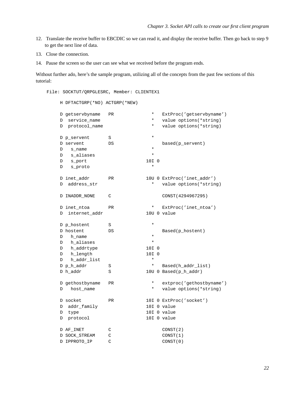- 12. Translate the receive buffer to EBCDIC so we can read it, and display the receive buffer. Then go back to step 9 to get the next line of data.
- 13. Close the connection.
- 14. Pause the screen so the user can see what we received before the program ends.

Without further ado, here's the sample program, utilizing all of the concepts from the past few sections of this tutorial:

File: SOCKTUT/QRPGLESRC, Member: CLIENTEX1

H DFTACTGRP(\*NO) ACTGRP(\*NEW)

|   | D getservbyname | PR            | $^\star$ | ExtProc('getservbyname')   |
|---|-----------------|---------------|----------|----------------------------|
| D | service name    |               | *        | value options(*string)     |
| D | protocol_name   |               | *        | value options(*string)     |
|   |                 |               |          |                            |
|   | D p_servent     | S             | $^\star$ |                            |
|   | D servent       | DS            |          | based(p_servent)           |
| D | s_name          |               | $^\star$ |                            |
| D | s_aliases       |               | $^\star$ |                            |
| D | s_port          |               | 10I 0    |                            |
| D | s_proto         |               | $^\star$ |                            |
|   |                 |               |          |                            |
|   | D inet_addr     | <b>PR</b>     |          | 10U 0 ExtProc('inet_addr') |
| D | address_str     |               | $^\star$ | value options (*string)    |
|   |                 |               |          |                            |
|   | D INADDR NONE   | C             |          | CONST (4294967295)         |
|   |                 |               |          |                            |
|   | D inet_ntoa     | PR            | $^\star$ | $ExtProc('inet_ntoa')$     |
| D | internet_addr   |               |          | 10U 0 value                |
|   |                 |               |          |                            |
|   | D p_hostent     | S             | $^\star$ |                            |
|   | D hostent       | DS            |          | Based(p_hostent)           |
| D | h_name          |               | $^\star$ |                            |
| D | h aliases       |               | $\star$  |                            |
| D | h_addrtype      |               | 10I 0    |                            |
| D | h_length        |               | 10I 0    |                            |
| D | h_addr_list     |               | $^\star$ |                            |
|   | D p_h_addr      | S             | $^\star$ | Based(h addr list)         |
|   | D h_addr        | S             |          | 10U 0 Based(p_h_addr)      |
|   |                 |               |          |                            |
|   | D gethostbyname | PR            | $^\star$ | extproc('gethostbyname')   |
| D | host_name       |               | $^\star$ | value options(*string)     |
|   |                 |               |          |                            |
|   | D socket        | <b>PR</b>     |          | 10I 0 ExtProc('socket')    |
| D | addr_family     |               |          | 10I 0 value                |
| D | type            |               |          | 10I 0 value                |
| D | protocol        |               |          | 10I 0 value                |
|   |                 |               |          |                            |
|   | D AF INET       | C             |          | CONST(2)                   |
|   | D SOCK STREAM   | C             |          | CONST(1)                   |
|   | D IPPROTO_IP    | $\mathcal{C}$ |          | CONST(0)                   |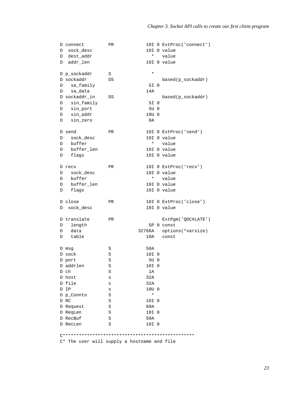|   | D connect     | PR        |                  |         | 10I 0 ExtProc('connect')              |
|---|---------------|-----------|------------------|---------|---------------------------------------|
| D | sock_desc     |           |                  |         | 10I 0 value                           |
|   | D dest_addr   |           | $^\star$         |         | value                                 |
| D | addr_len      |           |                  |         | 10I 0 value                           |
|   |               |           |                  |         |                                       |
|   | D p_sockaddr  | S         | $\star$          |         |                                       |
|   | D sockaddr    | DS        |                  |         | based(p_sockaddr)                     |
| D | sa_family     |           | 5I 0             |         |                                       |
| D | sa_data       |           | 14A              |         |                                       |
|   | D sockaddr_in | DS        |                  |         | based(p_sockaddr)                     |
| D | sin_family    |           | 5I 0             |         |                                       |
| D | sin_port      |           | 5U 0             |         |                                       |
| D | sin addr      |           | 10U <sub>0</sub> |         |                                       |
| D | sin zero      |           | 8A               |         |                                       |
|   |               |           |                  |         |                                       |
|   | D send        | PR.       |                  |         | 10I 0 ExtProc('send')                 |
| D | sock_desc     |           |                  |         | 10I 0 value                           |
| D | buffer        |           | $\star$          |         | value                                 |
|   |               |           |                  |         | 10I 0 value                           |
| D | buffer_len    |           |                  |         |                                       |
| D | flags         |           |                  |         | 10I 0 value                           |
|   | D recv        | PR        |                  |         | 10I 0 ExtProc('recv')                 |
|   |               |           |                  |         | 10I 0 value                           |
| D | sock_desc     |           |                  | $\star$ |                                       |
| D | buffer        |           |                  |         | value                                 |
| D | buffer_len    |           |                  |         | 10I 0 value                           |
| D | flags         |           |                  |         | 10I 0 value                           |
|   |               |           |                  |         |                                       |
|   | D close       | <b>PR</b> |                  |         | 10I 0 ExtProc('close')<br>10I 0 value |
| D | sock_desc     |           |                  |         |                                       |
|   | D translate   | PR        |                  |         | ExtPgm('QDCXLATE')                    |
| D | length        |           |                  |         | 5P 0 const                            |
| D | data          |           | 32766A           |         | options(*varsize)                     |
|   | table         |           | 10A              |         | const                                 |
| D |               |           |                  |         |                                       |
|   | D msg         | S         | 50A              |         |                                       |
|   | D sock        | S         | 10I 0            |         |                                       |
|   |               | S         | 5U 0             |         |                                       |
|   | D port        |           |                  |         |                                       |
|   | D addrlen     | S         | 10I 0            |         |                                       |
|   | D ch          | S         | 1A               |         |                                       |
|   | D host        | S         | 32A              |         |                                       |
|   | D file        | S         | 32A              |         |                                       |
|   | D IP          | S         | 10U <sub>0</sub> |         |                                       |
|   | D p_Connto    | S         | $^\star$         |         |                                       |
|   | D RC          | S         | 10I 0            |         |                                       |
|   | D Request     | S         | 60A              |         |                                       |
|   | D ReqLen      | S         | 10I 0            |         |                                       |
|   | D RecBuf      | S         | 50A              |         |                                       |
|   | D RecLen      | S         | 10I 0            |         |                                       |
|   |               |           |                  |         |                                       |

C\*\*\*\*\*\*\*\*\*\*\*\*\*\*\*\*\*\*\*\*\*\*\*\*\*\*\*\*\*\*\*\*\*\*\*\*\*\*\*\*\*\*\*\*\*\*\*\*\*

C\* The user will supply a hostname and file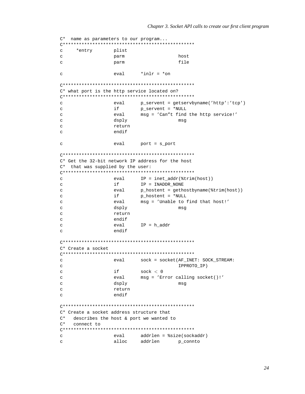```
C* name as parameters to our program...
C*************************************************
c *entry plist
c parm host
c parm file
c \alpha eval \alpha \alpha \alphaC*************************************************
C* what port is the http service located on?
C*************************************************
c eval p_servent = getservbyname('http':'tcp')
c if p_servent = *NULL
c eval msg = 'Can"t find the http service!'
c dsply msg
c return
c endif
c eval port = s_port
C*************************************************
C* Get the 32-bit network IP address for the host
C* that was supplied by the user:
C*************************************************
c eval IP = inet_addr(%trim(host))
c if IP = INADDR_NONE
c eval p_hostent = gethostbyname(%trim(host))
c if p_hostent = *NULL
c eval msg = 'Unable to find that host!'
c dsply dsply msg
c return
c endif
c eval IP = h addr
c endif
C*************************************************
C* Create a socket
C*************************************************
c eval sock = socket(AF_INET: SOCK_STREAM:
c IPPROTO IP)
c if sock < 0c eval msg = 'Error calling socket()!'
c dsply msg
c return
c endif
C*************************************************
C* Create a socket address structure that
C* describes the host & port we wanted to
C* connect to
C*************************************************
c eval addrlen = %size(sockaddr)
c alloc addrlen p_connto
```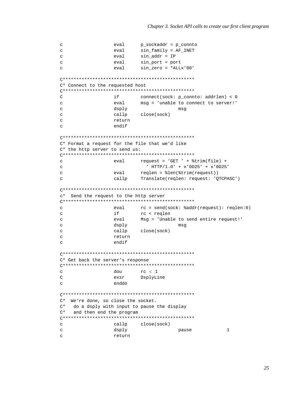```
c eval p_sockaddr = p_connto
c eval sin_family = AF_INET
c eval sin_addr = IP
c eval sin_port = port
c eval sin_zero = *ALLx'00'
C*************************************************
C* Connect to the requested host
C*************************************************
C if connect(sock: p_connto: addrlen) < 0
c eval msg = 'unable to connect to server!'
c dsply msg
c callp close(sock)
c return
c endif
C*************************************************
C* Format a request for the file that we'd like
C* the http server to send us:
C*************************************************
c eval request = 'GET ' + %trim(file) +
c ' HTTP/1.0' + x'0D25' + x'0D25'
c eval reqlen = %len(%trim(request))
c callp Translate(reqlen: request: 'QTCPASC')
C*************************************************
c* Send the request to the http server
C*************************************************
c eval rc = send(sock: %addr(request): reqlen:0)
c if rc < reqlen
c eval Msg = 'Unable to send entire request!'
c dsply msg
c callp close(sock)
c return
c endif
C*************************************************
C* Get back the server's response
C*************************************************
c dou rc < 1C exsr DsplyLine
c enddo
C*************************************************
C* We're done, so close the socket.
C* do a dsply with input to pause the display
C* and then end the program
C*************************************************
c callp close(sock)
c dsply developed to the control of the display of \alpha and \alpha and \alphac return
```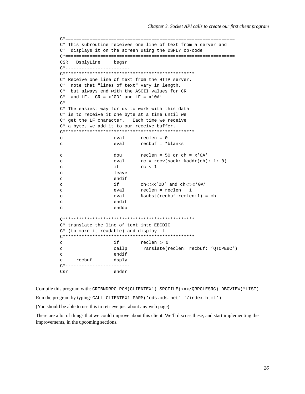```
C*===============================================================
C* This subroutine receives one line of text from a server and
C* displays it on the screen using the DSPLY op-code
C*===============================================================
CSR DsplyLine begsr
C*------------------------
C*************************************************
C* Receive one line of text from the HTTP server.
C* note that "lines of text" vary in length,
C* but always end with the ASCII values for CR
C^* and LF. CR = x'0D' and LF = x'0A'C^*C* The easiest way for us to work with this data
C* is to receive it one byte at a time until we
C* get the LF character. Each time we receive
C* a byte, we add it to our receive buffer.
C*************************************************
c eval reclen = 0
c eval recbuf = *blanks
c dou reclen = 50 or ch = x'0A'
c eval rc = recv(sock: %addr(ch): 1: 0)
c if rc < 1
c leave
c endif
c i if ch \ll > x' 0D' and ch \ll > x' 0A'
c eval reclen = reclen + 1
c eval %subst(recbuf:reclen:1) = ch
c endif
c enddo
C*************************************************
C* translate the line of text into EBCDIC
C* (to make it readable) and display it
C*************************************************
c if reclen > 0c callp Translate(reclen: recbuf: 'QTCPEBC')
c endif
c recbuf dsply
C*------------------------
Csr endsr
```
Compile this program with: CRTBNDRPG PGM(CLIENTEX1) SRCFILE(xxx/QRPGLESRC) DBGVIEW(\*LIST) Run the program by typing: CALL CLIENTEX1 PARM('ods.ods.net' '/index.html')

(You should be able to use this to retrieve just about any web page)

There are a lot of things that we could improve about this client. We'll discuss these, and start implementing the improvements, in the upcoming sections.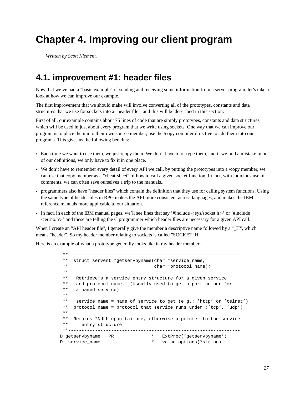### <span id="page-30-0"></span>**Chapter 4. Improving our client program**

<span id="page-30-1"></span>*Written by Scott Klement.*

#### **4.1. improvement #1: header files**

Now that we've had a "basic example" of sending and receiving some information from a server program, let's take a look at how we can improve our example.

The first improvement that we should make will involve converting all of the prototypes, constants and data structures that we use for sockets into a "header file", and this will be described in this section:

First of all, our example contains about 75 lines of code that are simply prototypes, constants and data structures which will be used in just about every program that we write using sockets. One way that we can improve our program is to place them into their own source member, use the /copy compiler directive to add them into our programs. This gives us the following benefits:

- Each time we want to use them, we just /copy them. We don't have to re-type them, and if we find a mistake in on of our definitions, we only have to fix it in one place.
- We don't have to remember every detail of every API we call, by putting the prototypes into a /copy member, we can use that copy member as a "cheat-sheet" of how to call a given socket function. In fact, with judicious use of comments, we can often save ourselves a trip to the manuals...
- programmers also have "header files" which contain the definition that they use for calling system functions. Using the same type of header files in RPG makes the API more consistent across languages, and makes the IBM reference manuals more applicable to our situation.
- In fact, in each of the IBM manual pages, we'll see lines that say '#include  $\langle$ sys/socket.h>' or '#include <errno.h>' and these are telling the C programmer which header files are necessary for a given API call.

When I create an "API header file", I generally give the member a descriptive name followed by a " H", which means "header". So my header member relating to sockets is called "SOCKET\_H".

Here is an example of what a prototype generally looks like in my header member:

```
**----------------------------------------------------------------
 ** struct servent *getservbyname(char *service_name,
 ** char *protocol_name);
 **
 ** Retrieve's a service entry structure for a given service
 ** and protocol name. (Usually used to get a port number for
 ** a named service)
 **
 ** service_name = name of service to get (e.g.: 'http' or 'telnet')
 ** protocol_name = protocol that service runs under ('tcp', 'udp')
 **
 ** Returns *NULL upon failure, otherwise a pointer to the service
 ** entry structure
 **----------------------------------------------------------------
D getservbyname PR * ExtProc('getservbyname')
D service_name * value options(*string)
```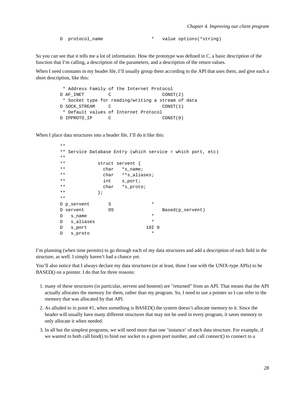D protocol\_name  $*$  value options(\*string)

So you can see that it tells me a lot of information. How the prototype was defined in C, a basic description of the function that I'm calling, a description of the parameters, and a description of the return values.

When I need constants in my header file, I'll usually group them according to the API that uses them, and give each a short description, like this:

```
* Address Family of the Internet Protocol
D AF INET C CONST(2)
* Socket type for reading/writing a stream of data
D SOCK_STREAM C CONST(1)
* Default values of Internet Protocol
D IPPROTO IP C CONST(0)
```
When I place data structures into a header file, I'll do it like this:

```
**
** Service Database Entry (which service = which port, etc)
**
** struct servent {
** char *s_name;
** char **s_aliases;
** int s_port;
** char *s_proto;
** {} };
**
D p_servent S *
D servent DS Based(p_servent)
D s_name *
D s_aliases *
D s_port 10I 0
D s_proto *
```
I'm planning (when time permits) to go through each of my data structures and add a description of each field in the structure, as well. I simply haven't had a chance yet.

You'll also notice that I always declare my data structures (or at least, those I use with the UNIX-type APIs) to be BASED() on a pointer. I do that for three reasons:

- 1. many of these structures (in particular, servent and hostent) are "returned" from an API. That means that the API actually allocates the memory for them, rather than my program. So, I need to use a pointer so I can refer to the memory that was allocated by that API.
- 2. As alluded to in point #1, when something is BASED() the system doesn't allocate memory to it. Since the header will usually have many different structures that may not be used in every program, it saves memory to only allocate it when needed.
- 3. In all but the simplest programs, we will need more than one 'instance' of each data structure. For example, if we wanted to both call bind() to bind our socket to a given port number, and call connect() to connect to a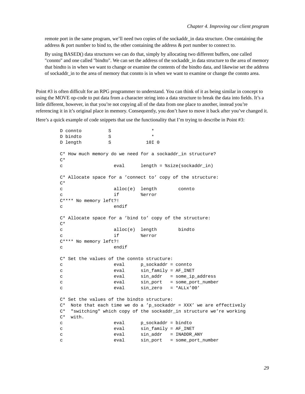remote port in the same program, we'll need two copies of the sockaddr in data structure. One containing the address & port number to bind to, the other containing the address & port number to connect to.

By using BASED() data structures we can do that, simply by allocating two different buffers, one called "connto" and one called "bindto". We can set the address of the sockaddr\_in data structure to the area of memory that bindto is in when we want to change or examine the contents of the bindto data, and likewise set the address of sockaddr\_in to the area of memory that connto is in when we want to examine or change the connto area.

Point #3 is often difficult for an RPG programmer to understand. You can think of it as being similar in concept to using the MOVE op-code to put data from a character string into a data structure to break the data into fields. It's a little different, however, in that you're not copying all of the data from one place to another, instead you're referencing it in it's original place in memory. Consequently, you don't have to move it back after you've changed it.

Here's a quick example of code snippets that use the functionality that I'm trying to describe in Point #3:

D connto S D bindto S \* D length S 10I 0 C\* How much memory do we need for a sockaddr\_in structure? C\* c eval length = %size(sockaddr\_in) C\* Allocate space for a 'connect to' copy of the structure: C\* c alloc(e) length connto c if %error C\*\*\*\* No memory left?! c endif C\* Allocate space for a 'bind to' copy of the structure:  $C^*$ c alloc(e) length bindto c if  $\text{server}$ C\*\*\*\* No memory left?! c endif C\* Set the values of the connto structure: c eval p\_sockaddr = connto c eval sin\_family = AF\_INET c eval sin\_addr = some\_ip\_address c eval sin\_port = some\_port\_number c eval sin\_zero = \*ALLx'00' C\* Set the values of the bindto structure:  $C^*$  Note that each time we do a 'p\_sockaddr = XXX' we are effectively C\* "switching" which copy of the sockaddr\_in structure we're working C\* with. c eval p\_sockaddr = bindto c eval sin\_family = AF\_INET c eval sin\_addr = INADDR\_ANY c eval sin\_port = some\_port\_number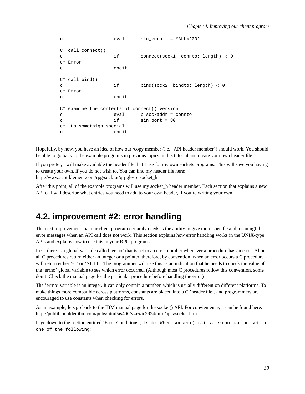```
c eval sin_zero = *ALLx'00'
C* call connect()
c if connect(sock1: connto: length) < 0
c* Error!
c endif
C* call bind()
c if bind(sock2: bindto: length) < 0
c* Error!
c endif
C* examine the contents of connect() version
c eval p_sockaddr = connto
c if sin_port = 80
c* Do somethign special
c endif
```
Hopefully, by now, you have an idea of how our /copy member (i.e. "API header member") should work. You should be able to go back to the example programs in previous topics in this tutorial and create your own header file.

If you prefer, I will make available the header file that I use for my own sockets programs. This will save you having to create your own, if you do not wish to. You can find my header file here: http://www.scottklement.com/rpg/socktut/qrpglesrc.socket\_h

After this point, all of the example programs will use my socket h header member. Each section that explains a new API call will describe what entries you need to add to your own header, if you're writing your own.

#### <span id="page-33-0"></span>**4.2. improvement #2: error handling**

The next improvement that our client program certainly needs is the ability to give more specific and meaningful error messages when an API call does not work. This section explains how error handling works in the UNIX-type APIs and explains how to use this in your RPG programs.

In C, there is a global variable called 'errno' that is set to an error number whenever a procedure has an error. Almost all C procedures return either an integer or a pointer, therefore, by convention, when an error occurs a C procedure will return either '-1' or 'NULL'. The programmer will use this as an indication that he needs to check the value of the 'errno' global variable to see which error occurred. (Although most C procedures follow this convention, some don't. Check the manual page for the particular procedure before handling the error)

The 'errno' variable is an integer. It can only contain a number, which is usually different on different platforms. To make things more compatible across platforms, constants are placed into a C 'header file', and programmers are encouraged to use constants when checking for errors.

As an example, lets go back to the IBM manual page for the socket() API. For convienience, it can be found here: http://publib.boulder.ibm.com/pubs/html/as400/v4r5/ic2924/info/apis/socket.htm

Page down to the section entitled 'Error Conditions', it states: When socket() fails, errno can be set to one of the following: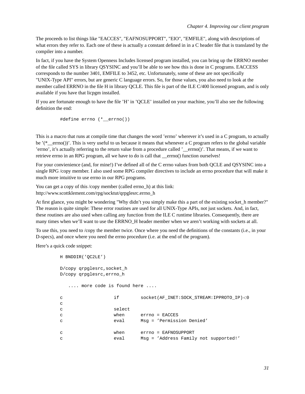The proceeds to list things like "EACCES", "EAFNOSUPPORT", "EIO", "EMFILE", along with descriptions of what errors they refer to. Each one of these is actually a constant defined in in a C header file that is translated by the compiler into a number.

In fact, if you have the System Openness Includes licensed program installed, you can bring up the ERRNO member of the file called SYS in library QSYSINC and you'll be able to see how this is done in C programs. EACCESS corresponds to the number 3401, EMFILE to 3452, etc. Unfortunately, some of these are not specifically "UNIX-Type API" errors, but are generic C language errors. So, for those values, you also need to look at the member called ERRNO in the file H in library QCLE. This file is part of the ILE C/400 licensed program, and is only available if you have that licpgm installed.

If you are fortunate enough to have the file 'H' in 'QCLE' installed on your machine, you'll also see the following definition the end:

#define errno (\*\_\_errno())

This is a macro that runs at compile time that changes the word 'errno' wherever it's used in a C program, to actually be  $'$  errno())'. This is very useful to us because it means that whenever a C program refers to the global variable 'errno', it's actually referring to the return value from a procedure called '\_\_errno()'. That means, if we want to retrieve errno in an RPG program, all we have to do is call that errno() function ourselves!

For your convienience (and, for mine!) I've defined all of the C errno values from both QCLE and QSYSINC into a single RPG /copy member. I also used some RPG compiler directives to include an errno procedure that will make it much more intuitive to use errno in our RPG programs.

You can get a copy of this /copy member (called errno h) at this link: http://www.scottklement.com/rpg/socktut/qrpglesrc.errno\_h

At first glance, you might be wondering "Why didn't you simply make this a part of the existing socket h member?" The reason is quite simple: These error routines are used for all UNIX-Type APIs, not just sockets. And, in fact, these routines are also used when calling any function from the ILE C runtime libraries. Consequently, there are many times when we'll want to use the ERRNO\_H header member when we aren't working with sockets at all.

To use this, you need to /copy the member twice. Once where you need the definitions of the constants (i.e., in your D-specs), and once where you need the errno procedure (i.e. at the end of the program).

Here's a quick code snippet:

```
H BNDDIR('QC2LE')
D/copy qrpglesrc,socket_h
D/copy qrpglesrc,errno_h
  .... more code is found here ....
c if socket(AF_INET:SOCK_STREAM:IPPROTO_IP)<0
c
c select
c when errno = EACCES
c eval Msg = 'Permission Denied'
c when errno = EAFNOSUPPORT
c eval Msg = 'Address Family not supported!'
```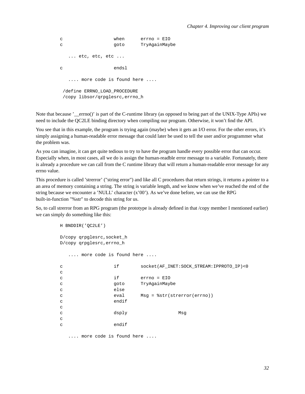c when errno = EIO c qoto TryAgainMaybe ... etc, etc, etc ... c endsl .... more code is found here .... /define ERRNO\_LOAD\_PROCEDURE /copy libsor/qrpglesrc,errno\_h

Note that because '\_\_errno()' is part of the C-runtime library (as opposed to being part of the UNIX-Type APIs) we need to include the QC2LE binding directory when compiling our program. Otherwise, it won't find the API.

You see that in this example, the program is trying again (maybe) when it gets an I/O error. For the other errors, it's simply assigning a human-readable error message that could later be used to tell the user and/or programmer what the problem was.

As you can imagine, it can get quite tedious to try to have the program handle every possible error that can occur. Especially when, in most cases, all we do is assign the human-readble error message to a variable. Fortunately, there is already a procedure we can call from the C runtime library that will return a human-readable error message for any errno value.

This procedure is called 'strerror' ("string error") and like all C procedures that return strings, it returns a pointer to a an area of memory containing a string. The string is variable length, and we know when we've reached the end of the string because we encounter a 'NULL' character  $(x'00')$ . As we've done before, we can use the RPG built-in-function "%str" to decode this string for us.

So, to call strerror from an RPG program (the prototype is already defined in that /copy member I mentioned earlier) we can simply do something like this:

```
H BNDDIR('QC2LE')
D/copy qrpglesrc,socket_h
D/copy qrpglesrc,errno_h
  .... more code is found here ....
c if socket(AF_INET:SOCK_STREAM:IPPROTO_IP)<0
\epsilonc if errno = EIO
c qoto TryAgainMaybe
c else
c eval Msg = %str(strerror(errno))
c endif
c
c dsply Msg
c
c endif
```
.... more code is found here ....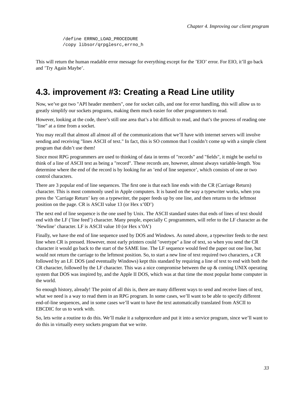/define ERRNO\_LOAD\_PROCEDURE /copy libsor/qrpglesrc,errno\_h

This will return the human readable error message for everything except for the 'EIO' error. For EIO, it'll go back and 'Try Again Maybe'.

### **4.3. improvement #3: Creating a Read Line utility**

Now, we've got two "API header members", one for socket calls, and one for error handling, this will allow us to greatly simplify our sockets programs, making them much easier for other programmers to read.

However, looking at the code, there's still one area that's a bit difficult to read, and that's the process of reading one "line" at a time from a socket.

You may recall that almost all almost all of the communications that we'll have with internet servers will involve sending and receiving "lines ASCII of text." In fact, this is SO common that I couldn't come up with a simple client program that didn't use them!

Since most RPG programmers are used to thinking of data in terms of "records" and "fields", it might be useful to think of a line of ASCII text as being a "record". These records are, however, almost always variable-length. You determine where the end of the record is by looking for an 'end of line sequence', which consists of one or two control characters.

There are 3 popular end of line sequences. The first one is that each line ends with the CR (Carriage Return) character. This is most commonly used in Apple computers. It is based on the way a typewriter works, when you press the 'Carriage Return' key on a typewriter, the paper feeds up by one line, and then returns to the leftmost position on the page. CR is ASCII value 13 (or Hex x'0D')

The next end of line sequence is the one used by Unix. The ASCII standard states that ends of lines of text should end with the LF ('line feed') character. Many people, especially C programmers, will refer to the LF character as the 'Newline' character. LF is ASCII value 10 (or Hex x'0A')

Finally, we have the end of line sequence used by DOS and Windows. As noted above, a typewriter feeds to the next line when CR is pressed. However, most early printers could "overtype" a line of text, so when you send the CR character it would go back to the start of the SAME line. The LF sequence would feed the paper out one line, but would not return the carriage to the leftmost position. So, to start a new line of text required two characters, a CR followed by an LF. DOS (and eventually Windows) kept this standard by requiring a line of text to end with both the CR character, followed by the LF character. This was a nice compromise between the up & coming UNIX operating system that DOS was inspired by, and the Apple II DOS, which was at that time the most popular home computer in the world.

So enough history, already! The point of all this is, there are many different ways to send and receive lines of text, what we need is a way to read them in an RPG program. In some cases, we'll want to be able to specify different end-of-line sequences, and in some cases we'll want to have the text automatically translated from ASCII to EBCDIC for us to work with.

So, lets write a routine to do this. We'll make it a subprocedure and put it into a service program, since we'll want to do this in virtually every sockets program that we write.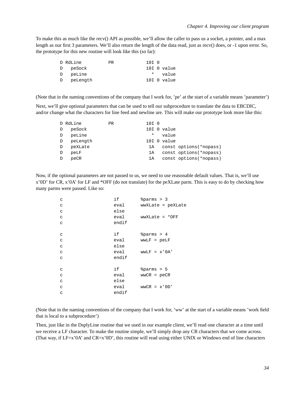To make this as much like the recv() API as possible, we'll allow the caller to pass us a socket, a pointer, and a max length as our first 3 parameters. We'll also return the length of the data read, just as recv() does, or -1 upon error. So, the prototype for this new routine will look like this (so far):

| D RdLine   | PR. | 10I O |               |
|------------|-----|-------|---------------|
| D peSock   |     |       | $10I$ 0 value |
| D peLine   |     |       | * value       |
| D peLength |     |       | 10I 0 value   |

(Note that in the naming conventions of the company that I work for, 'pe' at the start of a variable means 'parameter')

Next, we'll give optional parameters that can be used to tell our subprocedure to translate the data to EBCDIC, and/or change what the characters for line feed and newline are. This will make our prototype look more like this:

|          | <b>PR</b>                               |         |       |                                       |
|----------|-----------------------------------------|---------|-------|---------------------------------------|
| peSock   |                                         |         |       |                                       |
| peLine   |                                         | $\star$ |       |                                       |
| peLength |                                         |         |       |                                       |
| peXLate  |                                         | 1A      |       | const options (*nopass)               |
| peLF     |                                         | 1A      |       | const options (*nopass)               |
| peCR     |                                         | 1A      |       | const options (*nopass)               |
|          | D RdLine<br>D<br>D<br>$\mathbb{D}$<br>D |         | 10I 0 | $10I$ 0 value<br>value<br>10I 0 value |

Now, if the optional parameters are not passed to us, we need to use reasonable default values. That is, we'll use x'0D' for CR, x'0A' for LF and \*OFF (do not translate) for the peXLate parm. This is easy to do by checking how many parms were passed. Like so:

| $\mathtt{C}$ | if    | \$params > 3      |
|--------------|-------|-------------------|
| $\mathbf C$  | eval  | wwXLate = peXLate |
| $\mathbf C$  | else  |                   |
| $\mathbf C$  | eval  | wwXLate = *OFF    |
| $\mathtt{C}$ | endif |                   |
|              |       |                   |
| $\mathsf C$  | if    | \$params > 4      |
| $\mathbf C$  | eval  | $WWLF = pELF$     |
| $\mathsf C$  | else  |                   |
| $\mathtt{C}$ | eval  | $wwLF = x'0A'$    |
| $\mathbf C$  | endif |                   |
|              |       |                   |
| $\mathtt{C}$ | if    | \$params > 5      |
| $\mathbf C$  | eval  | $WWCR = p eCR$    |
| $\mathbf C$  | else  |                   |
| $\mathsf C$  | eval  | $WWCR = x' 0D'$   |
| $\mathtt{C}$ | endif |                   |
|              |       |                   |

(Note that in the naming conventions of the company that I work for, 'ww' at the start of a variable means 'work field that is local to a subprocedure')

Then, just like in the DsplyLine routine that we used in our example client, we'll read one character at a time until we receive a LF character. To make the routine simple, we'll simply drop any CR characters that we come across. (That way, if  $LF=x'0A'$  and  $CR=x'0D'$ , this routine will read using either UNIX or Windows end of line characters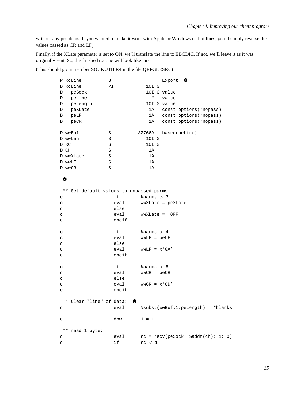without any problems. If you wanted to make it work with Apple or Windows end of lines, you'd simply reverse the values passed as CR and LF)

Finally, if the XLate parameter is set to ON, we'll translate the line to EBCDIC. If not, we'll leave it as it was originally sent. So, the finished routine will look like this:

#### (This should go in member SOCKUTILR4 in the file QRPGLESRC)

| P RdLine                                    | В       |                 | Export 0                             |
|---------------------------------------------|---------|-----------------|--------------------------------------|
| D RdLine                                    | ΡI      | 10I 0           |                                      |
| peSock<br>D                                 |         |                 | 10I 0 value                          |
| peLine<br>D                                 |         | *               | value                                |
| peLength<br>D                               |         |                 | 10I 0 value                          |
| peXLate<br>D                                |         | 1A              | const options (*nopass)              |
| D<br>peLF                                   |         | 1A              | const options (*nopass)              |
| D<br>peCR                                   |         | 1A              | const options (*nopass)              |
|                                             |         |                 |                                      |
| D wwBuf                                     | S       | 32766A          | based(peLine)                        |
| D wwLen                                     | S       | 10I 0           |                                      |
| D RC                                        | S       | 10I 0           |                                      |
| D CH                                        | $\rm S$ | 1A              |                                      |
| D wwXLate                                   | S       | 1A              |                                      |
| D wwLF                                      | S       | 1A              |                                      |
| D wwCR                                      | S       | 1A              |                                      |
|                                             |         |                 |                                      |
| ❷                                           |         |                 |                                      |
|                                             |         |                 |                                      |
| Set default values to unpassed parms:<br>** |         |                 |                                      |
| C                                           | if      | \$params > 3    |                                      |
| C                                           | eval    |                 | wwXLate = peXLate                    |
| C                                           | else    |                 |                                      |
| C                                           | eval    |                 | $wwwXLate = *OFF$                    |
| C                                           | endif   |                 |                                      |
|                                             |         |                 |                                      |
| $\mathtt{C}$                                | if      | \$params > 4    |                                      |
| C                                           | eval    | $WWLF = pELF$   |                                      |
| C                                           | else    |                 |                                      |
| C                                           | eval    | $wwLF = x'0A'$  |                                      |
| C                                           | endif   |                 |                                      |
|                                             |         |                 |                                      |
| $\mathtt{C}$                                | if      | \$params > 5    |                                      |
| C                                           | eval    | $WWCR = p eCR$  |                                      |
| $\mathtt{C}$                                | else    |                 |                                      |
| $\mathbf C$                                 | eval    | $WWCR = x' 0D'$ |                                      |
| $\mathtt{C}$                                | endif   |                 |                                      |
|                                             |         |                 |                                      |
| ** Clear "line" of data: 0                  |         |                 |                                      |
|                                             | eval    |                 | %subst(wwBuf:1:peLength) = *blanks   |
| $\mathtt{C}$                                |         |                 |                                      |
|                                             |         |                 |                                      |
| $\mathtt{C}$                                | dow     | $1 = 1$         |                                      |
| **                                          |         |                 |                                      |
| read 1 byte:                                |         |                 |                                      |
| C                                           | eval    |                 | $rc = recv(peSock: %addr(ch): 1: 0)$ |
| C                                           | if      | rc < 1          |                                      |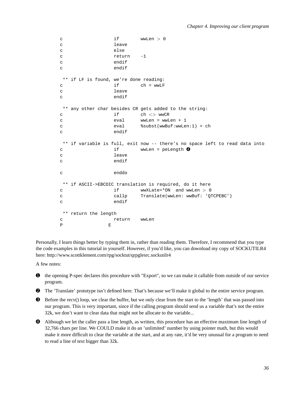```
c if wwLen > 0c leave
c else
c return -1
c endif
c endif
** if LF is found, we're done reading:
c if ch = wwLF
c leave
c endif
** any other char besides CR gets added to the string:
c \qquad \qquad \text{if} \qquad \qquad \text{ch} \iff \text{wwCR}c eval wwLen = wwLen + 1
c eval %subst(wwBuf:wwLen:1) = ch
c endif
** if variable is full, exit now -- there's no space left to read data into
c if wwLen = peLength \bulletc leave
c endif
c enddo
** if ASCII->EBCDIC translation is required, do it here
c if wwXLate=*ON and wwLen > 0
c callp Translate(wwLen: wwBuf: 'QTCPEBC')
c endif
** return the length
c return wwLen
P E
```
Personally, I learn things better by typing them in, rather than reading them. Therefore, I recommend that you type the code examples in this tutorial in yourself. However, if you'd like, you can download my copy of SOCKUTILR4 here: http://www.scottklement.com/rpg/socktut/qrpglesrc.sockutilr4

A few notes:

- ➊ the opening P-spec declares this procedure with "Export", so we can make it callable from outside of our service program.
- ➋ The 'Translate' prototype isn't defined here. That's because we'll make it global to the entire service program.
- ➌ Before the recv() loop, we clear the buffer, but we only clear from the start to the 'length' that was passed into our program. This is very important, since if the calling program should send us a variable that's not the entire 32k, we don't want to clear data that might not be allocate to the variable...
- ➍ Although we let the caller pass a line length, as written, this procedure has an effective maximum line length of 32,766 chars per line. We COULD make it do an 'unlimited' number by using pointer math, but this would make it more difficult to clear the variable at the start, and at any rate, it'd be very unusual for a program to need to read a line of text bigger than 32k.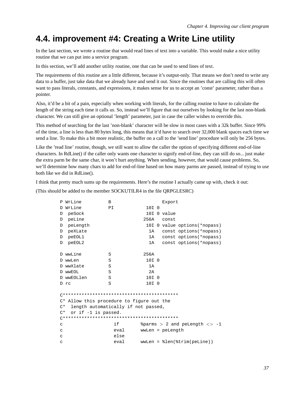# **4.4. improvement #4: Creating a Write Line utility**

In the last section, we wrote a routine that would read lines of text into a variable. This would make a nice utility routine that we can put into a service program.

In this section, we'll add another utility routine, one that can be used to send lines of text.

The requirements of this routine are a little different, because it's output-only. That means we don't need to write any data to a buffer, just take data that we already have and send it out. Since the routines that are calling this will often want to pass literals, constants, and expressions, it makes sense for us to accept an 'const' parameter, rather than a pointer.

Also, it'd be a bit of a pain, especially when working with literals, for the calling routine to have to calculate the length of the string each time it calls us. So, instead we'll figure that out ourselves by looking for the last non-blank character. We can still give an optional 'length' parameter, just in case the caller wishes to override this.

This method of searching for the last 'non-blank' character will be slow in most cases with a 32k buffer. Since 99% of the time, a line is less than 80 bytes long, this means that it'd have to search over 32,000 blank spaces each time we send a line. To make this a bit more realistic, the buffer on a call to the 'send line' procedure will only be 256 bytes.

Like the 'read line' routine, though, we still want to allow the caller the option of specifying different end-of-line characters. In RdLine() if the caller only wants one character to signify end-of-line, they can still do so... just make the extra parm be the same char, it won't hurt anything. When sending, however, that would cause problems. So, we'll determine how many chars to add for end-of-line based on how many parms are passed, instead of trying to use both like we did in RdLine().

I think that pretty much sums up the requirements. Here's the routine I actually came up with, check it out:

(This should be added to the member SOCKUTILR4 in the file QRPGLESRC)

|    | P WrLine                                  | B    |                  |  | Export           |                                    |
|----|-------------------------------------------|------|------------------|--|------------------|------------------------------------|
| D. | WrLine                                    | PI   | 10I <sub>0</sub> |  |                  |                                    |
| D  | peSock                                    |      |                  |  | 10I O value      |                                    |
| D  | peLine                                    |      | 256A             |  | const            |                                    |
| D  | peLength                                  |      |                  |  |                  | 10I 0 value options (*nopass)      |
| D  | peXLate                                   |      | 1A               |  |                  | const options (*nopass)            |
| D  | peEOL1                                    |      | 1A               |  |                  | const options (*nopass)            |
| D  | peEOL2                                    |      | 1A               |  |                  | const options (*nopass)            |
|    |                                           |      |                  |  |                  |                                    |
|    | D wwLine                                  | S    | 256A             |  |                  |                                    |
|    | D wwLen                                   | S    | 10I <sub>0</sub> |  |                  |                                    |
|    | D wwXlate                                 | S    | 1A               |  |                  |                                    |
|    | D WWEOL                                   | S    | 2A               |  |                  |                                    |
|    | D wwEOLlen                                | S    | 10I <sub>0</sub> |  |                  |                                    |
|    | D rc                                      | S    | 10I 0            |  |                  |                                    |
|    |                                           |      |                  |  |                  |                                    |
|    |                                           |      |                  |  |                  |                                    |
|    | C* Allow this procedure to figure out the |      |                  |  |                  |                                    |
| C* | length automatically if not passed,       |      |                  |  |                  |                                    |
| C* | or if -1 is passed.                       |      |                  |  |                  |                                    |
|    |                                           |      |                  |  |                  |                                    |
| C  |                                           | i f  |                  |  |                  | $\gamma$ and pelength $\langle$ -1 |
| C  |                                           | eval |                  |  | wwLen = peLength |                                    |
| С  |                                           | else |                  |  |                  |                                    |
| C  |                                           | eval |                  |  |                  | $wwLen = %len(%trim(peline))$      |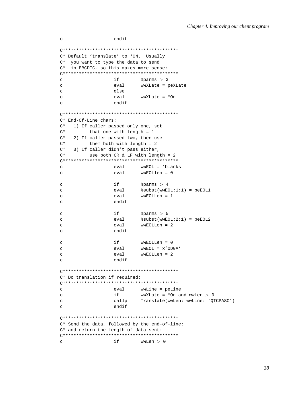```
C* Default 'translate' to *ON. Usually
C* you want to type the data to send
C* in EBCDIC, so this makes more sense:
if
\mathbf C$params > 3wwXLate = peXLate
\mathbf{C}eval
                 else
\mathtt{C}eval
                         wwXLate = *On
\mathbf{C}endif
\mathsf{C}C^* End-Of-Line chars:
    1) If caller passed only one, set
C^*\mathrm{C}\,{}^{\star}that one with length = 1C^*2) If caller passed two, then use
C^*them both with length = 2C^*3) If caller didn't pass either,
C^*use both CR < LF with length = 2
wwEOL = *blanks\mathtt{C}eval
                         WWEOLOP = 0eval
\mathcal{C}if
\mathbf{C}$params > 4\mathbf{C}eval
                         %subst(wwEOL:1:1) = peEOL1
                 evalwwEOLLen = 1
\mathcal{C}endif
\mathbf Cif
                          $params > 5\mathcal{L}eval
                          soubst(wwEOL:2:1) = peEOL2\rm{c}wwEOLLen = 2eval
\mathbf{C}endif
\mathbf{C}\mathbf Cif
                         wwEOLLen = 0
\mathcal{C}eval
                         wwEOL = x'0D0A'eval
                          wwEOLLen = 2\mathbf{C}endif
\mathbf{C}C* Do translation if required:
\mathbf{C}eval
                         wwLine = peLine
\mathtt{C}if
                         wwXLate = *On and wwLen > 0
\mathtt{C}callp
                         Translate(wwLen: wwLine: 'QTCPASC')
                 endif
\mathbf{C}C* Send the data, followed by the end-of-line:
C* and return the length of data sent:
\mathbf{C}if
                         wwLen > 0
```
endif

 $\mathtt{C}$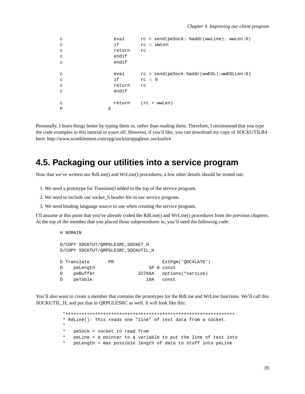| C            | eval   | $rc = send(peSocket: %addr(wwLine): wwLen:0)$    |
|--------------|--------|--------------------------------------------------|
| C            | if     | $rc$ < wwLen                                     |
| C            | return | rc                                               |
| C            | endif  |                                                  |
| C            | endif  |                                                  |
|              |        |                                                  |
| C            | eval   | $rc = send(peSocket:\n  addr(wwEOL):wwEOLLen:0)$ |
| C            | if     | rc < 0                                           |
| C            | return | rc                                               |
| C            | endif  |                                                  |
|              |        |                                                  |
| C            | return | (rc + wwLen)                                     |
| $\mathbf{P}$ | Е      |                                                  |

Personally, I learn things better by typing them in, rather than reading them. Therefore, I recommend that you type the code examples in this tutorial in yours elf. However, if you'd like, you can download my copy of SOCKUTILR4 here: http://www.scottklement.com/rpg/socktut/qrpglesrc.sockutilr4

### **4.5. Packaging our utilities into a service program**

Now that we've written our RdLine() and WrLine() procedures, a few other details should be ironed out:

- 1. We need a prototype for Translate() added to the top of the service program.
- 2. We need to include our socket\_h header file in our service program.
- 3. We need binding language source to use when creating the service program.

I'll assume at this point that you've already coded the RdLine() and WrLine() procedures from the previous chapters. At the top of the member that you placed those subprocedures in, you'll need the following code:

```
H NOMAIN
D/COPY SOCKTUT/QRPGLESRC,SOCKET_H
D/COPY SOCKTUT/QRPGLESRC,SOCKUTIL_H
D Translate PR ExtPgm('QDCXLATE')
D peLength 5P 0 const
D peBuffer 32766A options(*varsize)
D peTable 10A const
```
You'll also want to create a member that contains the prototypes for the RdLine and WrLine functions. We'll call this SOCKUTIL\_H, and put that in QRPGLESRC as well. It will look like this:

```
*+++++++++++++++++++++++++++++++++++++++++++++++++++++++++++++++
* RdLine(): This reads one "line" of text data from a socket.
*
   peSock = socket to read from
* peLine = a pointer to a variable to put the line of text into
   peLength = max possible length of data to stuff into peLine
```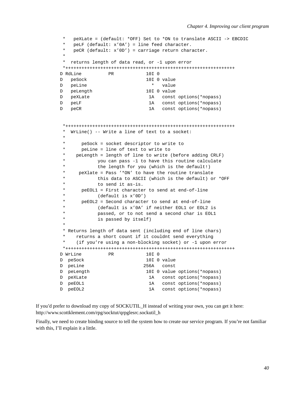```
* peXLate = (default: *OFF) Set to *ON to translate ASCII -> EBCDIC
 * peLF (default: x'0A') = line feed character.<br>* peCP (default: x'0D') = garriage return char
    pecR (default: x'0D') = carriage return character.
 *
 * returns length of data read, or -1 upon error
*+++++++++++++++++++++++++++++++++++++++++++++++++++++++++++++++
D RdLine PR 10I 0
D peSock 10I 0 value
D peLine * value
D peLength 10I 0 value
D peXLate 1A const options(*nopass)
D peLF 1A const options(*nopass)
D peCR 1A const options(*nopass)
 *+++++++++++++++++++++++++++++++++++++++++++++++++++++++++++++++
 * WrLine() -- Write a line of text to a socket:
 *
 * peSock = socket descriptor to write to
      peLine = line of text to write to
     peLength = length of line to write (before adding CRLF)
            you can pass -1 to have this routine calculate
            the length for you (which is the default!)
      peXlate = Pass '*ON' to have the routine translate
 * this data to ASCII (which is the default) or *OFF
 * to send it as-is.<br>* POFOL1 - First character
     peEOL1 = First character to send at end-of-line
 * (default is x'0D')<br>* PeEOL2 = Second character
      peEOL2 = Second character to send at end-of-line
            (default is x'0A' if neither EOL1 or EOL2 is
            passed, or to not send a second char is EOL1
            is passed by itself)
 *
 * Returns length of data sent (including end of line chars)
     returns a short count if it couldnt send everything
     (if you're using a non-blocking socket) or -1 upon error
 *+++++++++++++++++++++++++++++++++++++++++++++++++++++++++++++++
D WrLine PR 10I 0
D peSock 10I 0 value
D peLine 256A const
D peLength 10I 0 value options(*nopass)
D peXLate 1A const options(*nopass)
D peEOL1 1A const options(*nopass)
D peEOL2 1A const options(*nopass)
```
If you'd prefer to download my copy of SOCKUTIL\_H instead of writing your own, you can get it here: http://www.scottklement.com/rpg/socktut/qrpglesrc.sockutil\_h

Finally, we need to create binding source to tell the system how to create our service program. If you're not familiar with this, I'll explain it a little.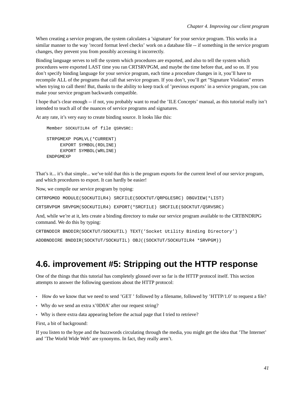When creating a service program, the system calculates a 'signature' for your service program. This works in a similar manner to the way 'record format level checks' work on a database file -- if something in the service program changes, they prevent you from possibly accessing it incorrectly.

Binding language serves to tell the system which procedures are exported, and also to tell the system which procedures were exported LAST time you ran CRTSRVPGM, and maybe the time before that, and so on. If you don't specify binding language for your service program, each time a procedure changes in it, you'll have to recompile ALL of the programs that call that service program. If you don't, you'll get "Signature Violation" errors when trying to call them! But, thanks to the ability to keep track of 'previous exports' in a service program, you can make your service program backwards compatible.

I hope that's clear enough -- if not, you probably want to read the 'ILE Concepts' manual, as this tutorial really isn't intended to teach all of the nuances of service programs and signatures.

At any rate, it's very easy to create binding source. It looks like this:

```
Member SOCKUTILR4 of file QSRVSRC:
STRPGMEXP PGMLVL(*CURRENT)
     EXPORT SYMBOL(RDLINE)
     EXPORT SYMBOL(WRLINE)
ENDPGMEXP
```
That's it... it's that simple... we've told that this is the program exports for the current level of our service program, and which procedures to export. It can hardly be easier!

Now, we compile our service program by typing:

CRTRPGMOD MODULE(SOCKUTILR4) SRCFILE(SOCKTUT/QRPGLESRC) DBGVIEW(\*LIST)

CRTSRVPGM SRVPGM(SOCKUTILR4) EXPORT(\*SRCFILE) SRCFILE(SOCKTUT/QSRVSRC)

And, while we're at it, lets create a binding directory to make our service program available to the CRTBNDRPG command. We do this by typing:

```
CRTBNDDIR BNDDIR(SOCKTUT/SOCKUTIL) TEXT('Socket Utility Binding Directory')
ADDBNDDIRE BNDDIR(SOCKTUT/SOCKUTIL) OBJ((SOCKTUT/SOCKUTILR4 *SRVPGM))
```
# **4.6. improvement #5: Stripping out the HTTP response**

One of the things that this tutorial has completely glossed over so far is the HTTP protocol itself. This section attempts to answer the following questions about the HTTP protocol:

- How do we know that we need to send 'GET ' followed by a filename, followed by 'HTTP/1.0' to request a file?
- Why do we send an extra x'0D0A' after our request string?
- Why is there extra data appearing before the actual page that I tried to retrieve?

First, a bit of background:

If you listen to the hype and the buzzwords circulating through the media, you might get the idea that 'The Internet' and 'The World Wide Web' are synonyms. In fact, they really aren't.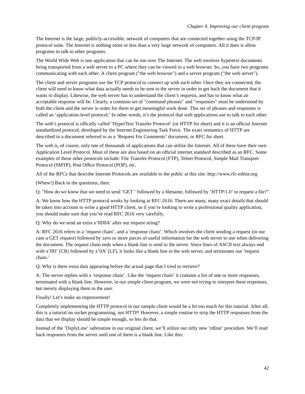The Internet is the large, publicly-accessible, network of computers that are connected together using the TCP/IP protocol suite. The Internet is nothing more or less than a very large network of computers. All it does is allow programs to talk to other programs.

The World Wide Web is one application that can be run over The Internet. The web involves hypertext documents being transported from a web server to a PC where they can be viewed in a web browser. So, you have two programs communicating with each other. A client program ("the web browser") and a server program ("the web server").

The client and server programs use the TCP protocol to connect up with each other. Once they are connected, the client will need to know what data actually needs to be sent to the server in order to get back the document that it wants to display. Likewise, the web server has to understand the client's requests, and has to know what an acceptable response will be. Clearly, a common set of "command phrases" and "responses" must be understood by both the client and the server in order for them to get meaningful work done. This set of phrases and responses is called an 'application-level protocol.' In other words, it's the protocol that web applications use to talk to each other.

The web's protocol is offically called 'HyperText Transfer Protocol' (or HTTP for short) and it is an official Internet standardized protocol, developed by the Internet Engineering Task Force. The exact semantics of HTTP are described in a document referred to as a 'Request For Comments' document, or RFC for short.

The web is, of course, only one of thousands of applications that can utilize the Internet. All of these have their own Application Level Protocol. Most of these are also based on an official internet standard described as an RFC. Some examples of these other protocols include: File Transfer Protocol (FTP), Telnet Protocol, Simple Mail Transport Protocol (SMTP), Post Office Protocol (POP), etc.

All of the RFCs that describe Internet Protocols are available to the public at this site: http://www.rfc-editor.org

(Whew!) Back to the questions, then:

Q: "How do we know that we need to send 'GET ' followed by a filename, followed by 'HTTP/1.0' to request a file?"

A: We know how the HTTP protocol works by looking at RFC 2616. There are many, many exact details that should be taken into account to write a good HTTP client, so if you're looking to write a professional quality application, you should make sure that you've read RFC 2616 very carefully.

Q: Why do we send an extra x'0D0A' after our request string?

A: RFC 2616 refers to a 'request chain', and a 'response chain'. Which involves the client sending a request (in our case a GET request) followed by zero or more pieces of useful information for the web server to use when delivering the document. The request chain ends when a blank line is send to the server. Since lines of ASCII text always end with x'0D' (CR) followed by x'0A' (LF), it looks like a blank line to the web server, and terminates our 'request chain.'

Q: Why is there extra data appearing before the actual page that I tried to retrieve?

A: The server replies with a 'response chain'. Like the 'request chain' it contains a list of one or more responses, terminated with a blank line. However, in our simple client program, we were not trying to interpret these responses, but merely displaying them to the user.

Finally! Let's make an improvement!

Completely implementing the HTTP protocol in our sample client would be a bit too much for this tutorial. After all, this is a tutorial on socket programming, not HTTP! However, a simple routine to strip the HTTP responses from the data that we display should be simple enough, so lets do that.

Instead of the 'DsplyLine' subroutine in our original client, we'll utilize our nifty new 'rdline' procedure. We'll read back responses from the server until one of them is a blank line. Like this: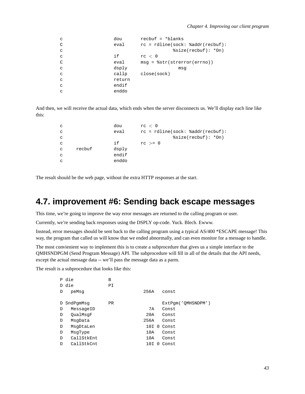| C            | dou    | $recbuf = *blanks$                 |
|--------------|--------|------------------------------------|
| C            | eval   | $rc = rdline(sock: %addr(recbuf):$ |
| $\mathbf C$  |        | $ssize(recbuf): *On)$              |
| $\mathbf C$  | if     | rc < 0                             |
| C            | eval   | $msg = %str(strerror(errno))$      |
| $\mathbf{C}$ | dsply  | msq                                |
| C            | callp  | close(sock)                        |
| C            | return |                                    |
| C            | endif  |                                    |
| C            | enddo  |                                    |

And then, we will receive the actual data, which ends when the server disconnects us. We'll display each line like this:

| C |        | dou   | rc < 0                             |
|---|--------|-------|------------------------------------|
| C |        | eval  | $rc = rdline(sock: %addr(recbuf):$ |
| C |        |       | $ssize(recbuf): *On)$              |
| C |        | i f   | $rc \geq 0$                        |
| C | recbuf | dsply |                                    |
| C |        | endif |                                    |
| C |        | enddo |                                    |

The result should be the web page, without the extra HTTP responses at the start.

# **4.7. improvement #6: Sending back escape messages**

This time, we're going to improve the way error messages are returned to the calling program or user.

Currently, we're sending back responses using the DSPLY op-code. Yuck. Blech. Ewww.

Instead, error messages should be sent back to the calling program using a typical AS/400 \*ESCAPE message! This way, the program that called us will know that we ended abnormally, and can even monitor for a message to handle.

The most convienient way to implement this is to create a subprocedure that gives us a simple interface to the QMHSNDPGM (Send Program Message) API. The subprocedure will fill in all of the details that the API needs, except the actual message data -- we'll pass the message data as a parm.

The result is a subprocedure that looks like this:

|   | P die      | в         |      |   |                    |
|---|------------|-----------|------|---|--------------------|
|   | D die      | ΡI        |      |   |                    |
| D | peMsq      |           | 256A |   | const              |
|   |            |           |      |   |                    |
| D | SndPqmMsq  | <b>PR</b> |      |   | ExtPqm('OMHSNDPM') |
| D | MessageID  |           | 7A   |   | Const              |
| D | OualMsqF   |           | 20A  |   | Const              |
| D | MsqData    |           | 256A |   | Const              |
| D | MsgDtaLen  |           |      |   | $10I$ $0$ Const    |
| D | MsqType    |           | 10A  |   | Const              |
| D | CallStkEnt |           | 10A  |   | Const              |
| D | CallStkCnt |           | 10I  | 0 | Const              |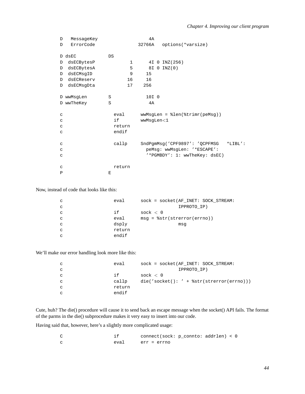| D            | MessageKey |        | 4A                                         |
|--------------|------------|--------|--------------------------------------------|
| D            | ErrorCode  |        | 32766A<br>options(*varsize)                |
|              | D dsEC     | DS     |                                            |
| D            | dsECBytesP | 1      | 4I 0 INZ (256)                             |
| D            | dsECBytesA | 5      | 8I 0 INZ(0)                                |
| D            | dsECMsqID  | 9      | 15                                         |
| D            | dsECReserv | 16     | 16                                         |
| D            | dsECMsqDta | 17     | 256                                        |
|              |            |        |                                            |
|              | D wwMsgLen | S      | 10I 0                                      |
|              | D wwTheKey | S      | 4A                                         |
|              |            |        |                                            |
| C            |            | eval   | $wwwMsgLen = %len(%trimr(peMsg))$          |
| C            |            | if     | wwMsgLen<1                                 |
| $\mathtt{C}$ |            | return |                                            |
| C            |            | endif  |                                            |
|              |            |        |                                            |
| $\mathtt{C}$ |            | callp  | SndPgmMsg('CPF9897': 'QCPFMSG<br>$*LIBL':$ |
| C            |            |        | peMsg: wwMsgLen: '*ESCAPE':                |
| C            |            |        | '*PGMBDY': 1: wwTheKey: dsEC)              |
|              |            |        |                                            |
| C            |            | return |                                            |
| P            |            | E      |                                            |

Now, instead of code that looks like this:

| C | eval   | sock = socket (AF INET: SOCK STREAM: |
|---|--------|--------------------------------------|
| C |        | IPPROTO IP)                          |
| C | i f    | sock $< 0$                           |
| C | eval   | $msg = %str(strerror(errno))$        |
| C | dsply  | msq                                  |
| C | return |                                      |
| C | endif  |                                      |

We'll make our error handling look more like this:

| C | eval   | $sock = socket (AF INFT: SOCK STREAM:$    |
|---|--------|-------------------------------------------|
| C |        | IPPROTO IP)                               |
| C | i f    | sock $< 0$                                |
| C | callp  | die('socket(): ' + $str(strerror(errno))$ |
| C | return |                                           |
| C | endif  |                                           |

Cute, huh? The die() procedure will cause it to send back an escape message when the socket() API fails. The format of the parms in the die() subprocedure makes it very easy to insert into our code.

Having said that, however, here's a slightly more complicated usage:

|      | connect(sock: p_connto: addrlen) < 0 |  |  |
|------|--------------------------------------|--|--|
| eval | err = errno                          |  |  |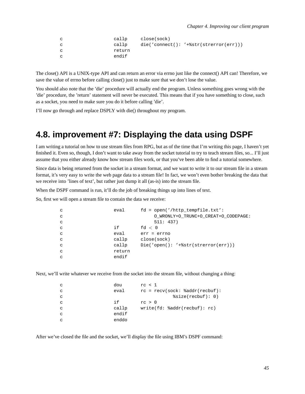| $\mathbf{C}$ | callp  | close(sock) |                                          |
|--------------|--------|-------------|------------------------------------------|
| $\mathbf{C}$ | callp  |             | $die('connect(): '+%str(strerror(err)))$ |
| C            | return |             |                                          |
| C.           | endif  |             |                                          |

The close() API is a UNIX-type API and can return an error via errno just like the connect() API can! Therefore, we save the value of errno before calling close() just to make sure that we don't lose the value.

You should also note that the 'die' procedure will actually end the program. Unless something goes wrong with the 'die' procedure, the 'return' statement will never be executed. This means that if you have something to close, such as a socket, you need to make sure you do it before calling 'die'.

I'll now go through and replace DSPLY with die() throughout my program.

#### **4.8. improvement #7: Displaying the data using DSPF**

I am writing a tutorial on how to use stream files from RPG, but as of the time that I'm writing this page, I haven't yet finished it. Even so, though, I don't want to take away from the socket tutorial to try to teach stream files, so... I'll just assume that you either already know how stream files work, or that you've been able to find a tutorial somewhere.

Since data is being returned from the socket in a stream format, and we want to write it to our stream file in a stream format, it's very easy to write the web page data to a stream file! In fact, we won't even bother breaking the data that we receive into 'lines of text', but rather just dump it all (as-is) into the stream file.

When the DSPF command is run, it'll do the job of breaking things up into lines of text.

So, first we will open a stream file to contain the data we receive:

| $\mathbf{C}$ | eval   | $fd = open('/http_tempfile.txt':$     |
|--------------|--------|---------------------------------------|
| $\mathbf{C}$ |        | O WRONLY+O TRUNC+O CREAT+O CODEPAGE:  |
| $\mathbf{C}$ |        | 511: 437)                             |
| $\mathbf{C}$ | if     | fd $< 0$                              |
| $\mathbf{C}$ | eval   | $err = errno$                         |
| $\mathbf C$  | callp  | close(sock)                           |
| $\mathbf C$  | callp  | $Die('open(): '+§str(strerror(err)))$ |
| $\mathbf{C}$ | return |                                       |
| C            | endif  |                                       |

Next, we'll write whatever we receive from the socket into the stream file, without changing a thing:

| dou<br>C   | rc < 1                           |
|------------|----------------------------------|
| eval<br>C  | $rc = recv(sock: %addr(recbuf):$ |
| C          | ssize(recbuf): 0)                |
| i f<br>C   | rc > 0                           |
| callp<br>C | write(fd: %addr(recbuf): rc)     |
| endif<br>C |                                  |
| enddo<br>С |                                  |

After we've closed the file and the socket, we'll display the file using IBM's DSPF command: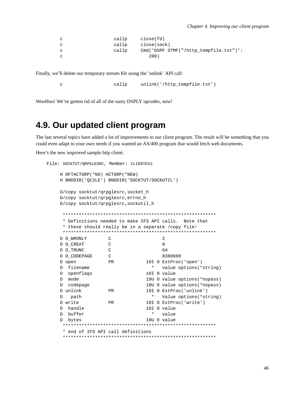```
callp
                                         close(fd)\mathtt{C}\epsiloncallp
                                         close(sock)
                           callp
                                         Cmd('DSPF STMF("/http_tempfile.txt")':
\mathbf{C}200)\overline{C}
```
Finally, we'll delete our temporary stream file using the 'unlink' API call:

callp unlink('/http tempfile.txt')  $\mathbf{C}$ 

WooHoo! We've gotten rid of all of the nasty DSPLY opcodes, now!

### 4.9. Our updated client program

The last several topics have added a lot of improvements to our client program. The result will be something that you could even adapt to your own needs if you wanted an AS/400 program that would fetch web documents.

Here's the new improved sample http client:

```
File: SOCKTUT/QRPGLESRC, Member: CLIENTEX2
   H DFTACTGRP(*NO) ACTGRP(*NEW)
   H BNDDIR('QC2LE') BNDDIR('SOCKTUT/SOCKUTIL')
   D/copy socktut/qrpglesrc, socket_h
   D/copy socktut/qrpglesrc, errno_h
   D/copy socktut/qrpglesrc, sockutil_h
    * Definitions needed to make IFS API calls. Note that
    * these should really be in a separate /copy file!
    \mathbb{C}D O_WRONLY
                                  \overline{2}D O_CREAT
                 \mathcal{C}8
                \mathbb C64
   D O TRUNC
   D O CODEPAGE
                \overline{C}8388608
                PR
                            10I 0 ExtProc('open')
   D open
   D filename
                              * value options (*string)
   D openflags
                             10I 0 value
                            10U 0 value options (*nopass)
   D mode
                            10U 0 value options (*nopass)
   D codepage
                PR
                            10I 0 ExtProc('unlink')
   D unlink
   D path
                              * Value options (*string)
   D write
                PR
                             10I 0 ExtProc('write')
   D handle
                             10I 0 value
   D buffer
                              \starvalue
   D bytes
                             10U 0 value
    * end of IFS API call definitions
```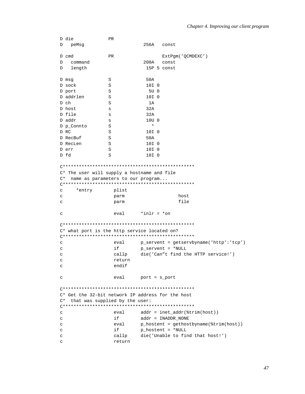|    | D die                                             | PR        |                  |                                                                 |
|----|---------------------------------------------------|-----------|------------------|-----------------------------------------------------------------|
| D  | peMsg                                             |           | 256A             | const                                                           |
|    | D cmd                                             | <b>PR</b> |                  | ExtPgm('QCMDEXC')                                               |
| D  | command                                           |           | 200A             | const                                                           |
| D  | length                                            |           |                  | 15P 5 const                                                     |
|    |                                                   |           |                  |                                                                 |
|    | D msg                                             | S         | 50A              |                                                                 |
|    | D sock                                            | S         | 10I <sub>0</sub> |                                                                 |
|    | D port                                            | S         | 5U 0             |                                                                 |
|    | D addrlen                                         | S         | 10I 0            |                                                                 |
|    | D ch                                              | S         | 1A               |                                                                 |
|    | D host                                            | s         | 32A              |                                                                 |
|    | D file                                            | s         | 32A              |                                                                 |
|    | D addr                                            | S         | 10U <sub>0</sub> |                                                                 |
|    | D p_Connto                                        | S         | $^\star$         |                                                                 |
|    | D RC                                              | S         | 10I 0            |                                                                 |
|    | D RecBuf                                          | S         | 50A              |                                                                 |
|    | D RecLen                                          | S         | 10I 0            |                                                                 |
|    | D err                                             | S         | 10I 0            |                                                                 |
|    | D fd                                              | S         | 10I 0            |                                                                 |
|    |                                                   |           |                  |                                                                 |
|    |                                                   |           |                  |                                                                 |
|    | C* The user will supply a hostname and file       |           |                  |                                                                 |
| C* | name as parameters to our program                 |           |                  |                                                                 |
|    |                                                   |           |                  |                                                                 |
| C  | *entry                                            | plist     |                  |                                                                 |
| C  |                                                   |           |                  | host                                                            |
|    |                                                   | parm      |                  | file                                                            |
| C  |                                                   | parm      |                  |                                                                 |
| с  |                                                   | eval      | $*int = *on$     |                                                                 |
|    |                                                   |           |                  |                                                                 |
|    |                                                   |           |                  |                                                                 |
|    | C* what port is the http service located on?      |           |                  |                                                                 |
| С  |                                                   | eval      |                  | p_servent = getservbyname('http':'tcp')                         |
| C  |                                                   | if        |                  | $p$ _servent = *NULL                                            |
| C  |                                                   | callp     |                  | die('Can"t find the HTTP service!')                             |
| C  |                                                   | return    |                  |                                                                 |
|    |                                                   | endif     |                  |                                                                 |
| с  |                                                   |           |                  |                                                                 |
| C  |                                                   | eval      | $port = s\_port$ |                                                                 |
|    |                                                   |           |                  |                                                                 |
|    |                                                   |           |                  |                                                                 |
|    | C* Get the 32-bit network IP address for the host |           |                  |                                                                 |
| C* | that was supplied by the user:                    |           |                  |                                                                 |
| C  |                                                   | eval      |                  | $addr = incl\_addr(\text{trim}(host))$                          |
|    |                                                   | if        |                  | $addr = IMADDR NONE$                                            |
| C  |                                                   |           |                  |                                                                 |
| C  |                                                   | eval      |                  | $p_{\text{hostent}} = q_{\text{ethost}}/q_{\text{train}}(host)$ |
| с  |                                                   | if        |                  | $p\_hostent = *NULL$                                            |
| с  |                                                   | callp     |                  | die('Unable to find that host!')                                |
| C  |                                                   | return    |                  |                                                                 |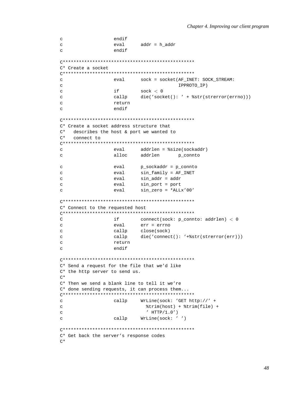```
endif
\mathtt{C}\mathbf{C}eval
                       addr = h addr
                endif
\mathbf{C}C* Create a socket
sock = socket(AF_INET: SOCK_STREAM:
\mathsf{C}eval
                                    IPPROTO IP)
\mathsf{C}if
                       sock < 0\mathbf{C}callp
                        die('socket(): ' + %str(strerror(errno)))
\overline{c}return
\mathcal{C}endif
\GammaC* Create a socket address structure that
C^*describes the host & port we wanted to
C^*connect to
\mathsf{C}eval
                       addrlen = %size(sockaddr)
                alloc
                       addrlen p_connto
\mathbf{C}p_sockaddr = p_connto
                eval
\mathbf{C}sin_family = AF_ INET
                eval
\mathcal{C}\epsiloneval
                        sin addr = addr\mathbf{C}eval
                        sin_port = port
\mathbf{C}eval
                        sin\_zero = *ALLx'00'C* Connect to the requested host
\mathsf{C}if
                        connect(sock: p_connto: addrlen) < 0
\mathbf{C}eval
                       err = errno
                callp
                        close(sock)
\mathbf{C}callp
                       die('connect(): '+%str(strerror(err)))
\mathbf C\mathbf Creturn
\mathcal{C}endif
C* Send a request for the file that we'd like
C* the http server to send us.
C^*C* Then we send a blank line to tell it we're
C* done sending requests, it can process them...
WrLine(sock: 'GET http://' +
\mathtt{C}callp
                          'trim(host) + 'trim(file) +
\mathbf{C}\mathcal{C}' HTTP/1.0')callp
                        WrLine(sock: '')\mathcal{L}C* Get back the server's response codes
C^*
```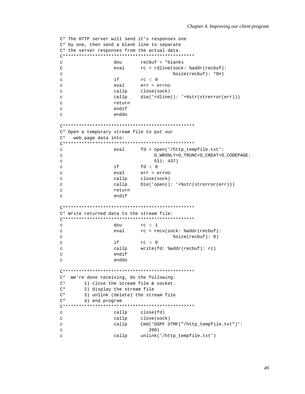```
C* The HTTP server will send it's responses one
C* by one, then send a blank line to separate
C* the server responses from the actual data.
recbuf = *blanks\mathbf{C}dവു
                           rc = rdline(sock: %addr(recbuf))\mathsf{C}eval
\mathbf{C}%size(recbuf): *On)
\rm{c}if
                           rc < 0err = errno\mathsf{C}eval
                   callp
                            close(sock)
\mathtt{C}callp
                           die('rdline(): '+%str(strerror(err)))
\mathbf{C}return
\mathsf{C}endif
\mathbf Cenddo
\epsilonC* Open a temporary stream file to put our
C^*web page data into:
\mathbf{C}eval
                           fd = open('/http_tempfile.txt':
                                 O_WRONLY+O_TRUNC+O_CREAT+O_CODEPAGE:
\mathcal{C}511: 437)\mathtt{C}if
\rm{c}fd < 0err = erreval
\mathcal{C}\mathbf{C}callp
                            close(sock)
                           Die('open(): '+%str(strerror(err)))
\mathbf{C}callp
\mathbf{C}return
                   endif
\mathcal{C}C* Write returned data to the stream file:
\overline{C}rc < 1dou
                   eval
                           rc = recv(sock: %addr(recbuf):\mathbf{C}ssize(recbuf): 0)\mathsf{C}\mathbf{C}if
                           rc > 0\mathcal{C}callp
                            write(fd: %addr(recbuf): rc)endif
\mathbf{C}enddo
\mathbf{C}C* We're done receiving, do the following:
\mathrm{C}^{\,\star}1) close the stream file & socket.
\mathrm{C}^{\,\star}2) display the stream file
C^*3) unlink (delete) the stream file
\mathrm{C}\,{}^{\star}4) end program
\mathtt{C}callp
                           close(fd)
\epsiloncallp
                           close(sock)
\mathtt{C}callp
                           Cmd('DSPF STMF("/http_tempfile.txt")':
\mathbf{C}200)unlink('/http_tempfile.txt')
\mathtt{C}callp
```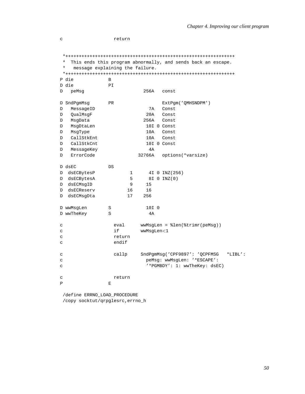| C            |                                 |    | return |            |                                                              |
|--------------|---------------------------------|----|--------|------------|--------------------------------------------------------------|
|              |                                 |    |        |            |                                                              |
|              |                                 |    |        |            |                                                              |
|              | $^\star$                        |    |        |            |                                                              |
|              | $^\star$                        |    |        |            | This ends this program abnormally, and sends back an escape. |
|              | message explaining the failure. |    |        |            |                                                              |
|              | P die                           | B  |        |            |                                                              |
|              | D die                           | PI |        |            |                                                              |
| D            | peMsq                           |    |        | 256A       | const                                                        |
|              |                                 |    |        |            |                                                              |
|              | D SndPgmMsg                     | PR |        |            | ExtPgm('QMHSNDPM')                                           |
| D            | MessageID                       |    |        | 7A         | Const                                                        |
| D            | QualMsgF                        |    |        | 20A        | Const                                                        |
| D            | MsgData                         |    |        | 256A       | Const                                                        |
| D            | MsgDtaLen                       |    |        |            | 10I 0 Const                                                  |
| D            | MsqType                         |    |        | 10A        | Const                                                        |
| D            | CallStkEnt                      |    |        | 10A        | Const                                                        |
| D            | CallStkCnt                      |    |        |            | 10I 0 Const                                                  |
| D            | MessageKey                      |    |        | 4А         |                                                              |
| D            | ErrorCode                       |    |        | 32766A     | options(*varsize)                                            |
|              | D dsEC                          | DS |        |            |                                                              |
| D            | dsECBytesP                      |    | 1      |            | 4I 0 INZ (256)                                               |
| D            | dsECBytesA                      |    | 5      |            | 8I 0 INZ(0)                                                  |
| D            | dsECMsgID                       |    | 9      | 15         |                                                              |
| D            | dsECReserv                      |    | 16     | 16         |                                                              |
| D            | dsECMsqDta                      |    | 17     | 256        |                                                              |
|              |                                 |    |        |            |                                                              |
|              | D wwMsqLen                      | S  |        | 10I 0      |                                                              |
|              | D wwTheKey                      | S  |        | 4A         |                                                              |
| C            |                                 |    | eval   |            | $wwwMsgLen = %len(%trimr(peMsg))$                            |
| C            |                                 |    | if     | wwMsqLen<1 |                                                              |
| C            |                                 |    | return |            |                                                              |
| $\mathbf C$  |                                 |    | endif  |            |                                                              |
| C            |                                 |    | callp  |            | SndPgmMsg('CPF9897': 'QCPFMSG<br>$*LIBL':$                   |
| C            |                                 |    |        |            | peMsg: wwMsgLen: '*ESCAPE':                                  |
| $\mathbf C$  |                                 |    |        |            | '*PGMBDY': 1: wwTheKey: dsEC)                                |
| C            |                                 |    | return |            |                                                              |
| $\mathbf{P}$ |                                 | E  |        |            |                                                              |

/define ERRNO\_LOAD\_PROCEDURE /copy socktut/qrpglesrc,errno\_h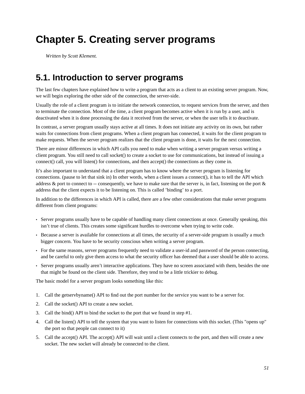# **Chapter 5. Creating server programs**

*Written by Scott Klement.*

# **5.1. Introduction to server programs**

The last few chapters have explained how to write a program that acts as a client to an existing server program. Now, we will begin exploring the other side of the connection, the server-side.

Usually the role of a client program is to initiate the network connection, to request services from the server, and then to terminate the connection. Most of the time, a client program becomes active when it is run by a user, and is deactivated when it is done processing the data it received from the server, or when the user tells it to deactivate.

In contrast, a server program usually stays active at all times. It does not initiate any activity on its own, but rather waits for connections from client programs. When a client program has connected, it waits for the client program to make requests. When the server program realizes that the client program is done, it waits for the next connection.

There are minor differences in which API calls you need to make when writing a server program versus writing a client program. You still need to call socket() to create a socket to use for communications, but instead of issuing a connect() call, you will listen() for connections, and then accept() the connections as they come in.

It's also important to understand that a client program has to know where the server program is listening for connections. (pause to let that sink in) In other words, when a client issues a connect(), it has to tell the API which address & port to connect to -- consequently, we have to make sure that the server is, in fact, listening on the port  $\&$ address that the client expects it to be listening on. This is called 'binding' to a port.

In addition to the differences in which API is called, there are a few other considerations that make server programs different from client programs:

- Server programs usually have to be capable of handling many client connections at once. Generally speaking, this isn't true of clients. This creates some significant hurdles to overcome when trying to write code.
- Because a server is available for connections at all times, the security of a server-side program is usually a much bigger concern. You have to be security conscious when writing a server program.
- For the same reasons, server programs frequently need to validate a user-id and password of the person connecting, and be careful to only give them access to what the security officer has deemed that a user should be able to access.
- Server programs usually aren't interactive applications. They have no screen associated with them, besides the one that might be found on the client side. Therefore, they tend to be a little trickier to debug.

The basic model for a server program looks something like this:

- 1. Call the getservbyname() API to find out the port number for the service you want to be a server for.
- 2. Call the socket() API to create a new socket.
- 3. Call the bind() API to bind the socket to the port that we found in step #1.
- 4. Call the listen() API to tell the system that you want to listen for connections with this socket. (This "opens up" the port so that people can connect to it)
- 5. Call the accept() API. The accept() API will wait until a client connects to the port, and then will create a new socket. The new socket will already be connected to the client.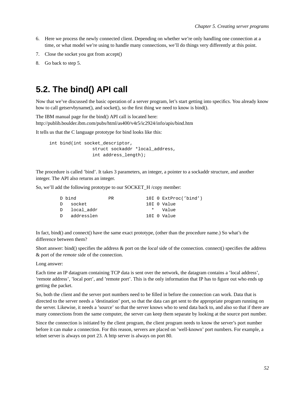- 6. Here we process the newly connected client. Depending on whether we're only handling one connection at a time, or what model we're using to handle many connections, we'll do things very differently at this point.
- 7. Close the socket you got from accept()
- 8. Go back to step 5.

### **5.2. The bind() API call**

Now that we've discussed the basic operation of a server program, let's start getting into specifics. You already know how to call getservbyname(), and socket(), so the first thing we need to know is bind().

The IBM manual page for the bind() API call is located here: http://publib.boulder.ibm.com/pubs/html/as400/v4r5/ic2924/info/apis/bind.htm

It tells us that the C language prototype for bind looks like this:

int bind(int socket\_descriptor, struct sockaddr \*local\_address, int address\_length);

The procedure is called 'bind'. It takes 3 parameters, an integer, a pointer to a sockaddr structure, and another integer. The API also returns an integer.

So, we'll add the following prototype to our SOCKET\_H /copy member:

| PR.                                                | 10I 0 ExtProc('bind') |
|----------------------------------------------------|-----------------------|
|                                                    | 10I O Value           |
|                                                    | * Value               |
|                                                    | 10I O Value           |
| D bind<br>D socket<br>D local addr<br>D addresslen |                       |

In fact, bind() and connect() have the same exact prototype, (other than the procedure name.) So what's the difference between them?

Short answer: bind() specifies the address & port on the *local* side of the connection. connect() specifies the address & port of the *remote* side of the connection.

Long answer:

Each time an IP datagram containing TCP data is sent over the network, the datagram contains a 'local address', 'remote address', 'local port', and 'remote port'. This is the only information that IP has to figure out who ends up getting the packet.

So, both the client and the server port numbers need to be filled in before the connection can work. Data that is directed to the server needs a 'destination' port, so that the data can get sent to the appropriate program running on the server. Likewise, it needs a 'source' so that the server knows who to send data back to, and also so that if there are many connections from the same computer, the server can keep them separate by looking at the source port number.

Since the connection is initiated by the client program, the client program needs to know the server's port number before it can make a connection. For this reason, servers are placed on 'well-known' port numbers. For example, a telnet server is always on port 23. A http server is always on port 80.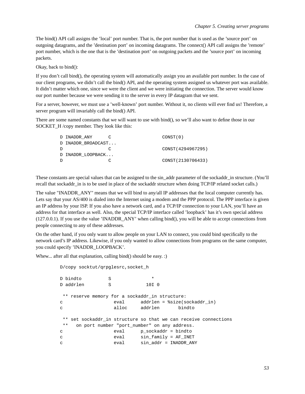The bind() API call assigns the 'local' port number. That is, the port number that is used as the 'source port' on outgoing datagrams, and the 'destination port' on incoming datagrams. The connect() API call assigns the 'remote' port number, which is the one that is the 'destination port' on outgoing packets and the 'source port' on incoming packets.

Okay, back to bind():

If you don't call bind(), the operating system will automatically assign you an available port number. In the case of our client programs, we didn't call the bind() API, and the operating system assigned us whatever port was available. It didn't matter which one, since we were the client and we were initiating the connection. The server would know our port number because we were sending it to the server in every IP datagram that we sent.

For a server, however, we must use a 'well-known' port number. Without it, no clients will ever find us! Therefore, a server program will invariably call the bind() API.

There are some named constants that we will want to use with bind(), so we'll also want to define those in our SOCKET H /copy member. They look like this:

|   | D INADDR ANY       | CONST(0)           |
|---|--------------------|--------------------|
|   | D INADDR BROADCAST |                    |
| D |                    | CONST (4294967295) |
|   | D INADDR LOOPBACK  |                    |
| D |                    | CONST(2130706433)  |
|   |                    |                    |

These constants are special values that can be assigned to the sin\_addr parameter of the sockaddr\_in structure. (You'll recall that sockaddr in is to be used in place of the sockaddr structure when doing TCP/IP related socket calls.)

The value "INADDR ANY" means that we will bind to any/all IP addresses that the local computer currently has. Lets say that your AS/400 is dialed into the Internet using a modem and the PPP protocol. The PPP interface is given an IP address by your ISP. If you also have a network card, and a TCP/IP connection to your LAN, you'll have an address for that interface as well. Also, the special TCP/IP interface called 'loopback' has it's own special address (127.0.0.1). If you use the value 'INADDR\_ANY' when calling bind(), you will be able to accept connections from people connecting to any of these addresses.

On the other hand, if you only want to allow people on your LAN to connect, you could bind specifically to the network card's IP address. Likewise, if you only wanted to allow connections from programs on the same computer, you could specify 'INADDR\_LOOPBACK'.

Whew... after all that explanation, calling bind() should be easy. :)

```
D/copy socktut/qrpglesrc,socket_h
D bindto S *
D addrlen S 10I 0
** reserve memory for a sockaddr_in structure:
c eval addrlen = %size(sockaddr_in)
c alloc addrlen bindto
** set sockaddr_in structure so that we can receive connections
** on port number "port_number" on any address.
c eval p_sockaddr = bindto
c eval sin_family = AF_INET
c eval sin_addr = INADDR_ANY
```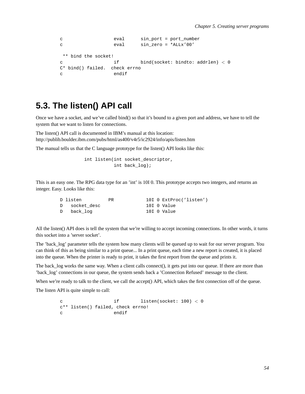```
c eval sin_port = port_number
c eval sin_zero = *ALLx'00'
** bind the socket!
c if bind(socket: bindto: addrlen) < 0
C* bind() failed. check errno
c endif
```
# **5.3. The listen() API call**

Once we have a socket, and we've called bind() so that it's bound to a given port and address, we have to tell the system that we want to listen for connections.

The listen() API call is documented in IBM's manual at this location: http://publib.boulder.ibm.com/pubs/html/as400/v4r5/ic2924/info/apis/listen.htm

The manual tells us that the C language prototype for the listen() API looks like this:

int listen(int socket\_descriptor, int back\_log);

This is an easy one. The RPG data type for an 'int' is 10I 0. This prototype accepts two integers, and returns an integer. Easy. Looks like this:

| D listen      | PR. |  | 10I 0 ExtProc('listen') |
|---------------|-----|--|-------------------------|
| D socket desc |     |  | 10I O Value             |
| D back log    |     |  | 10I O Value             |

All the listen() API does is tell the system that we're willing to accept incoming connections. In other words, it turns this socket into a 'server socket'.

The 'back\_log' parameter tells the system how many clients will be queued up to wait for our server program. You can think of this as being similar to a print queue... In a print queue, each time a new report is created, it is placed into the queue. When the printer is ready to print, it takes the first report from the queue and prints it.

The back log works the same way. When a client calls connect(), it gets put into our queue. If there are more than 'back\_log' connections in our queue, the system sends back a 'Connection Refused' message to the client.

When we're ready to talk to the client, we call the accept() API, which takes the first connection off of the queue.

The listen API is quite simple to call:

c if listen(socket: 100) < 0 c\*\* listen() failed, check errno! c endif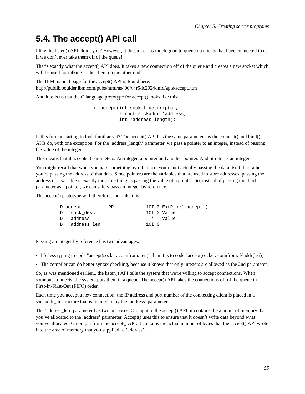# **5.4. The accept() API call**

I like the listen() API, don't you? However, it doesn't do us much good to queue up clients that have connected to us, if we don't ever take them off of the queue!

That's exactly what the accept() API does. It takes a new connection off of the queue and creates a new socket which will be used for talking to the client on the other end.

The IBM manual page for the accept() API is found here: http://publib.boulder.ibm.com/pubs/html/as400/v4r5/ic2924/info/apis/accept.htm

And it tells us that the C language prototype for accept() looks like this:

int accept(int socket descriptor, struct sockaddr \*address, int \*address\_length);

Is this format starting to look familiar yet? The accept() API has the same parameters as the connect() and bind() APIs do, with one exception. For the 'address' length' parameter, we pass a pointer to an integer, instead of passing the value of the integer.

This means that it accepts 3 parameters. An integer, a pointer and another pointer. And, it returns an integer.

You might recall that when you pass something by reference, you're not actually passing the data itself, but rather you're passing the address of that data. Since pointers are the variables that are used to store addresses, passing the address of a variable is exactly the same thing as passing the value of a pointer. So, instead of passing the third parameter as a pointer, we can safely pass an integer by reference.

The accept() prototype will, therefore, look like this:

| D accept      | PR. |       | 10I 0 ExtProc('accept') |
|---------------|-----|-------|-------------------------|
| D sock desc   |     |       | 10I O Value             |
| D address     |     |       | * Value                 |
| D address len |     | 10T 0 |                         |

Passing an integer by reference has two advantages:

- It's less typing to code "accept(socket: connfrom: len)" than it is to code "accept(socket: connfrom: %addr(len))"
- The compiler can do better syntax checking, because it knows that only integers are allowed as the 2nd parameter.

So, as was mentioned earlier... the listen() API tells the system that we're willing to accept connections. When someone connects, the system puts them in a queue. The accept() API takes the connections off of the queue in First-In-First-Out (FIFO) order.

Each time you accept a new connection, the IP address and port number of the connecting client is placed in a sockaddr in structure that is pointed to by the 'address' parameter.

The 'address\_len' parameter has two purposes. On input to the accept() API, it contains the amount of memory that you've allocated to the 'address' parameter. Accept() uses this to ensure that it doesn't write data beyond what you've allocated. On output from the accept() API, it contains the actual number of bytes that the accept() API wrote into the area of memory that you supplied as 'address'.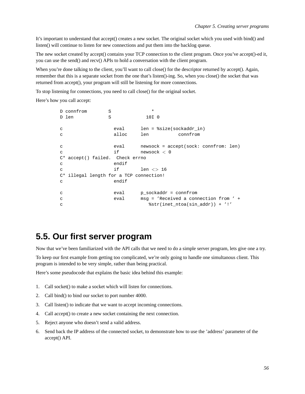It's important to understand that accept() creates a new socket. The original socket which you used with bind() and listen() will continue to listen for new connections and put them into the backlog queue.

The new socket created by accept() contains your TCP connection to the client program. Once you've accept()-ed it, you can use the send() and recv() APIs to hold a conversation with the client program.

When you're done talking to the client, you'll want to call close() for the descriptor returned by accept(). Again, remember that this is a separate socket from the one that's listen()-ing. So, when you close() the socket that was returned from accept(), your program will still be listening for more connections.

To stop listening for connections, you need to call close() for the original socket.

Here's how you call accept:

|              | D connfrom                              | S |       | $\star$          |               |                            |                                         |  |
|--------------|-----------------------------------------|---|-------|------------------|---------------|----------------------------|-----------------------------------------|--|
|              | D len                                   | S |       | 10I <sub>0</sub> |               |                            |                                         |  |
|              |                                         |   |       |                  |               |                            |                                         |  |
| C            |                                         |   | eval  |                  |               | $len = $size(sockets, in)$ |                                         |  |
| C            |                                         |   | alloc | len              |               | connfrom                   |                                         |  |
|              |                                         |   |       |                  |               |                            |                                         |  |
| $\mathbf{C}$ |                                         |   | eval  |                  |               |                            | $newsock = accept(sock: confirm: len)$  |  |
| $\mathsf{C}$ |                                         |   | if    |                  | newsock $<$ 0 |                            |                                         |  |
|              | C* accept() failed. Check errno         |   |       |                  |               |                            |                                         |  |
| C            |                                         |   | endif |                  |               |                            |                                         |  |
| C            |                                         |   | if    |                  | $len \lt 16$  |                            |                                         |  |
|              | C* illegal length for a TCP connection! |   |       |                  |               |                            |                                         |  |
| $\mathbf{C}$ |                                         |   | endif |                  |               |                            |                                         |  |
|              |                                         |   |       |                  |               |                            |                                         |  |
| C            |                                         |   | eval  |                  |               | $p$ sockaddr = connfrom    |                                         |  |
| C            |                                         |   | eval  |                  |               |                            | $msg = 'Received a connection from ' +$ |  |
| C            |                                         |   |       |                  |               |                            | $%str(inet_ntoa(sin_addr)) + '!'$       |  |

#### **5.5. Our first server program**

Now that we've been familiarized with the API calls that we need to do a simple server program, lets give one a try.

To keep our first example from getting too complicated, we're only going to handle one simultanous client. This program is intended to be very simple, rather than being practical.

Here's some pseudocode that explains the basic idea behind this example:

- 1. Call socket() to make a socket which will listen for connections.
- 2. Call bind() to bind our socket to port number 4000.
- 3. Call listen() to indicate that we want to accept incoming connections.
- 4. Call accept() to create a new socket containing the next connection.
- 5. Reject anyone who doesn't send a valid address.
- 6. Send back the IP address of the connected socket, to demonstrate how to use the 'address' parameter of the accept() API.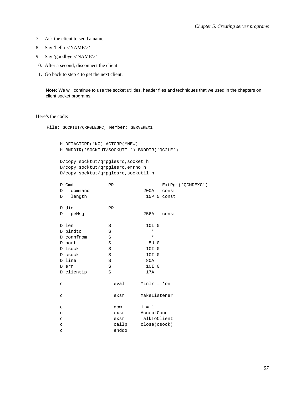- 7. Ask the client to send a name
- 8. Say 'hello <NAME>'
- 9. Say 'goodbye <NAME>'
- 10. After a second, disconnect the client
- 11. Go back to step 4 to get the next client.

Note: We will continue to use the socket utilities, header files and techniques that we used in the chapters on client socket programs.

Here's the code:

File: SOCKTUT/QRPGLESRC, Member: SERVEREX1

```
H DFTACTGRP(*NO) ACTGRP(*NEW)
H BNDDIR('SOCKTUT/SOCKUTIL') BNDDIR('QC2LE')
```

```
D/copy socktut/qrpglesrc, socket_h
D/copy socktut/qrpglesrc, errno_h
D/copy socktut/qrpglesrc, sockutil_h
```

| D Cmd        | PR        |                  | ExtPqm('QCMDEXC') |
|--------------|-----------|------------------|-------------------|
| command<br>D |           | 200A             | const             |
| length<br>D  |           |                  | 15P 5 const       |
| D die        | <b>PR</b> |                  |                   |
| peMsq<br>D   |           | 256A             | const             |
| D len        | S         | 10I 0            |                   |
| D bindto     | S         | $^\star$         |                   |
| D connfrom   | S         | $\star$          |                   |
| D port       | S         | 5U 0             |                   |
| D lsock      | S         | 10I <sub>0</sub> |                   |
| D csock      | S         | 10I 0            |                   |
| D line       | S         | 80A              |                   |
| D err        | S         | 10I 0            |                   |
| D clientip   | S         | 17A              |                   |
| $\mathtt{C}$ | eval      | $*inlr = *on$    |                   |
| $\mathtt{C}$ | exsr      | MakeListener     |                   |
| $\mathbf C$  | dow       | $1 = 1$          |                   |
| $\mathtt{C}$ | exsr      | AcceptConn       |                   |
| $\mathbf C$  | exsr      | TalkToClient     |                   |
| $\mathbf C$  | callp     | close(csock)     |                   |
| C            | enddo     |                  |                   |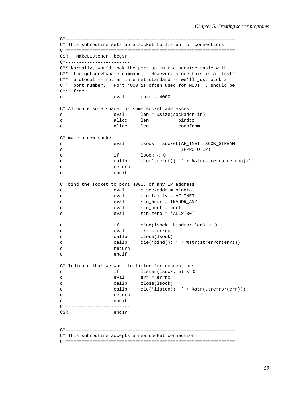```
C*===============================================================
C* This subroutine sets up a socket to listen for connections
C*===============================================================
CSR MakeListener begsr
C*------------------------
C** Normally, you'd look the port up in the service table with
C** the getservbyname command. However, since this is a 'test'
C** protocol -- not an internet standard -- we'll just pick a
C** port number. Port 4000 is often used for MUDs... should be
C** free...
c eval port = 4000
C* Allocate some space for some socket addresses
c eval len = %size(sockaddr_in)
c alloc len bindto
c alloc len connfrom
C* make a new socket
c eval lsock = socket(AF_INET: SOCK_STREAM:
c iPPROTO_IP)
c if lsock < 0
c callp die('socket(): ' + %str(strerror(errno)))
c return
c endif
C* bind the socket to port 4000, of any IP address
c eval p_sockaddr = bindto
c eval sin_family = AF_INET
c eval sin_addr = INADDR_ANY
c eval sin_port = port
c eval sin_zero = *ALLx'00'
c if bind(lsock: bindto: len) < 0
c eval err = errno
c callp close(lsock)
c callp die('bind(): ' + %str(strerror(err)))
c return
c endif
C* Indicate that we want to listen for connections
c if listen(lsock: 5) < 0
c eval err = errno
c callp close(lsock)
c callp die('listen(): ' + *str(strerror(err)))
c return
c endif
C*------------------------
CSR endsr
```
C\*===============================================================

C\* This subroutine accepts a new socket connection

C\*===============================================================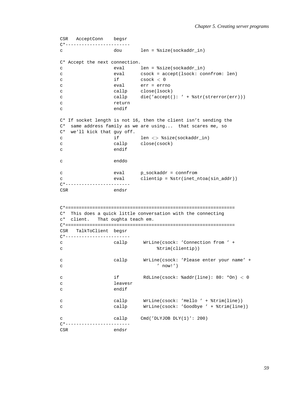```
CSR AcceptConn begsr
C*------------------------
c dou len = %size(sockaddr_in)
C* Accept the next connection.
c eval len = %size(sockaddr_in)
c eval csock = accept(lsock: connfrom: len)
c if csock < 0
c eval err = errno
c callp close(lsock)
c callp die('accept(): ' + %str(strerror(err)))
c return
c endif
C* If socket length is not 16, then the client isn't sending the
C* same address family as we are using... that scares me, so
C* we'll kick that guy off.
c if len <> %size(sockaddr_in)
c callp close(csock)
c endif
c enddo
c eval p_sockaddr = connfrom
c eval clientip = %str(inet ntoa(sin addr))
C*------------------------
CSR endsr
C*===============================================================
C* This does a quick little conversation with the connecting
c* client. That oughta teach em.
C*===============================================================
CSR TalkToClient begsr
C*------------------------
c callp WrLine(csock: 'Connection from ' +
c \text{trim}(\text{client}))
c callp WrLine(csock: 'Please enter your name' +
c ' now!')
c if RdLine(csock: %addr(line): 80: *On) < 0
c leavesr
c endif
c callp WrLine(csock: 'Hello ' + %trim(line))
c callp WrLine(csock: 'Goodbye ' + %trim(line))
c callp Cmd('DLYJOB DLY(1)': 200)
C*------------------------
CSR endsr
```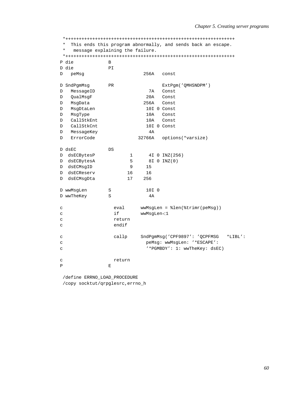\* This ends this program abnormally, and sends back an escape.  $\star$ message explaining the failure. P die  $\mathbf{B}$ D die **DT** 256A const D peMsq D SndPgmMsg PR ExtPgm('QMHSNDPM')  $\mathbb D$ MessageID **7A** Const  $\mathbb D$ QualMsgF  $20A$ Const D MsgData 256A Const D MsgDtaLen 10I 0 Const D MsqType 10A Const D CallStkEnt 10A Const  $\mathbf{D}$ CallStkCnt 10I 0 Const D MessageKey  $4A$  $D$ ErrorCode 32766A options(\*varsize)  $D$  dsEC DS D dsECBytesP  $\mathbf 1$ 4I 0 INZ (256) D dsECBytesA  $5\overline{)}$ 8I 0 INZ(0) D dsECMsqID  $9$ 15 16 D dsECReserv  $16$ D dsECMsqDta 17 256 D wwMsgLen 10I 0  $\mathbf S$ D wwTheKey  $\, \mathbb{S} \,$  $4A$  $wwwMsgLen = %len(%trimr(peMsq))$  $\mathbf{C}$ eval  $i \in$ wwMsgLen<1  $\epsilon$  $\rm{c}$ return endif  $\overline{c}$ SndPgmMsg('CPF9897': 'QCPFMSG  $*LIBL'$ :  $\mathsf{C}$ callp peMsg: wwMsgLen: '\*ESCAPE':  $\mathbf C$  $\mathbf{C}$ '\*PGMBDY': 1: wwTheKey: dsEC)  $\rm{c}$ return  $\overline{P}$  $\mathbf{E}$ 

/define ERRNO LOAD PROCEDURE /copy socktut/qrpglesrc, errno\_h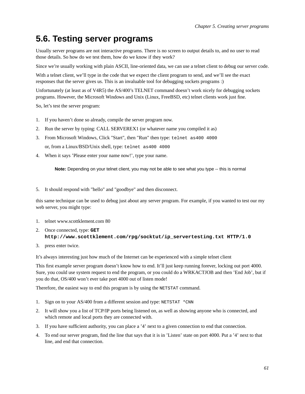# **5.6. Testing server programs**

Usually server programs are not interactive programs. There is no screen to output details to, and no user to read those details. So how do we test them, how do we know if they work?

Since we're usually working with plain ASCII, line-oriented data, we can use a telnet client to debug our server code.

With a telnet client, we'll type in the code that we expect the client program to send, and we'll see the exact responses that the server gives us. This is an invaluable tool for debugging sockets programs :)

Unfortunately (at least as of V4R5) the AS/400's TELNET command doesn't work nicely for debugging sockets programs. However, the Microsoft Windows and Unix (Linux, FreeBSD, etc) telnet clients work just fine.

So, let's test the server program:

- 1. If you haven't done so already, compile the server program now.
- 2. Run the server by typing: CALL SERVEREX1 (or whatever name you compiled it as)
- 3. From Microsoft Windows, Click "Start", then "Run" then type: telnet as400 4000 or, from a Linux/BSD/Unix shell, type: telnet as400 4000
- 4. When it says 'Please enter your name now!', type your name.

**Note:** Depending on your telnet client, you may not be able to see what you type -- this is normal

5. It should respond with "hello" and "goodbye" and then disconnect.

this same technique can be used to debug just about any server program. For example, if you wanted to test our my web server, you might type:

- 1. telnet www.scottklement.com 80
- 2. Once connected, type: **GET http://www.scottklement.com/rpg/socktut/ip\_servertesting.txt HTTP/1.0**
- 3. press enter twice.

It's always interesting just how much of the Internet can be experienced with a simple telnet client

This first example server program doesn't know how to end. It'll just keep running forever, locking out port 4000. Sure, you could use system request to end the program, or you could do a WRKACTJOB and then 'End Job', but if you do that, OS/400 won't ever take port 4000 out of listen mode!

Therefore, the easiest way to end this program is by using the NETSTAT command.

- 1. Sign on to your AS/400 from a different session and type: NETSTAT \*CNN
- 2. It will show you a list of TCP/IP ports being listened on, as well as showing anyone who is connected, and which remote and local ports they are connected with.
- 3. If you have sufficient authority, you can place a '4' next to a given connection to end that connection.
- 4. To end our server program, find the line that says that it is in 'Listen' state on port 4000. Put a '4' next to that line, and end that connection.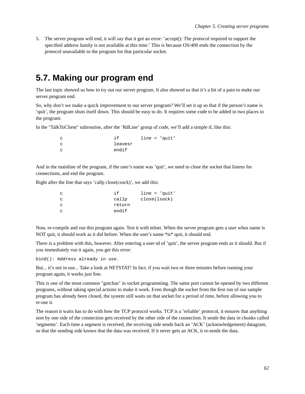5. The server program will end, it will say that it got an error: 'accept(): The protocol required to support the specified address family is not available at this time.' This is because OS/400 ends the connection by the protocol unavailable to the program for that particular socket.

# **5.7. Making our program end**

The last topic showed us how to try out our server program. It also showed us that it's a bit of a pain to make our server program end.

So, why don't we make a quick improvement to our server program? We'll set it up so that if the person's name is 'quit', the program shuts itself down. This should be easy to do. It requires some code to be added in two places in the program:

In the "TalkToClient" subroutine, after the 'RdLine' group of code, we'll add a simple if, like this:

| C.  | $\div$ $\in$ |  | $line = 'quit'$ |
|-----|--------------|--|-----------------|
| - C | leavesr      |  |                 |
| C.  | endif        |  |                 |

And in the mainline of the program, if the user's name was 'quit', we need to close the socket that listens for connections, and end the program.

Right after the line that says 'callp close(csock)', we add this:

| C   | i f    | $line = 'quit'$ |
|-----|--------|-----------------|
| c.  | callp  | close(lsock)    |
| c.  | return |                 |
| - C | endif  |                 |

Now, re-compile and run this program again. Test it with telnet. When the server program gets a user whos name is NOT quit, it should work as it did before. When the user's name \*is\* quit, it should end.

There is a problem with this, however. After entering a user-id of 'quit', the server program ends as it should. But if you immediately run it again, you get this error:

bind(): Address already in use.

But... it's not in use... Take a look at NETSTAT! In fact, if you wait two or three minutes before running your program again, it works just fine.

This is one of the most common "gotchas" in socket programming. The same port cannot be opened by two different programs, without taking special actions to make it work. Even though the socket from the first run of our sample program has already been closed, the system still waits on that socket for a period of time, before allowing you to re-use it.

The reason it waits has to do with how the TCP protocol works. TCP is a 'reliable' protocol, it ensures that anything sent by one side of the connection gets received by the other side of the connection. It sends the data in chunks called 'segments'. Each time a segment is received, the receiving side sends back an 'ACK' (acknowledgement) datagram, so that the sending side knows that the data was received. If it never gets an ACK, it re-sends the data.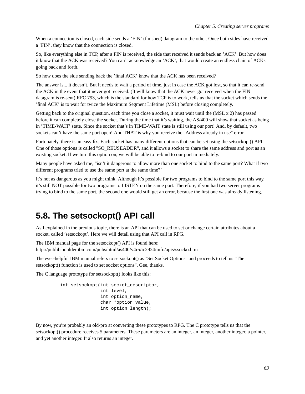When a connection is closed, each side sends a 'FIN' (finished) datagram to the other. Once both sides have received a 'FIN', they know that the connection is closed.

So, like everything else in TCP, after a FIN is received, the side that received it sends back an 'ACK'. But how does it know that the ACK was received? You can't acknowledge an 'ACK', that would create an endless chain of ACKs going back and forth.

So how does the side sending back the 'final ACK' know that the ACK has been received?

The answer is... it doesn't. But it needs to wait a period of time, just in case the ACK got lost, so that it can re-send the ACK in the event that it never got received. (It will know that the ACK never got received when the FIN datagram is re-sent) RFC 793, which is the standard for how TCP is to work, tells us that the socket which sends the 'final ACK' is to wait for twice the Maximum Segment Lifetime (MSL) before closing completely.

Getting back to the original question, each time you close a socket, it must wait until the (MSL x 2) has passed before it can completely close the socket. During the time that it's waiting, the AS/400 will show that socket as being in 'TIME-WAIT' state. Since the socket that's in TIME-WAIT state is still using our port! And, by default, two sockets can't have the same port open! And THAT is why you receive the "Address already in use" error.

Fortunately, there is an easy fix. Each socket has many different options that can be set using the setsockopt() API. One of those options is called "SO\_REUSEADDR", and it allows a socket to share the same address and port as an existing socket. If we turn this option on, we will be able to re-bind to our port immediately.

Many people have asked me, "isn't it dangerous to allow more than one socket to bind to the same port? What if two different programs tried to use the same port at the same time?"

It's not as dangerous as you might think. Although it's possible for two programs to bind to the same port this way, it's still NOT possible for two programs to LISTEN on the same port. Therefore, if you had two server programs trying to bind to the same port, the second one would still get an error, because the first one was already listening.

# **5.8. The setsockopt() API call**

As I explained in the previous topic, there is an API that can be used to set or change certain attributes about a socket, called 'setsockopt'. Here we will detail using that API call in RPG.

The IBM manual page for the setsockopt() API is found here:

http://publib.boulder.ibm.com/pubs/html/as400/v4r5/ic2924/info/apis/ssocko.htm

The ever-helpful IBM manual refers to setsockopt() as "Set Socket Options" and proceeds to tell us "The setsockopt() function is used to set socket options". Gee, thanks.

The C language prototype for setsockopt() looks like this:

```
int setsockopt(int socket_descriptor,
               int level,
               int option_name,
               char *option_value,
               int option_length);
```
By now, you're probably an old-pro at converting these prototypes to RPG. The C prototype tells us that the setsockopt() procedure receives 5 parameters. These parameters are an integer, an integer, another integer, a pointer, and yet another integer. It also returns an integer.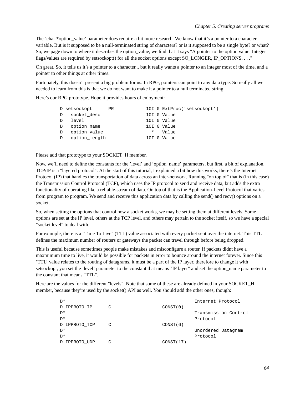The 'char \*option value' parameter does require a bit more research. We know that it's a pointer to a character variable. But is it supposed to be a null-terminated string of characters? or is it supposed to be a single byte? or what? So, we page down to where it describes the option value, we find that it says "A pointer to the option value. Integer flags/values are required by setsockopt() for all the socket options except SO\_LONGER, IP\_OPTIONS, . . . "

Oh great. So, it tells us it's a pointer to a character... but it really wants a pointer to an integer most of the time, and a pointer to other things at other times.

Fortunately, this doesn't present a big problem for us. In RPG, pointers can point to any data type. So really all we needed to learn from this is that we do not want to make it a pointer to a null terminated string.

Here's our RPG prototype. Hope it provides hours of enjoyment:

|              | D setsockopt  | PR |        | 10I 0 ExtProc('setsockopt') |
|--------------|---------------|----|--------|-----------------------------|
| D            | socket desc   |    |        | 10I 0 Value                 |
| $\Box$       | level         |    |        | 10I 0 Value                 |
| $\mathbb{D}$ | option_name   |    |        | 10I 0 Value                 |
| $\Box$       | option_value  |    | $\ast$ | Value                       |
| D            | option length |    |        | 10I 0 Value                 |

Please add that prototype to your SOCKET\_H member.

Now, we'll need to define the constants for the 'level' and 'option name' parameters, but first, a bit of explanation. TCP/IP is a "layered protocol". At the start of this tutorial, I explained a bit how this works, there's the Internet Protocol (IP) that handles the transportation of data across an inter-network. Running "on top of" that is (in this case) the Transmission Control Protocol (TCP), which uses the IP protocol to send and receive data, but adds the extra functionality of operating like a reliable-stream of data. On top of that is the Application-Level Protocol that varies from program to program. We send and receive this application data by calling the send() and recv() options on a socket.

So, when setting the options that control how a socket works, we may be setting them at different levels. Some options are set at the IP level, others at the TCP level, and others may pertain to the socket itself, so we have a special "socket level" to deal with.

For example, there is a "Time To Live" (TTL) value associated with every packet sent over the internet. This TTL defines the maximum number of routers or gateways the packet can travel through before being dropped.

This is useful because sometimes people make mistakes and misconfigure a router. If packets didnt have a maxmimum time to live, it would be possible for packets in error to bounce around the internet forever. Since this 'TTL' value relates to the routing of datagrams, it must be a part of the IP layer, therefore to change it with setsockopt, you set the 'level' parameter to the constant that means "IP layer" and set the option\_name parameter to the constant that means "TTL".

Here are the values for the different "levels". Note that some of these are already defined in your SOCKET\_H\_ member, because they're used by the socket() API as well. You should add the other ones, though:

| D*            |   |           | Internet Protocol    |
|---------------|---|-----------|----------------------|
| D IPPROTO IP  | C | CONST(0)  |                      |
| ™.            |   |           | Transmission Control |
| D*            |   |           | Protocol             |
| D IPPROTO TCP | C | CONST(6)  |                      |
| ™.            |   |           | Unordered Datagram   |
| D*            |   |           | Protocol             |
| D IPPROTO UDP |   | CONST(17) |                      |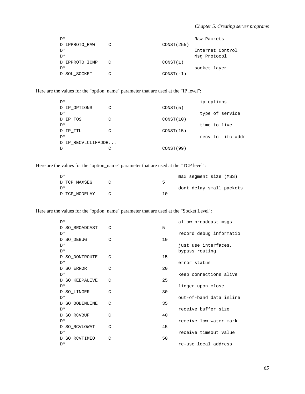| $\neg$ *       |   |             | Raw Packets      |
|----------------|---|-------------|------------------|
| D IPPROTO RAW  | C | CONST (255) |                  |
| D <sup>*</sup> |   |             | Internet Control |
| $\neg$ *       |   |             | Msg Protocol     |
| D IPPROTO ICMP | C | CONST(1)    |                  |
| $\neg$ *       |   |             | socket layer     |
| D SOL SOCKET   |   | $CONST(-1)$ |                  |

Here are the values for the "option\_name" parameter that are used at the "IP level":

| $D^*$              |   |            | ip options        |
|--------------------|---|------------|-------------------|
| D IP OPTIONS       | C | CONST(5)   |                   |
| D*                 |   |            | type of service   |
| D IP TOS           | C | CONST(10)  |                   |
| D*                 |   |            | time to live      |
| D IP TTL           | C | CONST(15)  |                   |
| $D^*$              |   |            | recy lcl ifc addr |
| D IP RECVLCLIFADDR |   |            |                   |
| D                  | C | CONST (99) |                   |
|                    |   |            |                   |

Here are the values for the "option\_name" parameter that are used at the "TCP level":

| ™.            |     | max segment size (MSS)   |
|---------------|-----|--------------------------|
| D TCP MAXSEG  | ∽   |                          |
| ™.            |     | dont delay small packets |
| D TCP NODELAY | າ ດ |                          |

Here are the values for the "option\_name" parameter that are used at the "Socket Level":

| D*             |   |    | allow broadcast msgs    |
|----------------|---|----|-------------------------|
| D SO BROADCAST | C | 5  |                         |
| $D^*$          |   |    | record debug informatio |
| D SO DEBUG     | C | 10 |                         |
| $D^*$          |   |    | just use interfaces,    |
| D*             |   |    | bypass routing          |
| D SO DONTROUTE | C | 15 |                         |
| D*             |   |    | error status            |
| D SO ERROR     | C | 20 |                         |
| $D^*$          |   |    | keep connections alive  |
| D SO KEEPALIVE | C | 25 |                         |
| D*             |   |    | linger upon close       |
| D SO LINGER    | C | 30 |                         |
| $D^*$          |   |    | out-of-band data inline |
| D SO OOBINLINE | C | 35 |                         |
| D*             |   |    | receive buffer size     |
| D SO RCVBUF    | C | 40 |                         |
| $D^*$          |   |    | receive low water mark  |
| D SO RCVLOWAT  | C | 45 |                         |
| D*             |   |    | receive timeout value   |
| D SO RCVTIMEO  | C | 50 |                         |
| D*             |   |    | re-use local address    |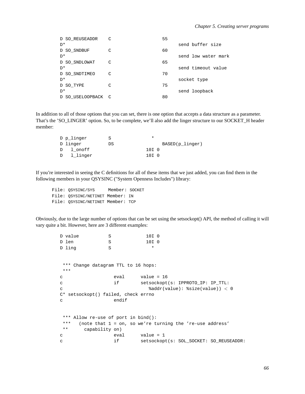| D SO REUSEADDR     | C | 55 |                     |
|--------------------|---|----|---------------------|
| D*                 |   |    | send buffer size    |
| D SO SNDBUF        | C | 60 |                     |
| D*                 |   |    | send low water mark |
| D SO_SNDLOWAT      | C | 65 |                     |
| D*                 |   |    | send timeout value  |
| D SO SNDTIMEO      | C | 70 |                     |
| D*                 |   |    | socket type         |
| D SO TYPE          | C | 75 |                     |
| D*                 |   |    | send loopback       |
| D SO USELOOPBACK C |   | 80 |                     |

In addition to all of those options that you can set, there is one option that accepts a data structure as a parameter. That's the 'SO\_LINGER' option. So, to be complete, we'll also add the linger structure to our SOCKET\_H header member:

| D p_linger | S  |       |                 |
|------------|----|-------|-----------------|
| D linger   | DS |       | BASED(p_linger) |
| D lonoff   |    | 10I 0 |                 |
| D l linger |    | 10I 0 |                 |

If you're interested in seeing the C definitions for all of these items that we just added, you can find them in the following members in your QSYSINC ("System Openness Includes") library:

File: QSYSINC/SYS Member: SOCKET File: QSYSINC/NETINET Member: IN File: QSYSINC/NETINET Member: TCP

Obviously, due to the large number of options that can be set using the setsockopt() API, the method of calling it will vary quite a bit. However, here are 3 different examples:

```
D value S 3 10I 0
D len S 10I 0
D ling S *
*** Change datagram TTL to 16 hops:
***
c eval value = 16
c if setsockopt(s: IPPROTO_IP: IP_TTL:
c %addr(value): %size(value)) < 0
C* setsockopt() failed, check errno
c endif
*** Allow re-use of port in bind():
*** (note that 1 = on, so we're turning the 're-use address'
** capability on)
c eval value = 1
c if setsockopt(s: SOL_SOCKET: SO_REUSEADDR:
```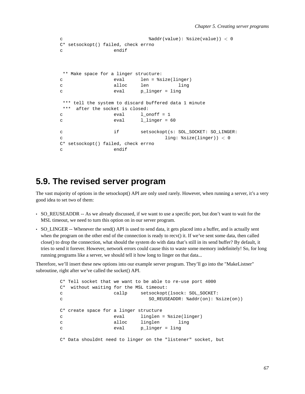```
c %addr(value): %size(value)) < 0
C* setsockopt() failed, check errno
c endif
** Make space for a linger structure:
c eval len = %size(linger)
c alloc len ling
c eval p_linger = ling
*** tell the system to discard buffered data 1 minute
*** after the socket is closed:
c eval 1 onoff = 1
c eval llinger = 60
c if setsockopt(s: SOL_SOCKET: SO_LINGER:
c ling: %size(linger)) < 0
C* setsockopt() failed, check errno
c endif
```
#### **5.9. The revised server program**

The vast majority of options in the setsockopt() API are only used rarely. However, when running a server, it's a very good idea to set two of them:

- SO\_REUSEADDR -- As we already discussed, if we want to use a specific port, but don't want to wait for the MSL timeout, we need to turn this option on in our server program.
- SO\_LINGER -- Whenever the send() API is used to send data, it gets placed into a buffer, and is actually sent when the program on the other end of the connection is ready to recv() it. If we've sent some data, then called close() to drop the connection, what should the system do with data that's still in its send buffer? By default, it tries to send it forever. However, network errors could cause this to waste some memory indefinitely! So, for long running programs like a server, we should tell it how long to linger on that data...

Therefore, we'll insert these new options into our example server program. They'll go into the "MakeListner" subroutine, right after we've called the socket() API.

```
C* Tell socket that we want to be able to re-use port 4000
C* without waiting for the MSL timeout:
c callp setsockopt(lsock: SOL_SOCKET:
c SO_REUSEADDR: %addr(on): %size(on))
C* create space for a linger structure
c eval linglen = %size(linger)
c alloc linglen ling
c eval p_linger = ling
C* Data shouldnt need to linger on the "listener" socket, but
```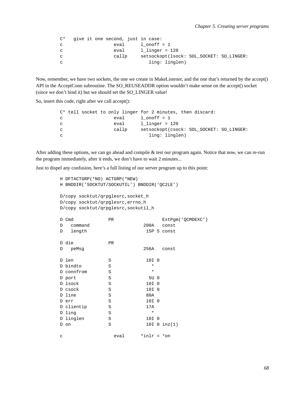```
C* give it one second, just in case:
c eval 1 onoff = 1
c eval l_linger = 120
c callp setsockopt(lsock: SOL_SOCKET: SO_LINGER:
c ling: linglen)
```
Now, remember, we have two sockets, the one we create in MakeListener, and the one that's returned by the accept() API in the AcceptConn subroutine. The SO\_REUSEADDR option wouldn't make sense on the accept() socket (since we don't bind it) but we should set the SO\_LINGER value!

So, insert this code, right after we call accept():

```
C* tell socket to only linger for 2 minutes, then discard:
c eval 1_onoff = 1
c eval l_linger = 120
c callp setsockopt(csock: SOL_SOCKET: SO_LINGER:
c inglen)
```
After adding these options, we can go ahead and compile & test our program again. Notice that now, we can re-run the program immediately, after it ends, we don't have to wait 2 minutes...

Just to dispel any confusion, here's a full listing of our server program up to this point:

```
H DFTACTGRP(*NO) ACTGRP(*NEW)
H BNDDIR('SOCKTUT/SOCKUTIL') BNDDIR('QC2LE')
D/copy socktut/qrpglesrc,socket_h
D/copy socktut/qrpglesrc,errno_h
D/copy socktut/qrpglesrc,sockutil_h
D Cmd PR ExtPgm('QCMDEXC')
D command 200A const
D length 15P 5 const
D die PR
D peMsg 256A const
D len S 10I 0
D bindto S *
D connfrom S *
D port S 5U 0
D lsock S 10I 0
D csock S 10I 0
D line S 80A
D err S 10I 0
D clientip S 17A
D ling S *
D linglen S 10I 0
D on S 10I 0 inz(1)
c \alpha eval \alpha \alpha \alpha \alpha
```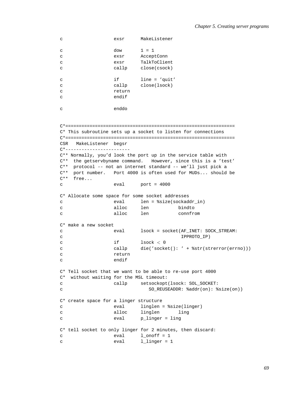```
c exsr MakeListener
c dow \t1 = 1c exsr AcceptConn
c exsr TalkToClient
c callp close(csock)
c if line = 'quit'
c callp close(lsock)
c return
c endif
c enddo
C*===============================================================
C* This subroutine sets up a socket to listen for connections
C*===============================================================
CSR MakeListener begsr
C*------------------------
C** Normally, you'd look the port up in the service table with
C** the getservbyname command. However, since this is a 'test'
C** protocol -- not an internet standard -- we'll just pick a
C** port number. Port 4000 is often used for MUDs... should be
C** free...
c eval port = 4000
C* Allocate some space for some socket addresses
c eval len = %size(sockaddr_in)
c alloc len bindto
c alloc len connfrom
C* make a new socket
c eval lsock = socket(AF_INET: SOCK_STREAM:
c IPPROTO_IP)
c if \t\t \text{lsock} < 0c callp die('socket(): ' + %str(strerror(errno)))
c return
c endif
C* Tell socket that we want to be able to re-use port 4000
C* without waiting for the MSL timeout:
c callp setsockopt(lsock: SOL_SOCKET:
c SO_REUSEADDR: %addr(on): %size(on))
C* create space for a linger structure
c eval linglen = %size(linger)
c alloc linglen ling
c eval p_linger = ling
C* tell socket to only linger for 2 minutes, then discard:
c eval 1_onoff = 1
c eval 1_linger = 1
```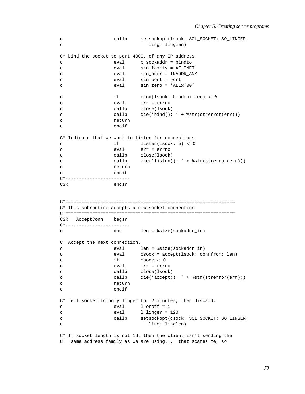```
c callp setsockopt(lsock: SOL_SOCKET: SO_LINGER:
c ling: linglen)
C* bind the socket to port 4000, of any IP address
c eval p_sockaddr = bindto
c eval sin_family = AF_INET
c eval sin_addr = INADDR_ANY
c eval sin_port = port
c eval sin_zero = *ALLx'00'
c if bind(lsock: bindto: len) < 0
c eval err = errno
c callp close(lsock)
c callp die('bind(): ' + %str(strerror(err)))
c return
c endif
C* Indicate that we want to listen for connections
c if \qquad \qquad if \qquad \qquad listen(lsock: 5) < 0c eval err = errno
c callp close(lsock)
c callp die('listen(): ' + %str(strerror(err)))
c return
c endif
C*------------------------
CSR endsr
C*===============================================================
C* This subroutine accepts a new socket connection
C*===============================================================
CSR AcceptConn begsr
C*------------------------
c dou len = %size(sockaddr_in)
C* Accept the next connection.
c eval len = %size(sockaddr_in)
c eval csock = accept(lsock: connfrom: len)
c if \csc \theta < 0c eval err = errno
c callp close(lsock)
c callp die('accept(): ' + %str(strerror(err)))
c return
c endif
C* tell socket to only linger for 2 minutes, then discard:
c \qquad \qquad \text{eval} \qquad \qquad 1\_onoff = 1c eval 1_linger = 120
c callp setsockopt(csock: SOL_SOCKET: SO_LINGER:
c and ling: linglen)
C* If socket length is not 16, then the client isn't sending the
C* same address family as we are using... that scares me, so
```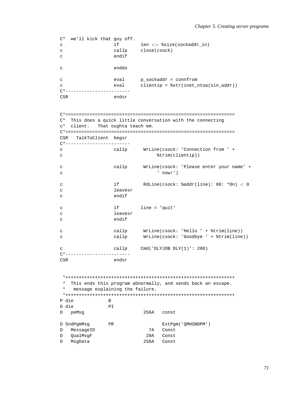```
C* we'll kick that guy off.
c if len \lt\gt \$size(socket)<br>c callp close(csock)
c callp close(csock)
c endif
c enddo
c eval p_sockaddr = connfrom
c eval clientip = %str(inet_ntoa(sin_addr))
C*------------------------
CSR endsr
C*===============================================================
C* This does a quick little conversation with the connecting
c* client. That oughta teach em.
C*===============================================================
CSR TalkToClient begsr
C*------------------------
c callp WrLine(csock: 'Connection from ' +
c \text{trim}(\text{clientip}))
c callp WrLine(csock: 'Please enter your name' +
c ' now!')
c if RdLine(csock: %addr(line): 80: *On) < 0
c leavesr
c endif
c if line = 'quit'
c leavesr
c endif
c callp WrLine(csock: 'Hello ' + %trim(line))
c callp WrLine(csock: 'Goodbye ' + %trim(line))
c callp Cmd('DLYJOB DLY(1)': 200)
C*------------------------
CSR endsr
*+++++++++++++++++++++++++++++++++++++++++++++++++++++++++++++++
* This ends this program abnormally, and sends back an escape.
  message explaining the failure.
*+++++++++++++++++++++++++++++++++++++++++++++++++++++++++++++++
P die B
D die PI
D peMsg 256A const
D SndPgmMsg PR PR ExtPgm('QMHSNDPM')
D MessageID 7A Const
D QualMsgF 20A Const
D MsgData 256A Const
```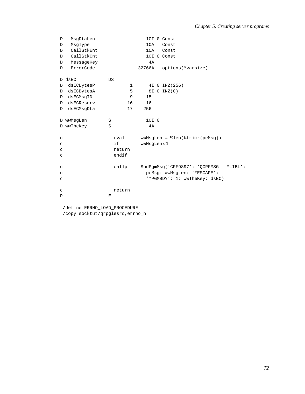| D            | MsgDtaLen  |                    | 10I 0 Const                       |           |
|--------------|------------|--------------------|-----------------------------------|-----------|
| D            | MsgType    |                    | 10A<br>Const                      |           |
| D            | CallStkEnt |                    | 10A<br>Const                      |           |
| D            | CallStkCnt |                    | 10I 0 Const                       |           |
| D            | MessageKey |                    | 4A                                |           |
| D            | ErrorCode  |                    | 32766A<br>options(*varsize)       |           |
|              | D dsEC     | <b>DS</b>          |                                   |           |
| D            | dsECBytesP | 1                  | 4I 0 INZ (256)                    |           |
| D            | dsECBytesA | 5                  | 8I 0 INZ(0)                       |           |
| D            | dsECMsqID  | 9                  | 15                                |           |
| D            | dsECReserv | 16                 | 16                                |           |
| D            | dsECMsqDta | 17                 | 256                               |           |
|              |            |                    |                                   |           |
|              | D wwMsgLen | S                  | 10I 0                             |           |
|              | D wwTheKey | S                  | 4A                                |           |
|              |            |                    |                                   |           |
| $\mathsf C$  |            | eval               | $wwwMsgLen = %len(%trimr(peMsg))$ |           |
| $\mathtt{C}$ |            | if                 | wwMsqLen<1                        |           |
| $\mathtt{C}$ |            | return             |                                   |           |
| $\mathtt{C}$ |            | endif              |                                   |           |
|              |            |                    |                                   |           |
| C            |            | callp              | SndPgmMsg('CPF9897': 'QCPFMSG     | $*LIBL':$ |
| $\mathtt{C}$ |            |                    | peMsg: wwMsgLen: '*ESCAPE':       |           |
| $\mathtt{C}$ |            |                    | '*PGMBDY': 1: wwTheKey: dsEC)     |           |
|              |            |                    |                                   |           |
| $\mathsf C$  |            | return             |                                   |           |
| $\mathbf{P}$ |            | $\mathbf{E}% _{t}$ |                                   |           |

/define ERRNO\_LOAD\_PROCEDURE /copy socktut/qrpglesrc, errno\_h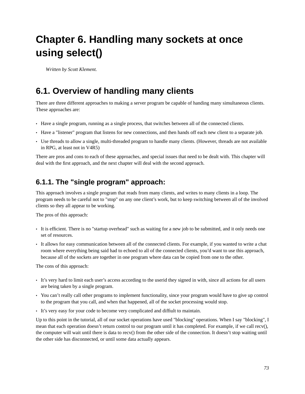# **Chapter 6. Handling many sockets at once using select()**

*Written by Scott Klement.*

# **6.1. Overview of handling many clients**

There are three different approaches to making a server program be capable of handing many simultaneous clients. These approaches are:

- Have a single program, running as a single process, that switches between all of the connected clients.
- Have a "listener" program that listens for new connections, and then hands off each new client to a separate job.
- Use threads to allow a single, multi-threaded program to handle many clients. (However, threads are not available in RPG, at least not in V4R5)

There are pros and cons to each of these approaches, and special issues that need to be dealt with. This chapter will deal with the first approach, and the next chapter will deal with the second approach.

#### **6.1.1. The "single program" approach:**

This approach involves a single program that reads from many clients, and writes to many clients in a loop. The program needs to be careful not to "stop" on any one client's work, but to keep switching between all of the involved clients so they all appear to be working.

The pros of this approach:

- It is efficient. There is no "startup overhead" such as waiting for a new job to be submitted, and it only needs one set of resources.
- It allows for easy communication between all of the connected clients. For example, if you wanted to write a chat room where everything being said had to echoed to all of the connected clients, you'd want to use this approach, because all of the sockets are together in one program where data can be copied from one to the other.

The cons of this approach:

- It's very hard to limit each user's access according to the userid they signed in with, since all actions for all users are being taken by a single program.
- You can't really call other programs to implement functionality, since your program would have to give up control to the program that you call, and when that happened, all of the socket processing would stop.
- It's very easy for your code to become very complicated and diffiult to maintain.

Up to this point in the tutorial, all of our socket operations have used "blocking" operations. When I say "blocking", I mean that each operation doesn't return control to our program until it has completed. For example, if we call recv(), the computer will wait until there is data to recv() from the other side of the connection. It doesn't stop waiting until the other side has disconnected, or until some data actually appears.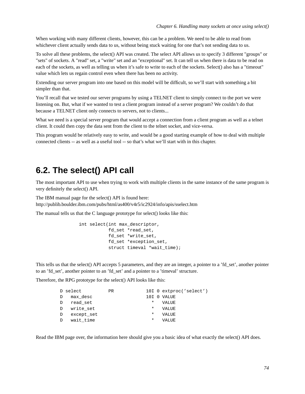When working with many different clients, however, this can be a problem. We need to be able to read from whichever client actually sends data to us, without being stuck waiting for one that's not sending data to us.

To solve all these problems, the select() API was created. The select API allows us to specify 3 different "groups" or "sets" of sockets. A "read" set, a "write" set and an "exceptional" set. It can tell us when there is data to be read on each of the sockets, as well as telling us when it's safe to write to each of the sockets. Select() also has a "timeout" value which lets us regain control even when there has been no activity.

Extending our server program into one based on this model will be difficult, so we'll start with something a bit simpler than that.

You'll recall that we tested our server programs by using a TELNET client to simply connect to the port we were listening on. But, what if we wanted to test a client program instead of a server program? We couldn't do that because a TELNET client only connects to servers, not to clients...

What we need is a special server program that would accept a connection from a client program as well as a telnet client. It could then copy the data sent from the client to the telnet socket, and vice-versa.

This program would be relatively easy to write, and would be a good starting example of how to deal with multiple connected clients -- as well as a useful tool -- so that's what we'll start with in this chapter.

## **6.2. The select() API call**

The most important API to use when trying to work with multiple clients in the same instance of the same program is very definitely the select() API.

The IBM manual page for the select() API is found here:

http://publib.boulder.ibm.com/pubs/html/as400/v4r5/ic2924/info/apis/sselect.htm

The manual tells us that the C language prototype for select() looks like this:

```
int select(int max_descriptor,
           fd_set *read_set,
           fd_set *write_set,
           fd_set *exception_set,
           struct timeval *wait_time);
```
This tells us that the select() API accepts 5 parameters, and they are an integer, a pointer to a 'fd\_set', another pointer to an 'fd\_set', another pointer to an 'fd\_set' and a pointer to a 'timeval' structure.

Therefore, the RPG prototype for the select() API looks like this:

|   | D select   | <b>PR</b> |          | 10I 0 extproc('select') |
|---|------------|-----------|----------|-------------------------|
| D | max desc   |           |          | 10I O VALUE             |
| D | read set   |           | $^\star$ | <b>VALUE</b>            |
| D | write set  |           | $\ast$   | <b>VALUE</b>            |
| D | except set |           | *        | VALUE                   |
| D | wait time  |           | $\ast$   | VALUE                   |

Read the IBM page over, the information here should give you a basic idea of what exactly the select() API does.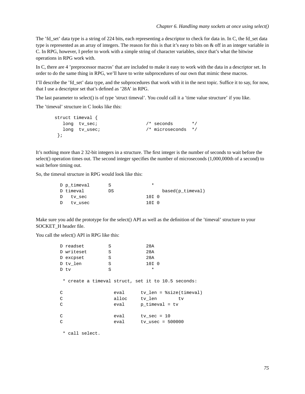The 'fd\_set' data type is a string of 224 bits, each representing a descriptor to check for data in. In C, the fd\_set data type is represented as an array of integers. The reason for this is that it's easy to bits on  $\&$  off in an integer variable in C. In RPG, however, I prefer to work with a simple string of character variables, since that's what the bitwise operations in RPG work with.

In C, there are 4 'preprocessor macros' that are included to make it easy to work with the data in a descriptor set. In order to do the same thing in RPG, we'll have to write subprocedures of our own that mimic these macros.

I'll describe the 'fd\_set' data type, and the subprocedures that work with it in the next topic. Suffice it to say, for now, that I use a descriptor set that's defined as '28A' in RPG.

The last parameter to select() is of type 'struct timeval'. You could call it a 'time value structure' if you like.

The 'timeval' structure in C looks like this:

```
struct timeval {
  long tv_sec; \frac{1}{2} /* seconds */
  long tv_usec; /* microseconds */
};
```
It's nothing more than 2 32-bit integers in a structure. The first integer is the number of seconds to wait before the select() operation times out. The second integer specifies the number of microseconds (1,000,000th of a second) to wait before timing out.

So, the timeval structure in RPG would look like this:

| D p timeval |    | *                |                  |
|-------------|----|------------------|------------------|
| D timeval   | DS |                  | based(p timeval) |
| D tv sec    |    | 10I <sub>0</sub> |                  |
| D tv usec   |    | 10T 0            |                  |

Make sure you add the prototype for the select() API as well as the definition of the 'timeval' structure to your SOCKET\_H header file.

You call the select() API in RPG like this:

| D readset<br>S  |       | 28A                                                |
|-----------------|-------|----------------------------------------------------|
| D writeset<br>S |       | 28A                                                |
| S<br>D excpset  |       | 28A                                                |
| S<br>D tv len   |       | 10I 0                                              |
| S<br>D tv       |       | $\star$                                            |
|                 |       |                                                    |
|                 |       | * create a timeval struct, set it to 10.5 seconds: |
| C               | eval  | $tv$ len = $ssize(timeval)$                        |
| C               | alloc | tv_len<br>tv                                       |
| C               | eval  | $p$ timeval = tv                                   |
|                 |       |                                                    |
| C               | eval  | tv sec = $10$                                      |
| C               | eval  | ty usec = $500000$                                 |
|                 |       |                                                    |

\* call select.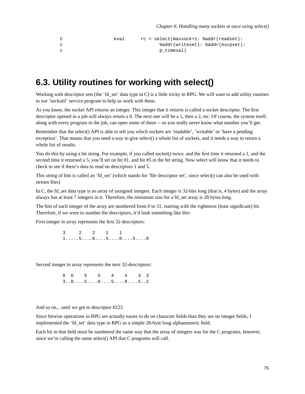```
C eval rc = select(maxsock+1: %addr(readset):
c %addr(writeset): %addr(excpset):
c p_timeval)
```
#### **6.3. Utility routines for working with select()**

Working with descriptor sets (the 'fd\_set' data type in C) is a little tricky in RPG. We will want to add utility routines to our 'sockutil' service program to help us work with them.

As you know, the socket API returns an integer. This integer that it returns is called a socket descriptor. The first descriptor opened in a job will always return a 0. The next one will be a 1, then a 2, etc. Of course, the system itself, along with every program in the job, can open some of these -- so you really never know what number you'll get.

Remember that the select() API is able to tell you which sockets are 'readable', 'writable' or 'have a pending exception'. That means that you need a way to give select() a whole list of sockets, and it needs a way to return a whole list of results.

You do this by using a bit string. For example, if you called socket() twice, and the first time it returned a 1, and the second time it returned a 5, you'll set on bit #1, and bit #5 in the bit string. Now select will know that it needs to check to see if there's data to read on descriptors 1 and 5.

This string of bits is called an 'fd\_set' (which stands for 'file descriptor set', since select() can also be used with stream files)

In C, the fd set data type is an array of unsigned integers. Each integer is 32-bits long (that is, 4 bytes) and the array always has at least 7 integers in it. Therefore, the minimum size for a fd\_set array is 28 bytes long.

The bits of each integer of the array are numbered from 0 to 31, starting with the rightmost (least significant) bit. Therefore, if we were to number the descriptors, it'd look something like this:

First integer in array represents the first 32 descriptors:

3 2 2 1 1 1.....5....0....5....0....5....0

Second integer in array represents the next 32-descriptors:

6 6 5 5 4 4 3 3 3..0....5....0....5....0....5..2

And so on... until we got to descriptor #223.

Since bitwise operations in RPG are actually easier to do on character fields than they are on integer fields, I implemented the 'fd\_set' data type in RPG as a simple 28-byte long alphanumeric field.

Each bit in that field must be numbered the same way that the array of integers was for the C programs, however, since we're calling the same select() API that C programs will call.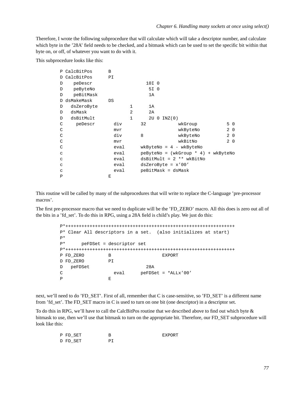Therefore, I wrote the following subprocedure that will calculate which will take a descriptor number, and calculate which byte in the '28A' field needs to be checked, and a bitmask which can be used to set the specific bit within that byte on, or off, of whatever you want to do with it.

This subprocedure looks like this:

|              | P CalcBitPos | B    |              |       |                      |                                       |           |  |
|--------------|--------------|------|--------------|-------|----------------------|---------------------------------------|-----------|--|
| D            | CalcBitPos   | ΡI   |              |       |                      |                                       |           |  |
| D            | peDescr      |      |              | 10I 0 |                      |                                       |           |  |
| D            | peByteNo     |      |              | 5I 0  |                      |                                       |           |  |
| D            | peBitMask    |      |              | 1A    |                      |                                       |           |  |
| D            | dsMakeMask   | DS   |              |       |                      |                                       |           |  |
| D            | dsZeroByte   |      | 1            | 1A    |                      |                                       |           |  |
| D            | dsMask       |      | 2            | 2A    |                      |                                       |           |  |
| D            | dsBitMult    |      | $\mathbf{1}$ | 2U 0  | INZ(0)               |                                       |           |  |
| C            | peDescr      | div  |              | 32    |                      | wkGroup                               | 50        |  |
| C            |              | mvr  |              |       |                      | wkByteNo                              | $2\quad0$ |  |
| C            |              | div  |              | 8     |                      | wkByteNo                              | $2\quad0$ |  |
| C            |              | mvr  |              |       |                      | wkBitNo                               | $2\quad0$ |  |
| C            |              | eval |              |       |                      | $wkByteNo = 4 - wkByteNo$             |           |  |
| C            |              | eval |              |       |                      | $peByteNo = (wkGroup * 4) + wkByteNo$ |           |  |
| C            |              | eval |              |       |                      | $dsBitMulti = 2 ** wKBitNo$           |           |  |
| C            |              | eval |              |       | $dsZeroByte = x'00'$ |                                       |           |  |
| C            |              | eval |              |       | peBitMask = dsMask   |                                       |           |  |
| $\mathbf{P}$ |              | E    |              |       |                      |                                       |           |  |

This routine will be called by many of the subprocedures that will write to replace the C-language 'pre-processor macros'.

The first pre-processor macro that we need to duplicate will be the 'FD\_ZERO' macro. All this does is zero out all of the bits in a 'fd\_set'. To do this in RPG, using a 28A field is child's play. We just do this:

```
P*+++++++++++++++++++++++++++++++++++++++++++++++++++++++++++++++
P* Clear All descriptors in a set. (also initializes at start)
P*
P* peFDSet = descriptor set
P*+++++++++++++++++++++++++++++++++++++++++++++++++++++++++++++++
P FD ZERO B B EXPORT
D FD_ZERO PI
D peFDSet 28A
C eval peFDSet = *ALLx'00'
P E
```
next, we'll need to do 'FD\_SET'. First of all, remember that C is case-sensitive, so 'FD\_SET' is a different name from 'fd\_set'. The FD\_SET macro in C is used to turn on one bit (one descriptor) in a descriptor set.

To do this in RPG, we'll have to call the CalcBitPos routine that we described above to find out which byte & bitmask to use, then we'll use that bitmask to turn on the appropriate bit. Therefore, our FD\_SET subprocedure will look like this:

| P FD SET | <b>EXPORT</b> |
|----------|---------------|
| D FD SET |               |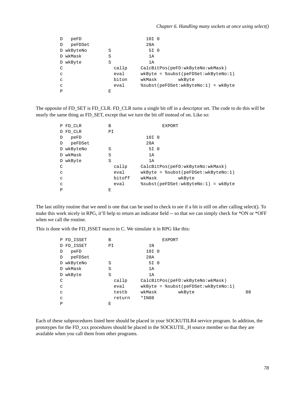| D            | peFD       |       | 10I 0                                   |
|--------------|------------|-------|-----------------------------------------|
| D            | peFDSet    |       | 28A                                     |
|              | D wkByteNo | S     | 5I 0                                    |
|              | D wkMask   | S     | 1A                                      |
|              | D wkByte   | S     | 1A                                      |
| C            |            | callp | CalcBitPos(peFD:wkByteNo:wkMask)        |
| C            |            | eval  | $wkByte =$ $%subst(pefDSet:wkByteNo:1)$ |
| C            |            | biton | wkMask<br>wkByte                        |
| C            |            | eval  | %subst(peFDSet:wkByteNo:1) = wkByte     |
| $\mathbf{P}$ |            | E     |                                         |

The opposite of FD\_SET is FD\_CLR. FD\_CLR turns a single bit off in a descriptor set. The code to do this will be nearly the same thing as FD\_SET, except that we turn the bit off instead of on. Like so:

|              | P FD_CLR   | B  |        |                  | <b>EXPORT</b>                              |
|--------------|------------|----|--------|------------------|--------------------------------------------|
|              | D FD CLR   | PI |        |                  |                                            |
| D            | peFD       |    |        | 10I <sub>0</sub> |                                            |
| D            | peFDSet    |    |        | 28A              |                                            |
|              | D wkByteNo | S  |        | 5I 0             |                                            |
|              | D wkMask   | S  |        | 1A               |                                            |
|              | D wkByte   | S  |        | 1A               |                                            |
| C            |            |    | callp  |                  | CalcBitPos(peFD:wkByteNo:wkMask)           |
| C            |            |    | eval   |                  | $wkByte =$ $%subst (peFDSet : wkByteNo:1)$ |
| C            |            |    | bitoff | wkMask           | wkByte                                     |
| C            |            |    | eval   |                  | %subst(peFDSet:wkByteNo:1) = wkByte        |
| $\mathbf{P}$ |            | E  |        |                  |                                            |

The last utility routine that we need is one that can be used to check to see if a bit is still on after calling select(). To make this work nicely in RPG, it'll help to return an indicator field -- so that we can simply check for \*ON or \*OFF when we call the routine.

This is done with the FD\_ISSET macro in C. We simulate it in RPG like this:

|              | P FD ISSET | В      | <b>EXPORT</b>                         |
|--------------|------------|--------|---------------------------------------|
|              | D FD_ISSET | ΡI     | 1N                                    |
| D            | peFD       |        | 10I 0                                 |
| D            | peFDSet    |        | 28A                                   |
|              | D wkByteNo | S      | 5I 0                                  |
|              | D wkMask   | S      | 1A                                    |
|              | D wkByte   | S      | 1A                                    |
| C            |            | callp  | CalcBitPos(peFD:wkByteNo:wkMask)      |
| C            |            | eval   | $wkByte =$ %subst(peFDSet:wkByteNo:1) |
| $\mathsf{C}$ |            | testb  | 88<br>wkMask<br>wkByte                |
| $\mathsf{C}$ |            | return | $*IN88$                               |
| P            |            | Е      |                                       |

Each of these subprocedures listed here should be placed in your SOCKUTILR4 service program. In addition, the prototypes for the FD\_xxx procedures should be placed in the SOCKUTIL\_H source member so that they are available when you call them from other programs.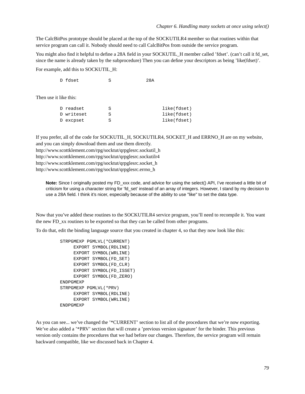The CalcBitPos prototype should be placed at the top of the SOCKUTILR4 member so that routines within that service program can call it. Nobody should need to call CalcBitPos from outside the service program.

You might also find it helpful to define a 28A field in your SOCKUTIL\_H member called 'fdset'. (can't call it fd\_set, since the name is already taken by the subprocedure) Then you can define your descriptors as being 'like(fdset)'.

For example, add this to SOCKUTIL\_H:

D fdset S 28A

Then use it like this:

| D readset  |   | like(fdset) |
|------------|---|-------------|
| D writeset | ς | like(fdset) |
| D excpset  | ς | like(fdset) |

If you prefer, all of the code for SOCKUTIL\_H, SOCKUTILR4, SOCKET\_H and ERRNO\_H are on my website, and you can simply download them and use them directly. http://www.scottklement.com/rpg/socktut/qrpglesrc.sockutil\_h

http://www.scottklement.com/rpg/socktut/qrpglesrc.sockutilr4

http://www.scottklement.com/rpg/socktut/qrpglesrc.socket\_h

http://www.scottklement.com/rpg/socktut/qrpglesrc.errno\_h

**Note:** Since I originally posted my FD\_xxx code, and advice for using the select() API, I've received a little bit of criticism for using a character string for 'fd\_set' instead of an array of integers. However, I stand by my decision to use a 28A field. I think it's nicer, especially because of the ability to use "like" to set the data type.

Now that you've added these routines to the SOCKUTILR4 service program, you'll need to recompile it. You want the new FD\_xx routines to be exported so that they can be called from other programs.

To do that, edit the binding language source that you created in chapter 4, so that they now look like this:

```
STRPGMEXP PGMLVL(*CURRENT)
    EXPORT SYMBOL(RDLINE)
    EXPORT SYMBOL(WRLINE)
    EXPORT SYMBOL(FD_SET)
    EXPORT SYMBOL(FD_CLR)
     EXPORT SYMBOL(FD_ISSET)
     EXPORT SYMBOL(FD_ZERO)
ENDPGMEXP
STRPGMEXP PGMLVL(*PRV)
     EXPORT SYMBOL(RDLINE)
     EXPORT SYMBOL(WRLINE)
ENDPGMEXP
```
As you can see... we've changed the '\*CURRENT' section to list all of the procedures that we're now exporting. We've also added a '\*PRV' section that will create a 'previous version signature' for the binder. This previous version only contains the procedures that we had before our changes. Therefore, the service program will remain backward compatible, like we discussed back in Chapter 4.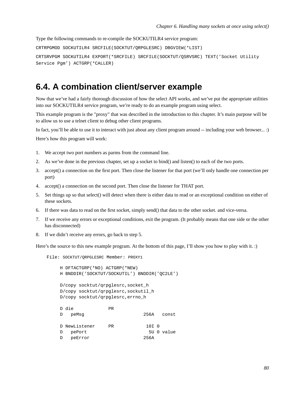Type the following commands to re-compile the SOCKUTILR4 service program:

```
CRTRPGMOD SOCKUTILR4 SRCFILE(SOCKTUT/QRPGLESRC) DBGVIEW(*LIST)
CRTSRVPGM SOCKUTILR4 EXPORT(*SRCFILE) SRCFILE(SOCKTUT/QSRVSRC) TEXT('Socket Utility
Service Pgm') ACTGRP(*CALLER)
```
#### **6.4. A combination client/server example**

Now that we've had a fairly thorough discussion of how the select API works, and we've put the appropriate utilities into our SOCKUTILR4 service program, we're ready to do an example program using select.

This example program is the "proxy" that was described in the introduction to this chapter. It's main purpose will be to allow us to use a telnet client to debug other client programs.

In fact, you'll be able to use it to interact with just about any client program around -- including your web browser... :)

Here's how this program will work:

- 1. We accept two port numbers as parms from the command line.
- 2. As we've done in the previous chapter, set up a socket to bind() and listen() to each of the two ports.
- 3. accept() a connection on the first port. Then close the listener for that port (we'll only handle one connection per port)
- 4. accept() a connection on the second port. Then close the listener for THAT port.
- 5. Set things up so that select() will detect when there is either data to read or an exceptional condition on either of these sockets.
- 6. If there was data to read on the first socket, simply send() that data to the other socket. and vice-versa.
- 7. If we receive any errors or exceptional conditions, exit the program. (It probably means that one side or the other has disconnected)
- 8. If we didn't receive any errors, go back to step 5.

Here's the source to this new example program. At the bottom of this page, I'll show you how to play with it. :)

File: SOCKTUT/QRPGLESRC Member: PROXY1

```
H DFTACTGRP(*NO) ACTGRP(*NEW)
H BNDDIR('SOCKTUT/SOCKUTIL') BNDDIR('QC2LE')
D/copy socktut/qrpglesrc,socket_h
D/copy socktut/qrpglesrc,sockutil_h
D/copy socktut/qrpglesrc,errno_h
D die PR
D peMsg 256A const
D NewListener PR 10I 0
D pePort 5U 0 value
D peError 256A
```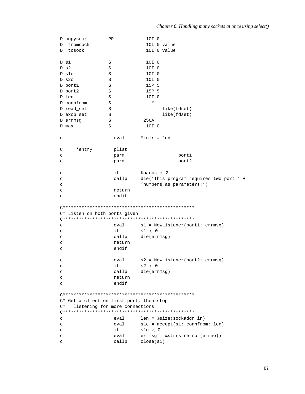|              | D copysock                               | PR     | 10I 0                                                        |
|--------------|------------------------------------------|--------|--------------------------------------------------------------|
| D            | fromsock                                 |        | 10I 0 value                                                  |
| D            | tosock                                   |        | 10I 0 value                                                  |
|              |                                          |        |                                                              |
|              | D sl                                     | S      | 10I 0                                                        |
|              | $D$ s $2$                                | S      | 10I 0                                                        |
|              | D slc                                    | S      | 10I <sub>0</sub>                                             |
|              | $D$ s2c                                  | S      | 10I 0                                                        |
|              |                                          |        | 15P 5                                                        |
|              | D port1                                  | S      | 15P 5                                                        |
|              | D port2                                  | S      |                                                              |
|              | D len                                    | S      | 10I 0<br>$\star$                                             |
|              | D connfrom                               | S      |                                                              |
|              | D read_set                               | S      | like(fdset)                                                  |
|              | D excp_set                               | S      | like(fdset)                                                  |
|              | D errmsg                                 | S      | 256A                                                         |
|              | D max                                    | S      | 10I 0                                                        |
|              |                                          |        |                                                              |
| C            |                                          | eval   | $*inlr = *on$                                                |
|              |                                          |        |                                                              |
| С            | *entry                                   | plist  |                                                              |
| С            |                                          | parm   | port1                                                        |
| C            |                                          | parm   | port2                                                        |
|              |                                          |        |                                                              |
| C            |                                          | if     | \$params < 2                                                 |
|              |                                          | callp  |                                                              |
| C            |                                          |        | die('This program requires two port ' +                      |
| C            |                                          |        | 'numbers as parameters!')                                    |
| C            |                                          | return |                                                              |
| C            |                                          | endif  |                                                              |
|              |                                          |        |                                                              |
|              |                                          |        |                                                              |
|              | C* Listen on both ports given            |        |                                                              |
|              |                                          |        |                                                              |
| C            |                                          | eval   | $s1 = \text{NewListener}(\text{port1: errmsg})$              |
| C            |                                          | if     | sl < 0                                                       |
| C            |                                          | callp  | die(errmsg)                                                  |
| C            |                                          | return |                                                              |
| C            |                                          | endif  |                                                              |
|              |                                          |        |                                                              |
| С            |                                          | eval   | s2 = NewListener(port2: errmsg)                              |
| $\mathtt{C}$ |                                          | if     | s2 < 0                                                       |
| $\mathtt{C}$ |                                          |        | callp die(errmsg)                                            |
| C            |                                          | return |                                                              |
|              |                                          | endif  |                                                              |
| $\mathtt{C}$ |                                          |        |                                                              |
|              |                                          |        |                                                              |
|              |                                          |        |                                                              |
|              | C* Get a client on first port, then stop |        |                                                              |
| C*           | listening for more connections           |        |                                                              |
|              |                                          |        |                                                              |
| $\mathtt{C}$ |                                          | eval   | $len = $size(sockets, in)$                                   |
| C            |                                          | eval   | $s1c = accept(s1: confirm: len)$                             |
| C            |                                          | if     | slc < 0                                                      |
| C            |                                          | eval   | $\text{errmsg} = \text{?str}(\text{strerror}(\text{errno}))$ |
| $\mathtt{C}$ |                                          |        | callp close(s1)                                              |
|              |                                          |        |                                                              |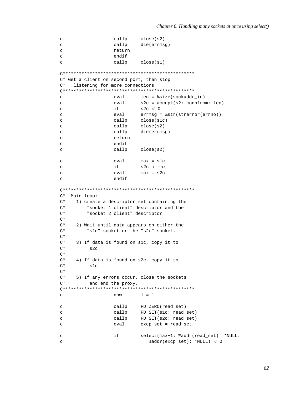```
callp
                              close(s2)\mathtt{C}\mathbf{C}callp
                             die(errmsq)
                    return
\mathsf{C}\mathbf{C}endif
                    callp
\mathbf{C}close(s1)C* Get a client on second port, then stop
     listening for more connections
\cap*
\mathbf{C}eval
                             len = $size(sockaddr_in)eval
                            s2c = accept(s2: confrom: len)\mathsf{C}if
                            s2c < 0\mathtt{C}\mathbf{c}eval
                            errmsg = %str(strerror(errno))
                   callp
                             close(s1c)\rm{c}callp
\mathbf{C}close(s2)\mathtt{C}callp
                            die(errmsg)
\mathbf{C}return
\mathtt{C}endif
\mathbf{C}callp close(s2)
                    eval
                            max = s1c\mathtt{C}\mathtt{C}if
                             s2c > max
                    eval
                             max = s2c\mathcal{C}\mathbf{C}endif
C* Main loop:
C^*1) create a descriptor set containing the
          "socket 1 client" descriptor and the
C^*"socket 2 client" descriptor
C^*\mathrm{C}\,{}^{\star}C^*2) Wait until data appears on either the
         "slc" socket or the "s2c" socket.
C^*C^*C^*3) If data is found on slc, copy it to
C^*s2c.C^*\mathrm{C}\,{}^{\star}4) If data is found on s2c, copy it to
C^*slc.
C^*C^*5) If any errors occur, close the sockets
C^*and end the proxy.
\mathbf{C}dow
                             1 = 1FD_ZERO(read_set)
                    callp
\mathbf{C}\rm{c}callp
                             FD_SET(s1c: read_set)
\overline{C}callp
                            FD_SET(s2c: read_set)
\mathtt{C}evalexcp_set = read_set
                    if
                              select(max+1: %addr(read_set): *NULL:
\mathtt{C}\mathbf{C}%addr(excp_set): *NULL) < 0
```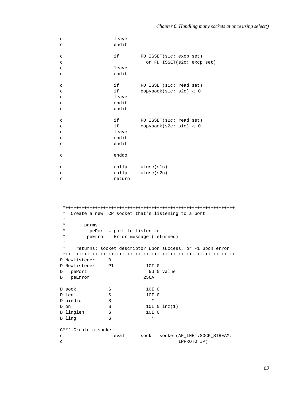| $\mathtt{C}$<br>$\mathbf C$                              | leave<br>endif               |                                                       |
|----------------------------------------------------------|------------------------------|-------------------------------------------------------|
| $\mathbf C$<br>$\mathbf C$                               | if                           | FD_ISSET(s1c: excp_set)<br>or FD_ISSET(s2c: excp_set) |
| $\mathbf C$                                              | leave                        |                                                       |
| $\mathsf{C}$                                             | endif                        |                                                       |
| $\mathsf C$<br>$\mathbf C$<br>$\mathbf C$<br>$\mathbf C$ | if i<br>if<br>leave<br>endif | FD_ISSET(slc: read_set)<br>copysock(s1c: s2c) < 0     |
| $\mathbf C$                                              | endif                        |                                                       |
| $\mathbf C$<br>$\mathbf C$                               | if i<br>if                   | FD_ISSET(s2c: read_set)<br>copysock(s2c: slc) < 0     |
| $\mathbf C$                                              | leave                        |                                                       |
| $\mathbf C$                                              | endif                        |                                                       |
| $\mathtt{C}$                                             | endif                        |                                                       |
| $\mathtt{C}$                                             | enddo                        |                                                       |
| $\mathsf C$                                              |                              | callp close(slc)                                      |
| $\mathbf C$                                              |                              | callp close(s2c)                                      |
| C                                                        | return                       |                                                       |

```
*+++++++++++++++++++++++++++++++++++++++++++++++++++++++++++++++
 * Create a new TCP socket that's listening to a port
 *
     * parms:
 * pePort = port to listen to
 * peError = Error message (returned)
 *
 * returns: socket descriptor upon success, or -1 upon error
*+++++++++++++++++++++++++++++++++++++++++++++++++++++++++++++++
P NewListener B<br>D NewListener PI
D NewListener PI 10I 0
D pePort 5U 0 value
D peError 256A
D sock S 10I 0
D len S 10I 0
D bindto S *
D on S 10I 0 inz(1)
D linglen S 10I 0
D ling S *
C*** Create a socket
c eval sock = socket(AF_INET:SOCK_STREAM:
c IPPROTO_IP)
```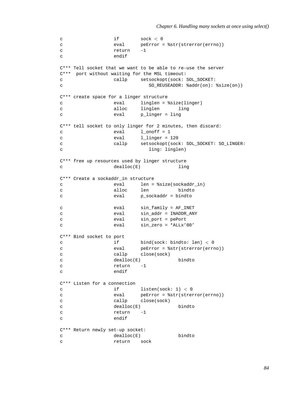```
c if sock < 0c eval peError = %str(strerror(errno))
c return -1
c endif
C*** Tell socket that we want to be able to re-use the server
C*** port without waiting for the MSL timeout:
c callp setsockopt(sock: SOL_SOCKET:
c SO_REUSEADDR: %addr(on): %size(on))
C*** create space for a linger structure
c eval linglen = %size(linger)
c alloc linglen ling
c eval p_linger = ling
C*** tell socket to only linger for 2 minutes, then discard:
c eval 1 onoff = 1
c eval 1 linger = 120
c callp setsockopt(sock: SOL_SOCKET: SO_LINGER:
c ling: linglen)
C*** free up resources used by linger structure
c dealloc(E) ling
C*** Create a sockaddr_in structure
c eval len = %size(sockaddr_in)
c alloc len bindto
c eval p_sockaddr = bindto
c eval sin_family = AF_INET
c eval sin_addr = INADDR_ANY
c eval sin_port = pePort
c eval sin_zero = *ALLx'00'
C*** Bind socket to port
c if bind(sock: bindto: len) < 0
c eval peError = %str(strerror(errno))
c callp close(sock)
c dealloc(E) bindto
c return -1
c endif
C*** Listen for a connection
c if listen(sock: 1) < 0
c eval peError = %str(strerror(errno))
c callp close(sock)
c dealloc(E) bindto
c return -1
c endif
C*** Return newly set-up socket:
c dealloc(E) bindto
c return sock
```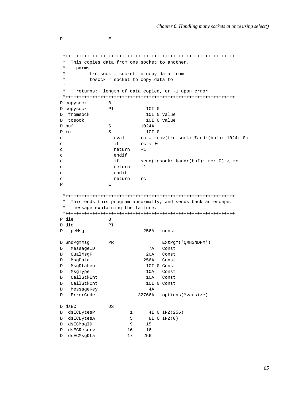```
*+++++++++++++++++++++++++++++++++++++++++++++++++++++++++++++++
  This copies data from one socket to another.
* parms:
       fromsock = socket to copy data from* tosock = socket to copy data to
*
* returns: length of data copied, or -1 upon error
*+++++++++++++++++++++++++++++++++++++++++++++++++++++++++++++++
P copysock B
D copysock PI 10I 0
D fromsock 10I 0 value
D tosock 10I 0 value
D buf S 1024A
D rc S 10I 0
c eval rc = recv(fromsock: %addr(buf): 1024: 0)
c if rc < 0c return -1
c endif<br>c if
c if send(tosock: %addr(buf): rc: 0) < rc
c return -1
c endif
c return rc
P E
*+++++++++++++++++++++++++++++++++++++++++++++++++++++++++++++++
* This ends this program abnormally, and sends back an escape.
   message explaining the failure.
*+++++++++++++++++++++++++++++++++++++++++++++++++++++++++++++++
P die B
D die PI
D peMsg 256A const
D SndPgmMsg PR ExtPgm('QMHSNDPM')
D MessageID 7A Const
D QualMsgF 20A Const
D MsgData 256A Const
D MsgDtaLen 10I 0 Const
D MsgType 10A Const
D CallStkEnt 10A Const
D CallStkCnt 10I 0 Const
D MessageKey 4A
D ErrorCode 32766A options(*varsize)
D dsEC DS
D dsECBytesP 1 4I 0 INZ(256)
D dsECBytesA 5 8I 0 INZ(0)
D dsECMsgID 9 15
D dsECReserv 16 16
D dsECMsgDta 17 256
```
P E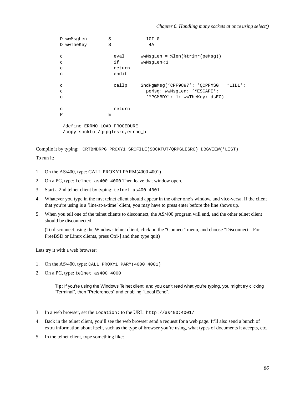|              | D wwMsqLen                       | S      | 10I 0                                      |  |  |  |  |
|--------------|----------------------------------|--------|--------------------------------------------|--|--|--|--|
|              | D wwTheKey                       | S      | 4A                                         |  |  |  |  |
| C            |                                  | eval   | $wwwMsgLen = %len(%trimr(peMsg))$          |  |  |  |  |
| C            |                                  | if     | wwMsqLen<1                                 |  |  |  |  |
| C            |                                  | return |                                            |  |  |  |  |
| C            |                                  | endif  |                                            |  |  |  |  |
|              |                                  |        |                                            |  |  |  |  |
| C            |                                  | callp  | SndPgmMsg('CPF9897': 'QCPFMSG<br>$*LIBL':$ |  |  |  |  |
| C            |                                  |        | peMsq: wwMsgLen: '*ESCAPE':                |  |  |  |  |
| C            |                                  |        | '*PGMBDY': 1: wwTheKey: dsEC)              |  |  |  |  |
|              |                                  |        |                                            |  |  |  |  |
| C            |                                  | return |                                            |  |  |  |  |
| $\mathsf{P}$ |                                  | E      |                                            |  |  |  |  |
|              |                                  |        |                                            |  |  |  |  |
|              | /define ERRNO LOAD PROCEDURE     |        |                                            |  |  |  |  |
|              | /copy socktut/qrpglesrc, errno h |        |                                            |  |  |  |  |

Compile it by typing: CRTBNDRPG PROXY1 SRCFILE(SOCKTUT/QRPGLESRC) DBGVIEW(\*LIST)

To run it:

- 1. On the AS/400, type: CALL PROXY1 PARM(4000 4001)
- 2. On a PC, type: telnet as400 4000 Then leave that window open.
- 3. Start a 2nd telnet client by typing: telnet as400 4001
- 4. Whatever you type in the first telnet client should appear in the other one's window, and vice-versa. If the client that you're using is a 'line-at-a-time' client, you may have to press enter before the line shows up.
- 5. When you tell one of the telnet clients to disconnect, the AS/400 program will end, and the other telnet client should be disconnected.

(To disconnect using the Windows telnet client, click on the "Connect" menu, and choose "Disconnect". For FreeBSD or Linux clients, press Ctrl-] and then type quit)

Lets try it with a web browser:

- 1. On the AS/400, type: CALL PROXY1 PARM(4000 4001)
- 2. On a PC, type: telnet as400 4000

**Tip:** If you're using the Windows Telnet client, and you can't read what you're typing, you might try clicking "Terminal", then "Preferences" and enabling "Local Echo".

- 3. In a web browser, set the Location: to the URL: http://as400:4001/
- 4. Back in the telnet client, you'll see the web browser send a request for a web page. It'll also send a bunch of extra information about itself, such as the type of browser you're using, what types of documents it accepts, etc.
- 5. In the telnet client, type something like: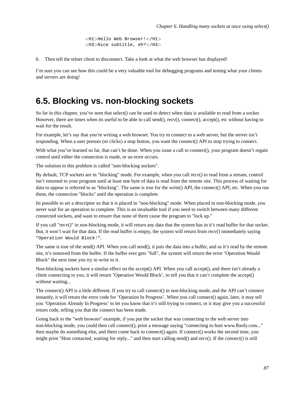```
<H1>Hello Web Browser!</H1>
<H3>Nice subtitle, eh?</H3>
```
6. Then tell the telnet client to disconnect. Take a look at what the web browser has displayed!

I'm sure you can see how this could be a very valuable tool for debugging programs and testing what your clients and servers are doing!

### **6.5. Blocking vs. non-blocking sockets**

So far in this chapter, you've seen that select() can be used to detect when data is available to read from a socket. However, there are times when its useful to be able to call send(), recv(), connect(), accept(), etc without having to wait for the result.

For example, let's say that you're writing a web browser. You try to connect to a web server, but the server isn't responding. When a user presses (or clicks) a stop button, you want the connect() API to stop trying to connect.

With what you've learned so far, that can't be done. When you issue a call to connect(), your program doesn't regain control until either the connection is made, or an error occurs.

The solution to this problem is called "non-blocking sockets".

By default, TCP sockets are in "blocking" mode. For example, when you call recv() to read from a stream, control isn't returned to your program until at least one byte of data is read from the remote site. This process of waiting for data to appear is referred to as "blocking". The same is true for the write() API, the connect() API, etc. When you run them, the connection "blocks" until the operation is complete.

Its possible to set a descriptor so that it is placed in "non-blocking" mode. When placed in non-blocking mode, you never wait for an operation to complete. This is an invaluable tool if you need to switch between many different connected sockets, and want to ensure that none of them cause the program to "lock up."

If you call "recv()" in non-blocking mode, it will return any data that the system has in it's read buffer for that socket. But, it won't wait for that data. If the read buffer is empty, the system will return from recv() immediately saying "Operation Would Block!".

The same is true of the send() API. When you call send(), it puts the data into a buffer, and as it's read by the remote site, it's removed from the buffer. If the buffer ever gets "full", the system will return the error 'Operation Would Block" the next time you try to write to it.

Non-blocking sockets have a similar effect on the accept() API. When you call accept(), and there isn't already a client connecting to you, it will return 'Operation Would Block', to tell you that it can't complete the accept() without waiting...

The connect() API is a little different. If you try to call connect() in non-blocking mode, and the API can't connect instantly, it will return the error code for 'Operation In Progress'. When you call connect() again, later, it may tell you 'Operation Already In Progress' to let you know that it's still trying to connect, or it may give you a successful return code, telling you that the connect has been made.

Going back to the "web browser" example, if you put the socket that was connecting to the web server into non-blocking mode, you could then call connect(), print a message saying "connecting to host www.floofy.com..." then maybe do something else, and them come back to connect() again. If connect() works the second time, you might print "Host contacted, waiting for reply..." and then start calling send() and recv(). If the connect() is still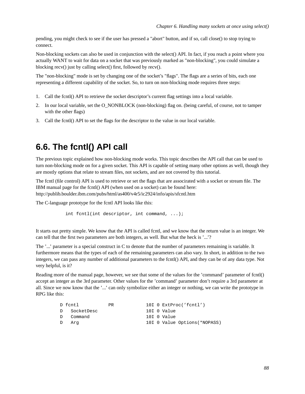pending, you might check to see if the user has pressed a "abort" button, and if so, call close() to stop trying to connect.

Non-blocking sockets can also be used in conjunction with the select() API. In fact, if you reach a point where you actually WANT to wait for data on a socket that was previously marked as "non-blocking", you could simulate a blocking recv() just by calling select() first, followed by recv().

The "non-blocking" mode is set by changing one of the socket's "flags". The flags are a series of bits, each one representing a different capability of the socket. So, to turn on non-blocking mode requires three steps:

- 1. Call the fcntl() API to retrieve the socket descriptor's current flag settings into a local variable.
- 2. In our local variable, set the O\_NONBLOCK (non-blocking) flag on. (being careful, of course, not to tamper with the other flags)
- 3. Call the fcntl() API to set the flags for the descriptor to the value in our local variable.

#### **6.6. The fcntl() API call**

The previous topic explained how non-blocking mode works. This topic describes the API call that can be used to turn non-blocking mode on for a given socket. This API is capable of setting many other options as well, though they are mostly options that relate to stream files, not sockets, and are not covered by this tutorial.

The fcntl (file control) API is used to retrieve or set the flags that are associrated with a socket or stream file. The IBM manual page for the fcntl() API (when used on a socket) can be found here: http://publib.boulder.ibm.com/pubs/html/as400/v4r5/ic2924/info/apis/sfcntl.htm

The C-language prototype for the fcntl API looks like this:

int fcntl(int descriptor, int command, ...);

It starts out pretty simple. We know that the API is called fcntl, and we know that the return value is an integer. We can tell that the first two parameters are both integers, as well. But what the heck is '...'?

The '...' parameter is a special construct in C to denote that the number of parameters remaining is variable. It furthermore means that the types of each of the remaining parameters can also vary. In short, in addition to the two integers, we can pass any number of additional parameters to the fcntl() API, and they can be of any data type. Not very helpful, is it?

Reading more of the manual page, however, we see that some of the values for the 'command' parameter of fcntl() accept an integer as the 3rd parameter. Other values for the 'command' parameter don't require a 3rd parameter at all. Since we now know that the '...' can only symbolize either an integer or nothing, we can write the prototype in RPG like this:

| D fcntl      | PR. |  | 10I $0$ ExtProc('fcntl')      |
|--------------|-----|--|-------------------------------|
| D SocketDesc |     |  | 10I O Value                   |
| D Command    |     |  | 10I O Value                   |
| D Arq        |     |  | 10I 0 Value Options (*NOPASS) |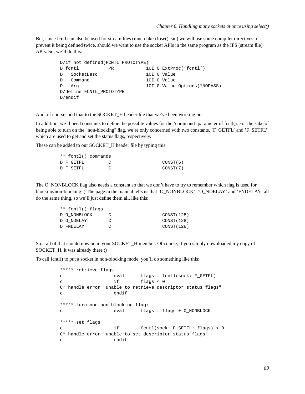But, since fcntl can also be used for stream files (much like close() can) we will use some compiler directives to prevent it being defined twice, should we want to use the socket APIs in the same program as the IFS (stream file) APIs. So, we'll do this:

```
D/if not defined(FCNTL_PROTOTYPE)
D fcntl PR 10I 0 ExtProc('fcntl')
D SocketDesc 10I 0 Value
D Command 10I 0 Value
D Arg 10I 0 Value Options(*NOPASS)
D/define FCNTL_PROTOTYPE
D/endif
```
And, of course, add that to the SOCKET\_H header file that we've been working on.

In addition, we'll need constants to define the possible values for the 'command' parameter of fcntl(). For the sake of being able to turn on the "non-blocking" flag, we're only concerned with two constants. 'F\_GETFL' and 'F\_SETFL' which are used to get and set the status flags, respectively.

These can be added to our SOCKET H header file by typing this:

|          | ** fcntl() commands |           |  |
|----------|---------------------|-----------|--|
| CONST(6) |                     | D F GETFL |  |
| CONST(7) |                     | D F SETFL |  |

The O\_NONBLOCK flag also needs a constant so that we don't have to try to remember which flag is used for blocking/non-blocking :) The page in the manual tells us that 'O\_NONBLOCK', 'O\_NDELAY' and 'FNDELAY' all do the same thing, so we'll just define them all, like this:

| ** fcntl() flags |   |            |
|------------------|---|------------|
| D O NONBLOCK     |   | CONST(128) |
| D O NDELAY       | C | CONST(128) |
| D FNDELAY        | ◠ | CONST(128) |

So... all of that should now be in your SOCKET\_H member. Of course, if you simply downloaded my copy of SOCKET H, it was already there :)

To call fcntl() to put a socket in non-blocking mode, you'll do something like this:

```
***** retrieve flags
c eval flags = fcntl(sock: F_GETFL)
c if flags < 0
C* handle error "unable to retrieve descriptor status flags"
c endif
***** turn non non-blocking flag:
c eval flags = flags + O_NONBLOCK
***** set flags
c if fcntl(sock: F_SETFL: flags) < 0
C* handle error "unable to set descriptor status flags"
c endif
```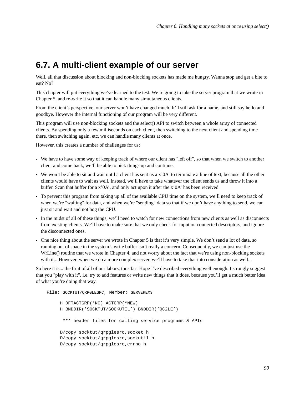### **6.7. A multi-client example of our server**

Well, all that discussion about blocking and non-blocking sockets has made me hungry. Wanna stop and get a bite to eat? No?

This chapter will put everything we've learned to the test. We're going to take the server program that we wrote in Chapter 5, and re-write it so that it can handle many simultaneous clients.

From the client's perspective, our server won't have changed much. It'll still ask for a name, and still say hello and goodbye. However the internal functioning of our program will be very different.

This program will use non-blocking sockets and the select() API to switch between a whole array of connected clients. By spending only a few milliseconds on each client, then switching to the next client and spending time there, then switching again, etc, we can handle many clients at once.

However, this creates a number of challenges for us:

- We have to have some way of keeping track of where our client has "left off", so that when we switch to another client and come back, we'll be able to pick things up and continue.
- We won't be able to sit and wait until a client has sent us a x'0A' to terminate a line of text, because all the other clients would have to wait as well. Instead, we'll have to take whatever the client sends us and throw it into a buffer. Scan that buffer for a x'0A', and only act upon it after the x'0A' has been received.
- To prevent this program from taking up all of the available CPU time on the system, we'll need to keep track of when we're "waiting" for data, and when we're "sending" data so that if we don't have anything to send, we can just sit and wait and not hog the CPU.
- In the midst of all of these things, we'll need to watch for new connections from new clients as well as disconnects from existing clients. We'll have to make sure that we only check for input on connected descriptors, and ignore the disconnected ones.
- One nice thing about the server we wrote in Chapter 5 is that it's very simple. We don't send a lot of data, so running out of space in the system's write buffer isn't really a concern. Consequently, we can just use the WrLine() routine that we wrote in Chapter 4, and not worry about the fact that we're using non-blocking sockets with it... However, when we do a more complex server, we'll have to take that into consideration as well...

So here it is... the fruit of all of our labors, thus far! Hope I've described everything well enough. I strongly suggest that you "play with it", i.e. try to add features or write new things that it does, because you'll get a much better idea of what you're doing that way.

File: SOCKTUT/QRPGLESRC, Member: SERVEREX3 H DFTACTGRP(\*NO) ACTGRP(\*NEW) H BNDDIR('SOCKTUT/SOCKUTIL') BNDDIR('QC2LE') \*\*\* header files for calling service programs & APIs D/copy socktut/qrpglesrc,socket\_h D/copy socktut/qrpglesrc,sockutil\_h D/copy socktut/qrpglesrc,errno\_h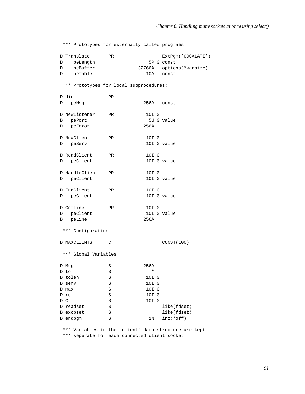\*\*\* Prototypes for externally called programs:

|   | D Translate | PR. |       | ExtPqm('ODCXLATE')       |
|---|-------------|-----|-------|--------------------------|
| D | peLength    |     |       | 5P 0 const               |
| D | peBuffer    |     |       | 32766A options(*varsize) |
| D | peTable     |     | 1 O A | const                    |

\*\*\* Prototypes for local subprocedures:

|                       | D die             | PR.          |  |         |  |                                                       |
|-----------------------|-------------------|--------------|--|---------|--|-------------------------------------------------------|
| D                     | peMsg             |              |  |         |  | 256A const                                            |
|                       | D NewListener     | <b>PR</b>    |  | 10I 0   |  |                                                       |
|                       | D pePort          |              |  |         |  | 5U 0 value                                            |
|                       | D peError         |              |  | 256A    |  |                                                       |
|                       | D NewClient       | <b>PR</b>    |  | 10I 0   |  |                                                       |
|                       | D peServ          |              |  |         |  | 10I 0 value                                           |
|                       | D ReadClient      | PR           |  | 10I 0   |  |                                                       |
|                       | D peClient        |              |  |         |  | 10I 0 value                                           |
|                       | D HandleClient    | PR           |  | 10I 0   |  |                                                       |
|                       | D peClient        |              |  |         |  | 10I 0 value                                           |
|                       | D EndClient       | PR           |  | 10I 0   |  |                                                       |
|                       | D peClient        |              |  |         |  | 10I O value                                           |
|                       | D GetLine         | PR           |  | 10I 0   |  |                                                       |
|                       | D peClient        |              |  |         |  | 10I 0 value                                           |
|                       | D peLine          |              |  | 256A    |  |                                                       |
|                       | *** Configuration |              |  |         |  |                                                       |
|                       | D MAXCLIENTS      | $\mathsf{C}$ |  |         |  | CONST(100)                                            |
| *** Global Variables: |                   |              |  |         |  |                                                       |
|                       | D Msg             | S            |  | 256A    |  |                                                       |
|                       | D to              | S            |  | $\star$ |  |                                                       |
|                       | D tolen           | S            |  | 10I 0   |  |                                                       |
|                       | D serv            | S            |  | 10I 0   |  |                                                       |
|                       | D max             | S            |  | 10I 0   |  |                                                       |
|                       | D rc              | S            |  | 10I 0   |  |                                                       |
|                       | D C               | S            |  | 10I 0   |  |                                                       |
|                       | D readset         | S            |  |         |  | like(fdset)                                           |
|                       | D excpset         | S            |  |         |  | like(fdset)                                           |
|                       | D endpgm          | S            |  | 1N      |  | $inz(*off)$                                           |
|                       |                   |              |  |         |  | *** Variables in the "client" data structure are kept |

\*\*\* seperate for each connected client socket.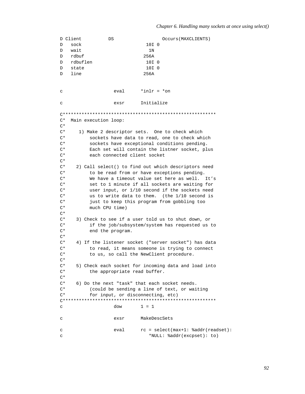D Client Occurs (MAXCLIENTS) DS  $\overline{D}$ sock  $10I<sub>0</sub>$ wait  $1N$  $\Gamma$  $D$ rdbuf 256A rdbuflen  $10I<sub>0</sub>$  $\overline{D}$  $10I<sub>0</sub>$  $\mathcal{D}$ state  $\overline{D}$ line 256A eval  $*inlr = *on$  $\mathbf{C}$ Initialize exsr  $\mathbf C$ C\* Main execution loop:  $C^*$  $\mathrm{C}^{\,\star}$ 1) Make 2 descriptor sets. One to check which  $C^*$ sockets have data to read, one to check which  $C^*$ sockets have exceptional conditions pending.  $\mathrm{C}^{\,\star}$ Each set will contain the listner socket, plus  $C^*$ each connected client socket  $C^*$  $\mathrm{C}^{\,\star}$ 2) Call select() to find out which descriptors need  $C^*$ to be read from or have exceptions pending.  $C^*$ We have a timeout value set here as well. It's  $C^*$ set to 1 minute if all sockets are waiting for  $C^*$ user input, or 1/10 second if the sockets need  $C^*$ us to write data to them. (the 1/10 second is  $\mathrm{C}^{\,\star}$ just to keep this program from gobbling too  $C^*$ much CPU time)  $C^*$  $\mathrm{C}\,{}^{\star}$ 3) Check to see if a user told us to shut down, or  $C^*$ if the job/subsystem/system has requested us to  $\mathrm{C}^{\,\star}$ end the program.  $C^*$  $C^*$ 4) If the listener socket ("server socket") has data  $C^*$ to read, it means someone is trying to connect  $C^*$ to us, so call the NewClient procedure.  $\mathrm{C}^{\,\star}$  $\mathrm{C}^{\,\star}$ 5) Check each socket for incoming data and load into  $C^*$ the appropriate read buffer.  $C^*$  $\mathrm{C}^{\,\star}$ 6) Do the next "task" that each socket needs.  $\mathrm{C}^{\,\star}$ (could be sending a line of text, or waiting  $C^*$ for input, or disconnecting, etc)  $1 = 1$ dow  $\mathbf{C}$ exsr MakeDescSets  $\Gamma$  $rc = select(max+1: %addr(readset):$  $\mathbf{C}$ eval \*NULL: \$addr(excpset): to)  $\mathtt{C}$ 

#### Chapter 6. Handling many sockets at once using select()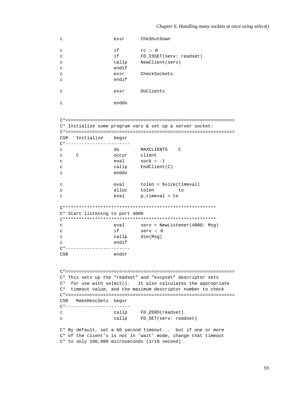| с                                             | exsr           | ChkShutDown                                                   |  |  |  |
|-----------------------------------------------|----------------|---------------------------------------------------------------|--|--|--|
| с                                             | if             | rc > 0                                                        |  |  |  |
| с                                             | if             | FD_ISSET(serv: readset)                                       |  |  |  |
|                                               |                |                                                               |  |  |  |
| с                                             | callp          | NewClient(serv)                                               |  |  |  |
| с                                             | endif          |                                                               |  |  |  |
| C                                             | exsr           | CheckSockets                                                  |  |  |  |
| С                                             | endif          |                                                               |  |  |  |
|                                               |                |                                                               |  |  |  |
| с                                             | exsr           | DoClients                                                     |  |  |  |
|                                               |                |                                                               |  |  |  |
| C                                             | enddo          |                                                               |  |  |  |
|                                               |                |                                                               |  |  |  |
|                                               |                |                                                               |  |  |  |
|                                               |                |                                                               |  |  |  |
|                                               |                | C* Initialize some program vars & set up a server socket:     |  |  |  |
|                                               |                |                                                               |  |  |  |
| CSR Initialize begsr                          |                |                                                               |  |  |  |
| C*-----------------------                     |                |                                                               |  |  |  |
|                                               |                |                                                               |  |  |  |
| C                                             |                | do MAXCLIENTS C                                               |  |  |  |
| $\overline{C}$<br>C                           | occur client   |                                                               |  |  |  |
| с                                             |                | $eval$ sock = $-1$                                            |  |  |  |
| с                                             |                | callp EndClient(C)                                            |  |  |  |
| с                                             | enddo          |                                                               |  |  |  |
|                                               |                |                                                               |  |  |  |
| с                                             |                | eval tolen = %size(timeval)                                   |  |  |  |
| C                                             | alloc          | tolen<br>to                                                   |  |  |  |
|                                               | eval           | $p_t$ timeval = to                                            |  |  |  |
| C                                             |                |                                                               |  |  |  |
|                                               |                |                                                               |  |  |  |
| C* Start listening to port 4000               |                |                                                               |  |  |  |
|                                               |                |                                                               |  |  |  |
| C                                             |                | eval serv = NewListener(4000: Msg)                            |  |  |  |
|                                               | if             | serv < 0                                                      |  |  |  |
| C                                             |                |                                                               |  |  |  |
| C                                             | callp die(Msg) |                                                               |  |  |  |
| С                                             | endif          |                                                               |  |  |  |
| (*-----------------------                     |                |                                                               |  |  |  |
| CSR                                           | endsr          |                                                               |  |  |  |
|                                               |                |                                                               |  |  |  |
|                                               |                |                                                               |  |  |  |
|                                               |                |                                                               |  |  |  |
|                                               |                | C* This sets up the "readset" and "excpset" descriptor sets   |  |  |  |
| C*                                            |                | for use with select(). It also calculates the appropriate     |  |  |  |
| $C^*$                                         |                | timeout value, and the maximum descriptor number to check     |  |  |  |
|                                               |                |                                                               |  |  |  |
|                                               |                |                                                               |  |  |  |
| CSR<br>MakeDescSets begsr                     |                |                                                               |  |  |  |
| (*-----------------------                     |                |                                                               |  |  |  |
| C                                             |                | callp FD_ZERO(readset)                                        |  |  |  |
| C                                             |                | callp FD_SET(serv: readset)                                   |  |  |  |
|                                               |                |                                                               |  |  |  |
|                                               |                | C* By default, set a 60 second timeout but if one or more     |  |  |  |
|                                               |                | C* of the client's is not in 'wait' mode, change that timeout |  |  |  |
|                                               |                |                                                               |  |  |  |
| C* to only 100,000 microseconds (1/10 second) |                |                                                               |  |  |  |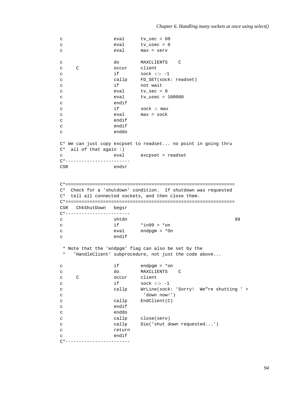```
c eval tv_sec = 60
c eval tv_usec = 0
c eval max = serv
c do MAXCLIENTS C
c C occur client
c if sock \langle > -1 \ranglec callp FD_SET(sock: readset)
c if not wait
c eval tv_sec = 0
c eval tv_usec = 100000
c endif
c if sock > max
c eval max = sock
c endif
c endif
c enddo
C* We can just copy excpset to readset... no point in going thru
C* all of that again :)
c eval excpset = readset
C*------------------------
CSR endsr
C*===============================================================
C* Check for a 'shutdown' condition. If shutdown was requested
C* tell all connected sockets, and then close them.
C*===============================================================
CSR ChkShutDown begsr
C*------------------------
c shtdn shtdn 99 shtda ethiopidae ethiopidae ethiopidae ethiopidae ethiopidae ethiopidae ethiopidae ethiopidae ethiopidae ethiopidae ethiopidae ethiopidae ethiopidae ethiopidae ethiopidae ethiopidae ethiopidae ethiopidae e
c if *ing9 = *onc eval endpgm = *On
c endif
* Note that the 'endpgm' flag can also be set by the
* 'HandleClient' subprocedure, not just the code above...
c if endpgm = *on
c do MAXCLIENTS C
c C occur client
c if sock \langle > -1c callp WrLine(sock: 'Sorry! We"re shutting ' +
c 'down now!')
c callp EndClient(C)
c endif
c enddo
c callp close(serv)
c callp Die('shut down requested...')
c return
c endif
C*------------------------
```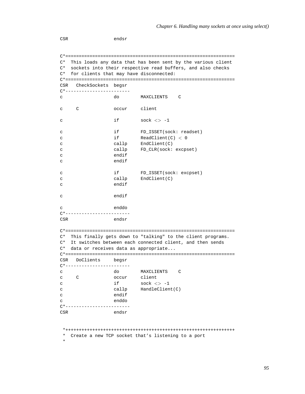CSR endsr C\*=============================================================== C\* This loads any data that has been sent by the various client C\* sockets into their respective read buffers, and also checks C\* for clients that may have disconnected: C\*=============================================================== CSR CheckSockets begsr C\*----------------------- c do MAXCLIENTS C c C occur client c  $if$  sock  $\langle > -1 \rangle$ c if FD\_ISSET(sock: readset) c if ReadClient(C) < 0 c callp EndClient(C) c callp FD\_CLR(sock: excpset) c endif c endif c if FD\_ISSET(sock: excpset) c callp EndClient(C) c endif c endif c enddo C\*------------------------ CSR endsr C\*=============================================================== C\* This finally gets down to "talking" to the client programs. C\* It switches between each connected client, and then sends C\* data or receives data as appropriate... C\*=============================================================== CSR DoClients begsr C\*----------------------- c do MAXCLIENTS C c C occur client c  $if$  sock  $\langle > -1$ c callp HandleClient(C) c endif c enddo C\*------------------------ CSR endsr \*+++++++++++++++++++++++++++++++++++++++++++++++++++++++++++++++ \* Create a new TCP socket that's listening to a port \*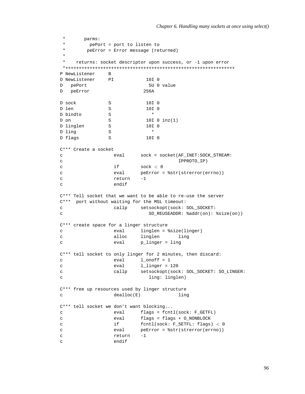```
* parms:
* pePort = port to listen to<br>A mePrror = Frror message (red
      peError = Error message (returned)
 *
   returns: socket descriptor upon success, or -1 upon error
*+++++++++++++++++++++++++++++++++++++++++++++++++++++++++++++++
P NewListener B
D NewListener PI 10I 0
D pePort 5U 0 value
D peError 256A
D sock S 10I 0
D len S 10I 0
D bindto S *
D on S 10I 0 inz(1)
D linglen S 10I 0
D ling S *
D flags S 10I 0
C*** Create a socket
c eval sock = socket(AF_INET:SOCK_STREAM:
c IPPROTO_IP)
c if sock < 0c eval peError = %str(strerror(errno))
c return -1
c endif
C*** Tell socket that we want to be able to re-use the server
C*** port without waiting for the MSL timeout:
c callp setsockopt(sock: SOL_SOCKET:
c SO_REUSEADDR: %addr(on): %size(on))
C*** create space for a linger structure
c eval linglen = %size(linger)
c alloc linglen ling
c eval p_linger = ling
C*** tell socket to only linger for 2 minutes, then discard:
c eval 1_onoff = 1
c eval l_linger = 120
c callp setsockopt(sock: SOL_SOCKET: SO_LINGER:
c ling: linglen)
C*** free up resources used by linger structure
c dealloc(E) ling
C*** tell socket we don't want blocking...
c eval flags = fcntl(sock: F_GETFL)
c eval flags = flags + O_NONBLOCK
c if fcntl(sock: F_SETFL: flags) < 0
c eval peError = %str(strerror(errno))
c return -1
c endif
```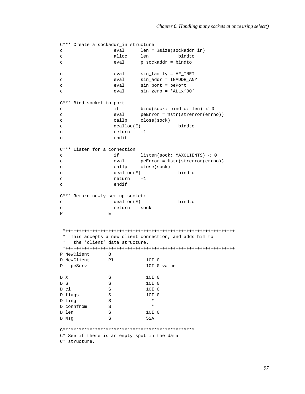```
C*** Create a sockaddr_in structure
c eval len = %size(sockaddr_in)
c alloc len bindto
c eval p_sockaddr = bindto
c eval sin_family = AF_INET
c eval sin_addr = INADDR_ANY
c eval sin_port = pePort
c eval sin_zero = *ALLx'00'
C*** Bind socket to port
c if bind(sock: bindto: len) < 0
c eval peError = %str(strerror(errno))<br>c callp close(sock)
c callp close(sock)
c dealloc(E) bindto
c return -1
c endif
C*** Listen for a connection
c if listen(sock: MAXCLIENTS) < 0
c eval peError = %str(strerror(errno))
c callp close(sock)
c dealloc(E) bindto
c return -1
c endif
C*** Return newly set-up socket:
c dealloc(E) bindto
c return sock
P E
*+++++++++++++++++++++++++++++++++++++++++++++++++++++++++++++++
* This accepts a new client connection, and adds him to
* the 'client' data structure.
*+++++++++++++++++++++++++++++++++++++++++++++++++++++++++++++++
P NewClient B
D NewClient PI 10I 0<br>
D peServ 10I 0 value
D peServ
D X S 10I 0
D S S 10I 0
D cl S 10I 0
D flags S 10I 0
D ling S *
D connfrom S *
D len S 10I 0
D Msq S 52A
C*************************************************
C* See if there is an empty spot in the data
C* structure.
```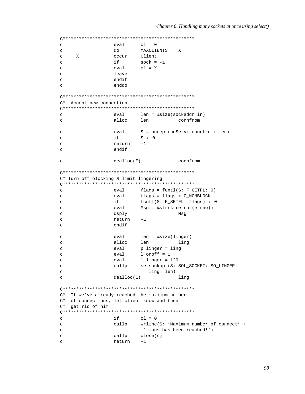```
\mathbf{C}eval
                           cl = 0do
                           MAXCLIENTS
                                        \mathbf{x}\mathtt{C}\mathbf{C}\mathbf{x}occur
                          Client
                  if
                           sock = -1\mathbf{C}c1 = X\mathbf{C}eval
                  leave
\mathcal{L}endif
\rm{c}enddo
\mathbf{C}C* Accept new connection
eval
                           len = $size(sockets, in)\epsilonalloc
                           len
                                        connfrom
\rm{c}\mathtt{C}eval
                          S = accept(peServ: connfrom: len)
\mathbf{C}if
                           S < 0-1return
\mathcal{C}\mathbf{C}endif
                  dealloc(E)connfrom
\mathbf{C}C* Turn off blocking & limit lingering
flags = fcntl(S: F_GETFL: 0)\mathbf{C}eval
\rm{c}eval
                          flags = flags + O_NONBLOCK
                  if
                           fcntl(S: F_SETFL: flags) < 0
\mathbf CMsg = %str(strerror(errno))
                  eval
\mathcal{C}dsply
                                        Msg
\mathcal{L}return
\rm{c}-1endif
\mathbf{C}len = %size(linger)
                  eval
\mathbf C\mathbf Calloc
                          len
                                        ling
\mathcal{C}eval
                          p_linger = ling
                  eval
                           1\_{\text{onoff}} = 1\mathbf{C}1_linger = 120
\rm{c}eval
                          setsockopt(S: SOL_SOCKET: SO_LINGER:
                  callp
\mathcal{L}ling: len)
\mathbf{C}dealloc(E)\mathbf{C}ling
C* If we've already reached the maximum number
C* of connections, let client know and then
C* get rid of him
\mathcal{L}if
                           c1 = 0\rm{c}callp
                          wrline(S: 'Maximum number of connect' +
                            'tions has been reached!')
\mathbf cclose(s)\mathtt{C}callp
\mathbf{C}return
                           -1
```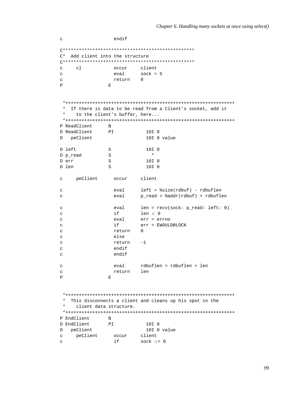```
endif
\mathtt{C}C* Add client into the structure
client
               occur
\mathcal{C}c1Sock = Seval
\mathbf{c}\mathtt{C}return 0
\mathbf{P}\mathbf{E}* If there is data to be read from a Client's socket, add it
    to the client's buffer, here...
 P ReadClient
              \mathbf{B}D ReadClient
              PI10I 0
D peClient
                         10I 0 value
D left
              S10I 0
D p_read
              S\pmb{\ast}S10I 0
D err
D len
             S10I 0
\mathbf{C}peClient
               occur
                      client
                      left = %size(rdbuf) - rdbuflen
\mathbf{C}eval
                      p_read = %addr(rdbuf) + rdbuflen
                eval
\mathsf{C}eval
                       len = recv(sock: p_{read}: left: 0)\mathcal{C}if
                       len < 0\mathbf{C}eval
                       err = errno
\mathtt{C}if
                       err = EWOULDBLOCK
\mathbf{C}\mathtt{C}return
                       \Omegaelse
\mathbf{C}\mathtt{C}return -1
\mathsf{C}endif
                endif
\mathbf{C}\mathbf{C}\mathsf{C}return len
\mathbf{P}\mathbf{E}* This disconnects a client and cleans up his spot in the
 \starclient data structure.
 P EndClient
             \overline{B}D EndClient
             PI10I 0
D peClient
                        10I 0 value
                      client
   peClient
\mathbf{C}occur
                      sock >= 0
               if
\mathbf{C}
```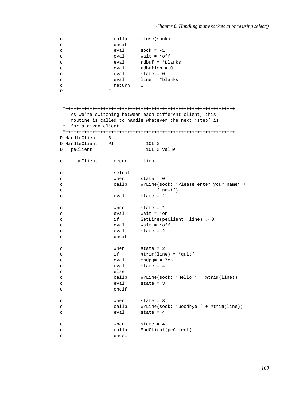```
c callp close(sock)
c endif
c eval sock = -1
c eval wait = *off
c eval rdbuf = *Blanks
c eval rdbuflen = 0
c eval state = 0
c eval line = *blanks
c return 0
P E
*+++++++++++++++++++++++++++++++++++++++++++++++++++++++++++++++
* As we're switching between each different client, this
* routine is called to handle whatever the next 'step' is
* for a given client.
*+++++++++++++++++++++++++++++++++++++++++++++++++++++++++++++++
P HandleClient B
D HandleClient PI 10I 0
D peClient 10I 0 value
c peClient occur client
c select
c when state = 0
c callp WrLine(sock: 'Please enter your name' +
c ' now!')
c eval state = 1
c when state = 1
c eval wait = *on
c if GetLine(peClient: line) > 0
c eval wait = *off
c eval state = 2
c endif
c when state = 2
c if %trim(line) = 'quit'
c eval endpgm = *on
c eval state = 4
c else
c callp WrLine(sock: 'Hello ' + %trim(line))
c eval state = 3
c endif
c when state = 3
c callp WrLine(sock: 'Goodbye ' + %trim(line))
c eval state = 4
c when state = 4
c callp EndClient(peClient)
c endsl
```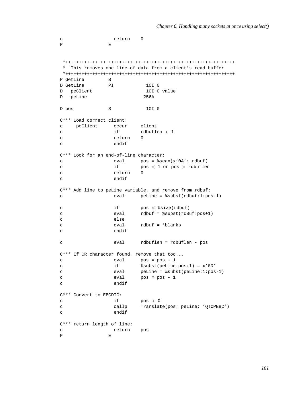```
c return 0
P E
*+++++++++++++++++++++++++++++++++++++++++++++++++++++++++++++++
* This removes one line of data from a client's read buffer
*+++++++++++++++++++++++++++++++++++++++++++++++++++++++++++++++
P GetLine B
D GetLine PI 10I 0<br>
D peClient 10I 0 value
D peClient
D peLine 256A
D pos S 10I 0
C*** Load correct client:
c peClient occur client
c if rdbuflen < 1c return 0
c endif
C*** Look for an end-of-line character:
c eval pos = %scan(x'0A': rdbuf)
c if pos < 1 or pos > rdbuflen
c return 0
c endif
C*** Add line to peLine variable, and remove from rdbuf:
c eval peLine = %subst(rdbuf:1:pos-1)
c if pos < %size(rdbuf)
c eval rdbuf = %subst(rdBuf:pos+1)
c else
c eval rdbuf = *blanks
c endif
c eval rdbuflen = rdbuflen - pos
C*** If CR character found, remove that too...
c eval pos = pos - 1
c if %subst(peLine:pos:1) = x'0D'
c eval peLine = %subst(peLine:1:pos-1)
c eval pos = pos - 1
c endif
C*** Convert to EBCDIC:
c if \text{pos} > 0c callp Translate(pos: peLine: 'QTCPEBC')
c endif
C*** return length of line:
c return pos
P E
```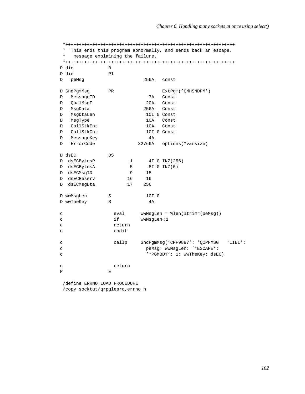```
*+++++++++++++++++++++++++++++++++++++++++++++++++++++++++++++++
* This ends this program abnormally, and sends back an escape.<br>* message explaining the failure
  message explaining the failure.
*+++++++++++++++++++++++++++++++++++++++++++++++++++++++++++++++
P die B
D die PI
D peMsg 256A const
D SndPgmMsg PR ExtPgm('QMHSNDPM')
D MessageID 7A Const
D QualMsgF 20A Const
D MsgData 256A Const
D MsgDtaLen 10I 0 Const
D MsgType 10A Const
D CallStkEnt 10A Const
D CallStkCnt 10I 0 Const
D MessageKey 4A
D ErrorCode 32766A options(*varsize)
D dsEC DS
D dsECBytesP 1 4I 0 INZ(256)
D dsECBytesA 5 8I 0 INZ(0)
D dsECMsqID 9 15
D dsECReserv 16 16
D dsECMsgDta 17 256
D wwMsgLen S 3 10I 0
D wwTheKey S 4A
c eval wwMsgLen = %len(%trimr(peMsg))
c if wwMsgLen<1
c return
c endif
c callp SndPgmMsg('CPF9897': 'QCPFMSG *LIBL':
c peMsg: wwMsgLen: '*ESCAPE':
c '*PGMBDY': 1: wwTheKey: dsEC)
c return
P E
```
/define ERRNO\_LOAD\_PROCEDURE /copy socktut/qrpglesrc,errno\_h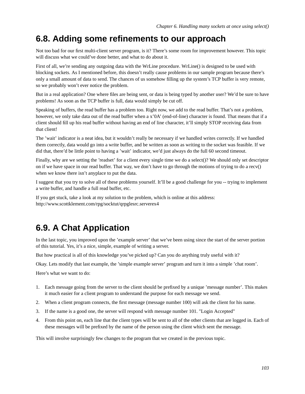### **6.8. Adding some refinements to our approach**

Not too bad for our first multi-client server program, is it? There's some room for improvement however. This topic will discuss what we could've done better, and what to do about it.

First of all, we're sending any outgoing data with the WrLine procedure. WrLine() is designed to be used with blocking sockets. As I mentioned before, this doesn't really cause problems in our sample program because there's only a small amount of data to send. The chances of us somehow filling up the system's TCP buffer is very remote, so we probably won't ever notice the problem.

But in a real application? One where files are being sent, or data is being typed by another user? We'd be sure to have problems! As soon as the TCP buffer is full, data would simply be cut off.

Speaking of buffers, the read buffer has a problem too. Right now, we add to the read buffer. That's not a problem, however, we only take data out of the read buffer when a x'0A' (end-of-line) character is found. That means that if a client should fill up his read buffer without having an end of line character, it'll simply STOP receiving data from that client!

The 'wait' indicator is a neat idea, but it wouldn't really be necessary if we handled writes correctly. If we handled them correctly, data would go into a write buffer, and be written as soon as writing to the socket was feasible. If we did that, there'd be little point to having a 'wait' indicator, we'd just always do the full 60 second timeout.

Finally, why are we setting the 'readset' for a client every single time we do a select()? We should only set descriptor on if we have space in our read buffer. That way, we don't have to go through the motions of trying to do a recv() when we know there isn't anyplace to put the data.

I suggest that you try to solve all of these problems yourself. It'll be a good challenge for you -- trying to implement a write buffer, and handle a full read buffer, etc.

If you get stuck, take a look at my solution to the problem, which is online at this address: http://www.scottklement.com/rpg/socktut/qrpglesrc.serverex4

# **6.9. A Chat Application**

In the last topic, you improved upon the 'example server' that we've been using since the start of the server portion of this tutorial. Yes, it's a nice, simple, example of writing a server.

But how practical is all of this knowledge you've picked up? Can you do anything truly useful with it?

Okay. Lets modify that last example, the 'simple example server' program and turn it into a simple 'chat room'.

Here's what we want to do:

- 1. Each message going from the server to the client should be prefixed by a unique 'message number'. This makes it much easier for a client program to understand the purpose for each message we send.
- 2. When a client program connects, the first message (message number 100) will ask the client for his name.
- 3. If the name is a good one, the server will respond with message number 101. "Login Accepted"
- 4. From this point on, each line that the client types will be sent to all of the other clients that are logged in. Each of these messages will be prefixed by the name of the person using the client which sent the message.

This will involve surprisingly few changes to the program that we created in the previous topic.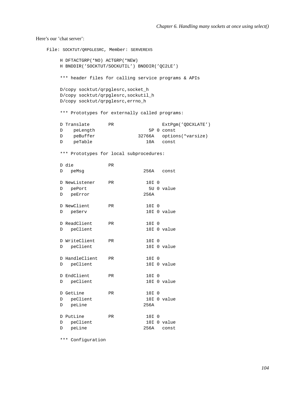#### Here's our 'chat server':

```
File: SOCKTUT/QRPGLESRC, Member: SERVEREX5
   H DFTACTGRP(*NO) ACTGRP(*NEW)
   H BNDDIR('SOCKTUT/SOCKUTIL') BNDDIR('QC2LE')
   *** header files for calling service programs & APIs
   D/copy socktut/qrpglesrc,socket_h
   D/copy socktut/qrpglesrc,sockutil_h
   D/copy socktut/qrpglesrc,errno_h
   *** Prototypes for externally called programs:
   D Translate PR ExtPgm('QDCXLATE')
   D peLength 5P 0 const
   D peBuffer 32766A options(*varsize)
   D peTable 10A const
   *** Prototypes for local subprocedures:
   D die PR
   D peMsg 256A const
   D NewListener PR 10I 0
   D pePort 5U 0 value
   D peError 256A
   D NewClient PR 10I 0
   D peServ 10I 0 value
   D ReadClient PR 10I 0
   D peClient 10I 0 value
   D WriteClient PR 10I 0
   D peClient 10I 0 value
   D HandleClient PR 10I 0
   D peClient 10I 0 value
   D EndClient PR 10I 0
   D peClient 10I 0 value
   D GetLine PR 10I 0
   D peClient 10I 0 value
   D peLine 256A
   D PutLine PR 10I 0
   D peClient 10I 0 value
   D peLine 256A const
```
\*\*\* Configuration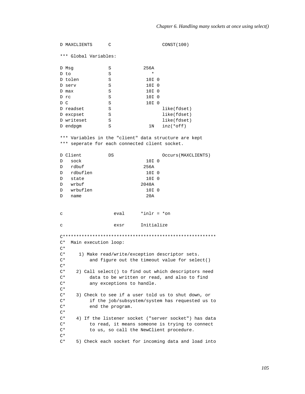D MAXCLIENTS  $\overline{C}$ CONST (100) \*\*\* Global Variables: 256A  $S$ D Msq D to  $S$ D tolen 10I 0  $S$ D serv  $S$ 10I 0 D max  $S$ 10I 0 D rc  $S$  $10I<sub>0</sub>$ D C  $S$ 10I 0 like(fdset) D readset  $S$ D excpset  $S$ like(fdset)  $\,$   $\,$   $\,$ like(fdset) D writeset  $\, \mathbb{S} \,$  $inz(*off)$ D endpgm  $1N$ \*\*\* Variables in the "client" data structure are kept \*\*\* seperate for each connected client socket. D Client DS Occurs (MAXCLIENTS) 10I 0 D sock D rdbuf 256A n rdbuflen  $10T<sub>0</sub>$  $\mathbf{D}$ state  $10I<sub>0</sub>$  $D$ wrbuf 2048A 10I 0 D wrbuflen  $D$ name  $20A$  $*inlr = *on$ eval  $\mathbf{C}$ Initialize  $\epsilon$ exsr C\* Main execution loop:  $C^*$  $C^*$ 1) Make read/write/exception descriptor sets.  $\mathrm{C}^{\,\star}$ and figure out the timeout value for select()  $C^*$  $C^*$ 2) Call select() to find out which descriptors need  $C^*$ data to be written or read, and also to find  $\mathrm{C}^{\,\star}$ any exceptions to handle.  $\mathrm{C}^{\,\star}$  $\mathrm{C}^{\,\star}$ 3) Check to see if a user told us to shut down, or if the job/subsystem/system has requested us to  $\mathrm{C}\,{}^{\star}$  $C^*$ end the program.  $C^*$  $C^*$ 4) If the listener socket ("server socket") has data  $C^*$ to read, it means someone is trying to connect  $C^*$ to us, so call the NewClient procedure.  $\mathrm{C}\,{}^{\star}$  $C^*$ 5) Check each socket for incoming data and load into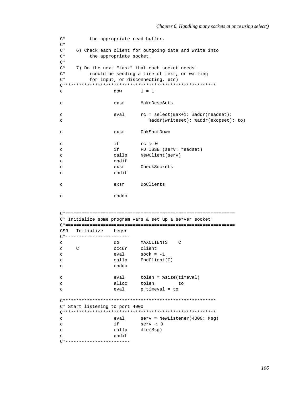```
C^*the appropriate read buffer.
\mathrm{C}^{\,\star}C^*6) Check each client for outgoing data and write into
C^*the appropriate socket.
C^*C^*7) Do the next "task" that each socket needs.
C^*(could be sending a line of text, or waiting
\mathrm{C}^{\,\star}for input, or disconnecting, etc)
1 = 1\mathtt{C}dow
                  exsr
                         MakeDescSets
\mathbf Crc = select(max+1: %addr(readset):eval
\mathcal{L}%addr(writeset): %addr(excpset): to)
\mathcal{C}ChkShutDown
\mathtt{C}exsr
                  ifrc > 0\mathcal{C}\mathbf{C}if
                           FD_ISSET(serv: readset)
                  callp
                          NewClient(serv)
\mathcal{C}endif\mathbf{C}CheckSockets
\rm{c}exsr
                  endif\mathcal{C}DoClients
\mathbf{C}exsr
                  enddo
\mathcal{C}C* Initialize some program vars & set up a server socket:
Initialize begsr
CSR
C^*-------------------------
\simdo
                          MAXCLIENTS C
\mathsf{C}\mathsf{C}occur
                         client
                  eval
                          sock = -1\mathbf{C}callp
                          EndClient(C)
\rm{c}enddo
\mathbf{C}eval
                          tolen = %size(timeval)
\mathcal{L}\mathbf{C}alloc
                          tolen
                                       to
                          p_timeval = to
                  eval
\mathbf{C}C* Start listening to port 4000
eval
\overline{C}serv = NewListener(4000: Msg)
                  if
\mathtt{C}serv < 0die(Msg)
\mathbf{C}callp
                  endif
\mathsf{C}C*------------------------
```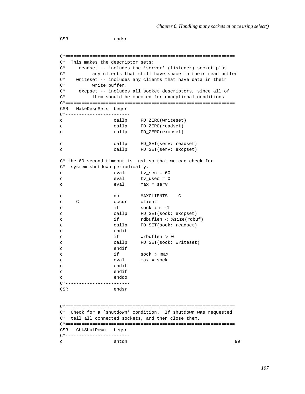CSR endsr C\*=============================================================== C\* This makes the descriptor sets: C\* readset -- includes the 'server' (listener) socket plus C\* any clients that still have space in their read buffer C\* writeset -- includes any clients that have data in their C\* write buffer. C\* excpset -- includes all socket descriptors, since all of C\* them should be checked for exceptional conditions C\*=============================================================== CSR MakeDescSets begsr C\*----------------------- c callp FD\_ZERO(writeset) c callp FD\_ZERO(readset) c callp FD\_ZERO(excpset) c callp FD\_SET(serv: readset) c callp FD\_SET(serv: excpset) C\* the 60 second timeout is just so that we can check for C\* system shutdown periodically. c eval tv\_sec = 60 c eval tv usec = 0 c eval max = serv c do MAXCLIENTS C c C occur client c  $if$  sock  $\langle > -1$ c callp FD\_SET(sock: excpset) c if rdbuflen < %size(rdbuf) c callp FD\_SET(sock: readset) c endif c  $if$  wrbuflen  $> 0$ c callp FD\_SET(sock: writeset) c endif c  $if$  sock > max c eval max = sock c endif c endif c enddo C\*------------------------ CSR endsr C\*=============================================================== C\* Check for a 'shutdown' condition. If shutdown was requested C\* tell all connected sockets, and then close them. C\*=============================================================== CSR ChkShutDown begsr C\*----------------------- c shtdn 99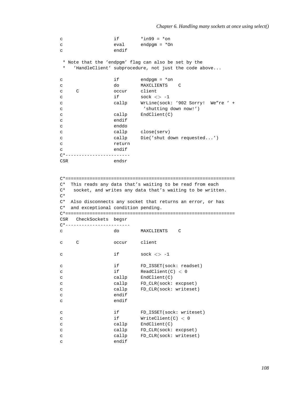```
c if *ing9 = *onc eval endpgm = *On
c endif
* Note that the 'endpgm' flag can also be set by the
* 'HandleClient' subprocedure, not just the code above...
c if endpgm = *on
c do MAXCLIENTS C
c C occur client
c if sock \langle > -1c callp WrLine(sock: '902 Sorry! We"re ' +
c 'shutting down now!')
c callp EndClient(C)
c endif
c enddo
c callp close(serv)
c callp Die('shut down requested...')
c return
c endif
C*------------------------
CSR endsr
C*===============================================================
C* This reads any data that's waiting to be read from each
C* socket, and writes any data that's waiting to be written.
C*
C* Also disconnects any socket that returns an error, or has
C* and exceptional condition pending.
C*===============================================================
CSR CheckSockets begsr
C*------------------------
c do MAXCLIENTS C
c C occur client
c if sock \langle > -1 \ranglec if FD_ISSET(sock: readset)
c if ReadClient(C) < 0
c callp EndClient(C)
c callp FD_CLR(sock: excpset)
c callp FD_CLR(sock: writeset)
c endif
c endif
c if FD_ISSET(sock: writeset)
c if WriteClient(C) < 0
c callp EndClient(C)
c callp FD_CLR(sock: excpset)
c callp FD_CLR(sock: writeset)
c endif
```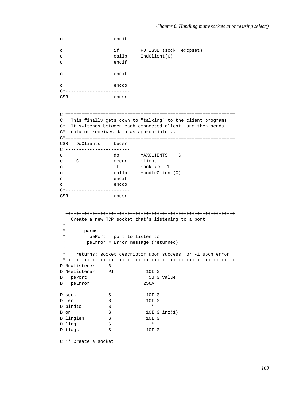```
c endif
c if FD_ISSET(sock: excpset)
c callp EndClient(C)
c endif
c endif
c enddo
C*------------------------
CSR endsr
C*===============================================================
C* This finally gets down to "talking" to the client programs.
C* It switches between each connected client, and then sends
C* data or receives data as appropriate...
C*===============================================================
CSR DoClients begsr
C*------------------------
c do MAXCLIENTS C
c C occur client
c if sock \langle > -1 \ranglec callp HandleClient(C)
c endif
c enddo
C*------------------------
CSR endsr
*+++++++++++++++++++++++++++++++++++++++++++++++++++++++++++++++
 * Create a new TCP socket that's listening to a port
 *
 * parms:
 * pePort = port to listen to
 * peError = Error message (returned)
 *
 * returns: socket descriptor upon success, or -1 upon error
 *+++++++++++++++++++++++++++++++++++++++++++++++++++++++++++++++
P NewListener B
D NewListener PI 10I 0
D pePort 5U 0 value
D peError 256A
D sock S 10I 0
D len S 10I 0
D bindto S *
\begin{tabular}{lllllllll} D on & S & 10I & 0 & inz(1) \\ D\ \hline & \multicolumn{1}{l}{} \multicolumn{1}{l}{} & S & 10I & 0 \\ \end{tabular}D linglen S 10I 0
D ling S *
D flags S 10I 0
```

```
C*** Create a socket
```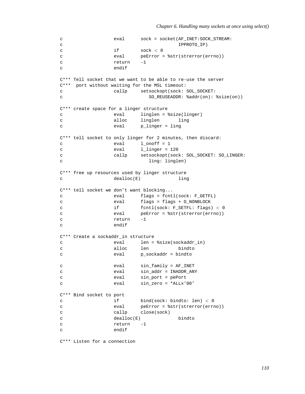```
c eval sock = socket(AF_INET:SOCK_STREAM:
c iPPROTO_IP)
c if sock < 0c eval peError = %str(strerror(errno))
c return -1
c endif
C*** Tell socket that we want to be able to re-use the server
C*** port without waiting for the MSL timeout:
c callp setsockopt(sock: SOL_SOCKET:
c SO_REUSEADDR: %addr(on): %size(on))
C*** create space for a linger structure
c eval linglen = %size(linger)
c alloc linglen ling
c eval p_linger = ling
C*** tell socket to only linger for 2 minutes, then discard:
c eval 1_onoff = 1
c eval l_linger = 120
c callp setsockopt(sock: SOL_SOCKET: SO_LINGER:
c ling: linglen)
C*** free up resources used by linger structure
c dealloc(E) ling
C*** tell socket we don't want blocking...
c eval flags = fcntl(sock: F_GETFL)
c eval flags = flags + O_NONBLOCK
c if fcntl(sock: F_SETFL: flags) < 0
c eval peError = %str(strerror(errno))
c return -1
c endif
C*** Create a sockaddr_in structure
c eval len = %size(sockaddr_in)
c alloc len bindto
c eval p_sockaddr = bindto
c eval sin_family = AF_INET
c eval sin_addr = INADDR_ANY
c eval sin_port = pePort
c eval sin_zero = *ALLx'00'
C*** Bind socket to port
c if bind(sock: bindto: len) < 0
c eval peError = %str(strerror(errno))
c callp close(sock)
c dealloc(E) bindto
c return -1
c endif
```
C\*\*\* Listen for a connection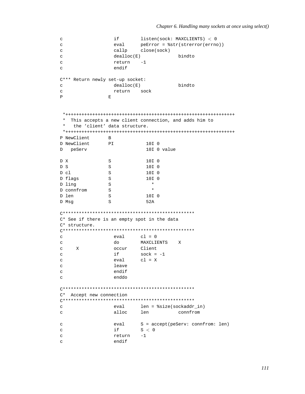```
listen(sock: MAXCLIENTS) < 0if
\mathtt{C}\mathbf{C}eval
                          peError = $str(strerror(errno))
                 callp
                         close(sock)
\mathsf{C}\mathbf{C}dealloc(E)bindto
                 return -1
\epsilonendif
\mathcal{C}C*** Return newly set-up socket:
                 dealloc(E)bindto
\mathbf{C}return sock
\mathtt{C}\mathbf{D}\mathbf{E}* This accepts a new client connection, and adds him to
 \starthe 'client' data structure.
 P NewClient
              \overline{B}D NewClient
              PI10T<sub>0</sub>D peServ
                           10I 0 value
D X
               S10I 0
D S
              S10I 0
D \cap C\mathbf{S}10T<sub>0</sub>D flags
               S10I 0
              SD ling
                             \star\starD connfrom
              SD len
               \mathbf S10I<sub>0</sub>D Msq
               \mathbf S52A
C* See if there is an empty spot in the data
C* structure.
cl = 0\mathbf{C}eval
\mathbf Cdo
                         MAXCLIENTS X
\mathtt{C}\mathbf{x}occur
                         Client
                 if
                         sock = -1\mathtt{C}eval
                          cl = X\mathtt{C}leave
\mathbf{C}\mathsf{C}endif
                 enddo
\mathbf{c}C* Accept new connection
eval len = ssize(sockaddr_in)\mathbf{c}alloc
\rm{c}len
                                      connfrom
\mathtt{C}eval
                         S = accept(peServ: connfrom: len)
                 if
                         S < 0\mathtt{C}return
                          -1\mathtt{C}endif
\mathtt{C}
```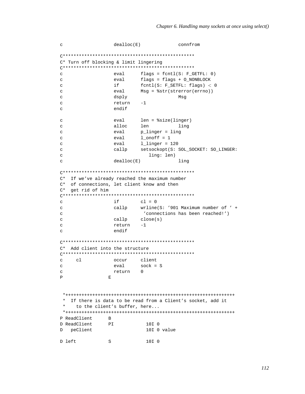```
\mathbf{C}dealloc(E)connfrom
C* Turn off blocking & limit lingering
flags = fcnt1(S: F_GETFL: 0)\mathbf{c}eval
                       flags = flags + O_NONBLOCK
\rm{c}eval
                if
                        fcntl(S: F SETFL: flags) < 0\mathsf{C}Msg = %str(strerror(errno))
\mathbf{C}eval
                dsply
                                    Msg
\mathbf{C}-1return
\mathbf Cendif
\mathbf Ceval
                       len = $size(linger)\mathcal{C}alloc
\mathbf{C}len
                                    ling
                       p_linger = ling
\mathtt{C}eval
\mathbf{C}eval
                        1 onoff = 1eva11_linger = 120
\mathcal{C}\mathbf{C}callp
                        setsockopt(S: SOL_SOCKET: SO_LINGER:
                           ling: len)
\mathcal{C}dealloc(E)ling
\mathbf{C}C* If we've already reached the maximum number
C* of connections, let client know and then
C* get rid of him
if
                       cl = 0\mathbf Cwrline(S: '901 Maximum number of ' +
\mathbf{C}callp
                         'connections has been reached!')
\mathbf{C}callp
                       close(s)\mathtt{C}return
                        -1\overline{C}endif
\mathbf{C}C* Add client into the structure
c1\mathbf{C}occur
                       client
                       sock = Seval
\mathbf{C}return 0
\mathsf{C}\mathbf{p}\mathbf{E}* If there is data to be read from a Client's socket, add it
 \starto the client's buffer, here...
 P ReadClient
              \mathbb{R}D ReadClient
             PI10I 0
D peClient
                         10I 0 value
                          10I 0
D left
             S
```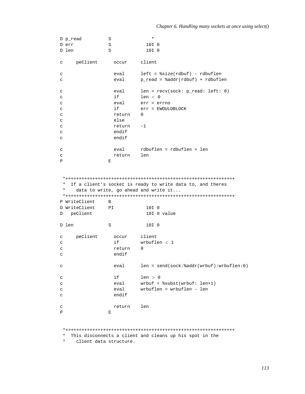```
D p_read S *
D err S 10I 0<br>D len S 10I 0
                   10I 0c peClient occur client
c eval left = %size(rdbuf) - rdbuflen
c eval p_read = %addr(rdbuf) + rdbuflen
c eval len = recv(sock: p_read: left: 0)
c if \t len < 0c eval err = errno
c if err = EWOULDBLOCK
c return 0
c else
c return -1
c endif
c endif
c eval rdbuflen = rdbuflen + len
c return len<br>P E
P E
*+++++++++++++++++++++++++++++++++++++++++++++++++++++++++++++++
* If a client's socket is ready to write data to, and theres<br>* data to write so aboad and write it
   data to write, go ahead and write it...
*+++++++++++++++++++++++++++++++++++++++++++++++++++++++++++++++
P WriteClient B
D WriteClient PI 10I 0
D peClient 10I 0 value
D len S 10I 0
c peClient occur client
c if wrbuflen < 1
c return 0
c endif
c eval len = send(sock:%addr(wrbuf):wrbuflen:0)
c if \t len > 0c eval wrbuf = %subst(wrbuf: len+1)
c eval wrbuflen = wrbuflen - len
c endif
c return len
P E
```
\*+++++++++++++++++++++++++++++++++++++++++++++++++++++++++++++++

\* This disconnects a client and cleans up his spot in the

\* client data structure.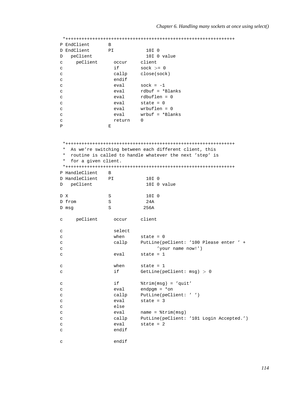|              | P EndClient         | B      |                                                         |
|--------------|---------------------|--------|---------------------------------------------------------|
|              | D EndClient         | PI     | 10I 0                                                   |
| D            | peClient            |        | 10I 0 value                                             |
| $\mathtt{C}$ | peClient            | occur  | client                                                  |
| C            |                     | if     | $sock$ >= 0                                             |
| C            |                     | callp  | close(sock)                                             |
| C            |                     | endif  |                                                         |
| C            |                     | eval   | $sock = -1$                                             |
| C            |                     | eval   | rdbuf = $*Blanks$                                       |
| C            |                     | eval   | $rdbutlen = 0$                                          |
|              |                     | eval   | state = $0$                                             |
| C            |                     |        | wrbuflen = $0$                                          |
| C            |                     | eval   |                                                         |
| C            |                     | eval   | $urbuf = *Blanks$                                       |
| C            |                     | return | 0                                                       |
| P            |                     | Ε      |                                                         |
|              |                     |        |                                                         |
|              |                     |        |                                                         |
|              |                     |        |                                                         |
| *            |                     |        | As we're switching between each different client, this  |
| $^\star$     |                     |        | routine is called to handle whatever the next 'step' is |
| *            | for a given client. |        |                                                         |
|              |                     |        |                                                         |
|              | P HandleClient      | B      |                                                         |
|              | D HandleClient      | ΡI     | 10I 0                                                   |
| D            | peClient            |        | 10I 0 value                                             |
|              |                     |        |                                                         |
| D X          |                     | S      | 10I 0                                                   |
|              | D from              | S      | 24A                                                     |
|              | D msg               | S      | 256A                                                    |
|              |                     |        |                                                         |
| C            | peClient            | occur  | client                                                  |
|              |                     |        |                                                         |
| c            |                     | select |                                                         |
| C            |                     | when   | state = $0$                                             |
| C            |                     | callp  | PutLine(peClient: '100 Please enter ' +                 |
| C            |                     |        | 'your name now!')                                       |
| C            |                     | eval   | state = $1$                                             |
|              |                     |        |                                                         |
| c            |                     | when   | state = $1$                                             |
| C            |                     | if     | GetLine(peClient: $msg$ ) > 0                           |
|              |                     |        |                                                         |
| C            |                     | if     | $%trim(msg) = 'quit'$                                   |
| C            |                     |        |                                                         |
|              |                     | eval   |                                                         |
|              |                     |        | endpgm = $*$ on                                         |
| C            |                     | callp  | PutLine(peClient: '')                                   |
| C            |                     | eval   | state = $3$                                             |
| C            |                     | else   |                                                         |
| C            |                     | eval   | $name = %trim(msg)$                                     |
| C            |                     | callp  | PutLine(peClient: '101 Login Accepted.')                |
| C            |                     | eval   | state = $2$                                             |
| C            |                     | endif  |                                                         |
| $\mathtt{C}$ |                     | endif  |                                                         |

*114*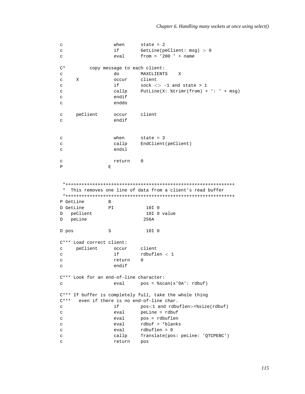```
c when state = 2<br>c if GetLine(p)
c if GetLine(peClient: msg) > 0
c eval from = '200 ' + name
C* copy message to each client:
c do MAXCLIENTS X
c X occur client
c if \qquad \qquad if \qquad \qquad sock \langle > -1 \rangle and state > 1c callp PutLine(X: %trimr(from) + ': ' + msg)
c endif
c enddo
c peClient occur client
c endif
c when state = 3
c callp EndClient(peClient)
c endsl
c return 0
P E
*+++++++++++++++++++++++++++++++++++++++++++++++++++++++++++++++
* This removes one line of data from a client's read buffer
*+++++++++++++++++++++++++++++++++++++++++++++++++++++++++++++++
P GetLine B
D GetLine PI 10I 0
D peClient 10I 0 value
D peLine 256A
D pos S 10I 0
C*** Load correct client:
c peClient occur client
c if \qquad \qquad rdbuflen < 1c return 0
c endif
C*** Look for an end-of-line character:
c eval pos = %scan(x'0A': rdbuf)
C*** If buffer is completely full, take the whole thing
C*** even if there is no end-of-line char.
c if pos<1 and rdbuflen>=%size(rdbuf)
c eval peLine = rdbuf
c eval pos = rdbuflen
c eval rdbuf = *blanks
c eval rdbuflen = 0
c callp Translate(pos: peLine: 'QTCPEBC')
c return pos
```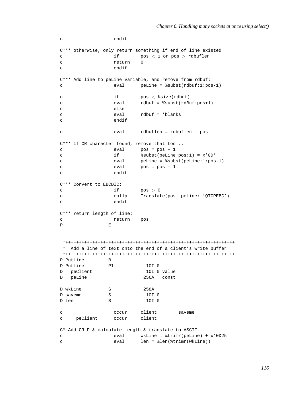```
c endif
C*** otherwise, only return something if end of line existed
c if pos < 1 or pos > rdbuflen
c return 0
c endif
C*** Add line to peLine variable, and remove from rdbuf:
c eval peLine = %subst(rdbuf:1:pos-1)
c if pos < %size(rdbuf)
c eval rdbuf = %subst(rdBuf:pos+1)
c else
c eval rdbuf = *blanks
c endif
c eval rdbuflen = rdbuflen - pos
C*** If CR character found, remove that too...
c eval pos = pos - 1
c if %subst(peLine:pos:1) = x'0D'
c eval peLine = %subst(peLine:1:pos-1)
c eval pos = pos - 1
c endif
C*** Convert to EBCDIC:
c if pos > 0c callp Translate(pos: peLine: 'QTCPEBC')
c endif
C*** return length of line:
c return pos
P E
*+++++++++++++++++++++++++++++++++++++++++++++++++++++++++++++++
* Add a line of text onto the end of a client's write buffer
*+++++++++++++++++++++++++++++++++++++++++++++++++++++++++++++++
P PutLine B
D PutLine PI 10I 0
D peClient 10I 0 value
D peLine 256A const
D wkLine S 258A
D saveme S 3 10I 0
D len S 10I 0
c occur client saveme
c peClient occur client
C* Add CRLF & calculate length & translate to ASCII
c eval wkLine = %trimr(peLine) + x'0D25'
c eval len = %len(%trimr(wkLine))
```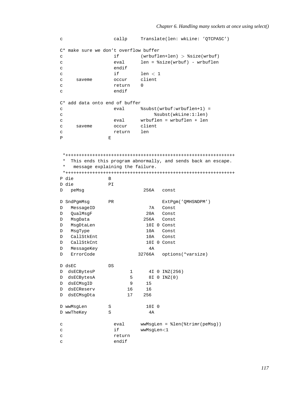```
c callp Translate(len: wkLine: 'QTCPASC')
C* make sure we don't overflow buffer
c if (wrbuflen+len) > %size(wrbuf)
c eval len = %size(wrbuf) - wrbuflen
c endif
c if len < 1
c saveme occur client
c return 0
c endif
C* add data onto end of buffer
c eval %subst(wrbuf:wrbuflen+1) =
c %subst(wkLine:1:len)
c eval wrbuflen = wrbuflen + len
c saveme occur client
c return len
P E
*+++++++++++++++++++++++++++++++++++++++++++++++++++++++++++++++
* This ends this program abnormally, and sends back an escape.
* message explaining the failure.
*+++++++++++++++++++++++++++++++++++++++++++++++++++++++++++++++
P die B
D die PI
D peMsg 256A const
D SndPqmMsq PR PR ExtPqm('OMHSNDPM')
D MessageID 7A Const
D QualMsgF 20A Const
D MsgData 256A Const
D MsgDtaLen 10I 0 Const
D MsgType 10A Const
D CallStkEnt 10A Const
D CallStkCnt 10I 0 Const
D MessageKey 4A
D ErrorCode 32766A options(*varsize)
D dsEC DS
D dsECBytesP 1 4I 0 INZ(256)
D dsECBytesA 5 8I 0 INZ(0)
D dsECMsgID 9 15
D dsECReserv 16 16
D dsECMsgDta 17 256
D wwMsgLen S 3 10I 0
D wwTheKey S 4A
c eval wwMsgLen = %len(%trimr(peMsg))
c if wwMsgLen<1
c return
c endif
```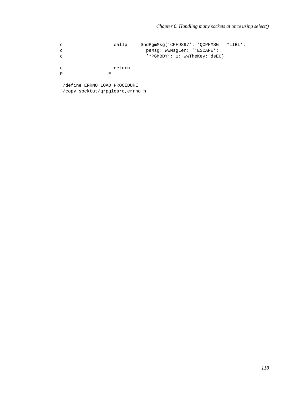$_{\rm c}$ callp SndPgmMsg('CPF9897': 'QCPFMSG \*LIBL': peMsg: wwMsgLen: '\*ESCAPE':  $_{\rm c}$ '\*PGMBDY': 1: wwTheKey: dsEC)  $_{\rm c}$  $_{\rm c}$ return  $\mathbf{p}$  $\mathbf{E}$ 

/define ERRNO\_LOAD\_PROCEDURE /copy socktut/qrpglesrc, errno\_h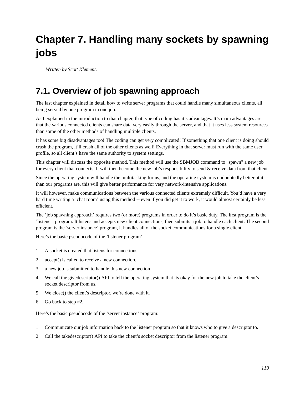# **Chapter 7. Handling many sockets by spawning jobs**

*Written by Scott Klement.*

# **7.1. Overview of job spawning approach**

The last chapter explained in detail how to write server programs that could handle many simultaneous clients, all being served by one program in one job.

As I explained in the introduction to that chapter, that type of coding has it's advantages. It's main advantages are that the various connected clients can share data very easily through the server, and that it uses less system resources than some of the other methods of handling multiple clients.

It has some big disadvantages too! The coding can get very complicated! If something that one client is doing should crash the program, it'll crash all of the other clients as well! Everything in that server must run with the same user profile, so all client's have the same authority to system settings.

This chapter will discuss the opposite method. This method will use the SBMJOB command to "spawn" a new job for every client that connects. It will then become the new job's responsibility to send & receive data from that client.

Since the operating system will handle the multitasking for us, and the operating system is undoubtedly better at it than our programs are, this will give better performance for very network-intensive applications.

It will however, make communications between the various connected clients extremely difficult. You'd have a very hard time writing a 'chat room' using this method -- even if you did get it to work, it would almost certainly be less efficient.

The 'job spawning approach' requires two (or more) programs in order to do it's basic duty. The first program is the 'listener' program. It listens and accepts new client connections, then submits a job to handle each client. The second program is the 'server instance' program, it handles all of the socket communications for a single client.

Here's the basic pseudocode of the 'listener program':

- 1. A socket is created that listens for connections.
- 2. accept() is called to receive a new connection.
- 3. a new job is submitted to handle this new connection.
- 4. We call the givedescriptor() API to tell the operating system that its okay for the new job to take the client's socket descriptor from us.
- 5. We close() the client's descriptor, we're done with it.
- 6. Go back to step #2.

Here's the basic pseudocode of the 'server instance' program:

- 1. Communicate our job information back to the listener program so that it knows who to give a descriptor to.
- 2. Call the takedescriptor() API to take the client's socket descriptor from the listener program.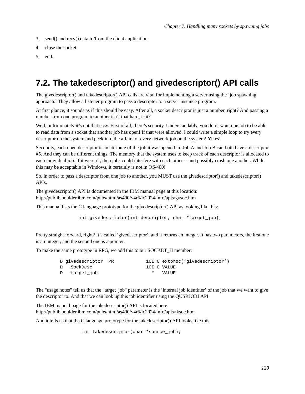- 3. send() and recv() data to/from the client application.
- 4. close the socket
- 5. end.

# **7.2. The takedescriptor() and givedescriptor() API calls**

The givedescriptor() and takedescriptor() API calls are vital for implementing a server using the 'job spawning approach.' They allow a listener program to pass a descriptor to a server instance program.

At first glance, it sounds as if this should be easy. After all, a socket descriptor is just a number, right? And passing a number from one program to another isn't that hard, is it?

Well, unfortunately it's not that easy. First of all, there's security. Understandably, you don't want one job to be able to read data from a socket that another job has open! If that were allowed, I could write a simple loop to try every descriptor on the system and peek into the affairs of every network job on the system! Yikes!

Secondly, each open descriptor is an attribute of the job it was opened in. Job A and Job B can both have a descriptor #5. And they can be different things. The memory that the system uses to keep track of each descriptor is allocated to each individual job. If it weren't, then jobs could interfere with each other -- and possibly crash one another. While this may be acceptable in Windows, it certainly is not in OS/400!

So, in order to pass a descriptor from one job to another, you MUST use the givedescriptor() and takedescriptor() APIs.

The givedescriptor() API is documented in the IBM manual page at this location: http://publib.boulder.ibm.com/pubs/html/as400/v4r5/ic2924/info/apis/gvsoc.htm

This manual lists the C language prototype for the givedescriptor() API as looking like this:

int givedescriptor(int descriptor, char \*target\_job);

Pretty straight forward, right? It's called 'givedescriptor', and it returns an integer. It has two parameters, the first one is an integer, and the second one is a pointer.

To make the same prototype in RPG, we add this to our SOCKET\_H member:

| D givedescriptor PR |  | 10I 0 extproc('qivedescriptor') |
|---------------------|--|---------------------------------|
| D SockDesc          |  | 10I O VALUE                     |
| D target job        |  | * VALUE                         |

The "usage notes" tell us that the "target job" parameter is the 'internal job identifier' of the job that we want to give the descriptor to. And that we can look up this job identifier using the QUSRJOBI API.

The IBM manual page for the takedescriptor() API is located here: http://publib.boulder.ibm.com/pubs/html/as400/v4r5/ic2924/info/apis/tksoc.htm

And it tells us that the C language prototype for the takedescriptor() API looks like this:

int takedescriptor(char \*source\_job);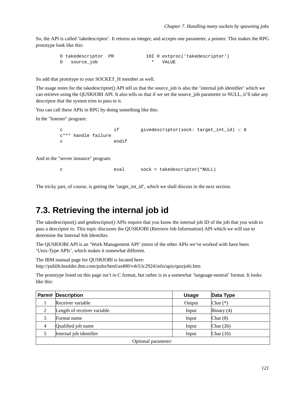So, the API is called 'takedescriptor'. It returns an integer, and accepts one parameter, a pointer. This makes the RPG prototype look like this:

```
D takedescriptor PR 10I 0 extproc('takedescriptor')
D source_job * VALUE
```
So add that prototype to your SOCKET\_H member as well.

The usage notes for the takedescriptor() API tell us that the source\_job is also the 'internal job identifier' which we can retrieve using the QUSRJOBI API. It also tells us that if we set the source job parameter to NULL, it'll take any descriptor that the system tries to pass to it.

You can call these APIs in RPG by doing something like this:

In the "listener" program:

```
c if givedescriptor(sock: target_int_id) < 0
c*** handle failure
c endif
```
And in the "server instance" program:

c eval sock = takedescriptor(\*NULL)

The tricky part, of course, is getting the 'target\_int\_id', which we shall discuss in the next section.

#### **7.3. Retrieving the internal job id**

The takedescriptor() and getdescriptor() APIs require that you know the internal job ID of the job that you wish to pass a descriptor to. This topic discusses the QUSRJOBI (Retrieve Job Information) API which we will use to determine the Internal Job Identifier.

The QUSRJOBI API is an 'Work Management API' (most of the other APIs we've worked with have been 'Unix-Type APIs', which makes it somewhat different.

The IBM manual page for QUSRJOBI is located here:

http://publib.boulder.ibm.com/pubs/html/as400/v4r5/ic2924/info/apis/qusrjobi.htm

The prototype listed on this page isn't in C format, but rather is in a somewhat 'language-neutral' format. It looks like this:

|                     | <b>Parm# Description</b>    | <b>Usage</b> | Data Type    |  |  |
|---------------------|-----------------------------|--------------|--------------|--|--|
|                     | Receiver variable           | Output       | Char $(*)$   |  |  |
| 2                   | Length of receiver variable | Input        | Binary $(4)$ |  |  |
| 3                   | Format name                 | Input        | Char $(8)$   |  |  |
| $\overline{4}$      | Qualified job name          | Input        | Char $(26)$  |  |  |
|                     | Internal job identifier     | Input        | Char $(16)$  |  |  |
| Optional parameter: |                             |              |              |  |  |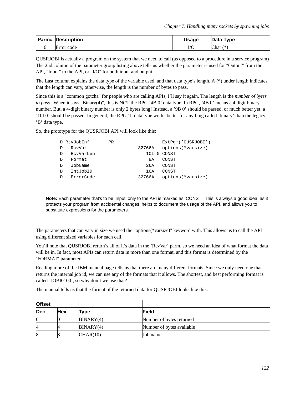| <b>Parm# Description</b> | <b>Usage</b> | Data Type  |
|--------------------------|--------------|------------|
| Error code               | IJ           | (*<br>Char |

QUSRJOBI is actually a program on the system that we need to call (as opposed to a procedure in a service program) The 2nd column of the parameter group listing above tells us whether the parameter is used for "Output" from the API, "Input" to the API, or "I/O" for both input and output.

The Last column explains the data type of the variable used, and that data type's length. A  $(*)$  under length indicates that the length can vary, otherwise, the length is the number of bytes to pass.

Since this is a "common gotcha" for people who are calling APIs, I'll say it again. The length is the *number of bytes to pass* . When it says "Binary(4)", this is NOT the RPG '4B 0' data type. In RPG, '4B 0' means a 4 digit binary number. But, a 4-digit binary number is only 2 bytes long! Instead, a '9B 0' should be passed, or much better yet, a '10I 0' should be passed. In general, the RPG 'I' data type works better for anything called 'binary' than the legacy 'B' data type.

So, the prototype for the QUSRJOBI API will look like this:

|   | D RtvJobInf | <b>PR</b> |        | ExtPqm('QUSRJOBI') |
|---|-------------|-----------|--------|--------------------|
|   | RcvVar      |           | 32766A | options (*varsize) |
| D | RcvVarLen   |           |        | 10I 0 CONST        |
| D | Format      |           | 8A     | CONST              |
| D | JobName     |           | 26A    | CONST              |
| D | IntJobID    |           | 16A    | CONST              |
|   | ErrorCode   |           | 32766A | options(*varsize)  |
|   |             |           |        |                    |

**Note:** Each parameter that's to be 'Input' only to the API is marked as 'CONST'. This is always a good idea, as it protects your program from accidental changes, helps to document the usage of the API, and allows you to substitute expressions for the parameters.

The parameters that can vary in size we used the "options(\*varsize)" keyword with. This allows us to call the API using different sized variables for each call.

You'll note that QUSRJOBI return's all of it's data in the 'RcvVar' parm, so we need an idea of what format the data will be in. In fact, most APIs can return data in more than one format, and this format is determined by the 'FORMAT' parameter.

Reading more of the IBM manual page tells us that there are many different formats. Since we only need one that returns the internal job id, we can use any of the formats that it allows. The shortest, and best performing format is called 'JOBI0100', so why don't we use that?

The manual tells us that the format of the returned data for QUSRJOBI looks like this:

| <b>Offset</b> |            |           |                           |  |
|---------------|------------|-----------|---------------------------|--|
| <b>Dec</b>    | <b>Hex</b> | Type      | Field                     |  |
|               |            | BINARY(4) | Number of bytes returned  |  |
| 4             |            | BINARY(4) | Number of bytes available |  |
| 8             |            | CHAR(10)  | Job name                  |  |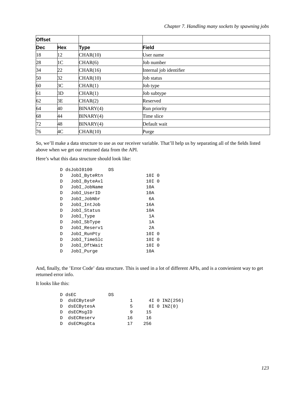| <b>Offset</b> |                |             |                         |  |
|---------------|----------------|-------------|-------------------------|--|
| <b>Dec</b>    | <b>Hex</b>     | <b>Type</b> | Field                   |  |
| 18            | 12             | CHAR(10)    | User name               |  |
| 28            | 1 <sup>C</sup> | CHAR(6)     | Job number              |  |
| 34            | 22             | CHAR(16)    | Internal job identifier |  |
| 50            | 32             | CHAR(10)    | Job status              |  |
| 60            | 3C             | CHAR(1)     | Job type                |  |
| 61            | 3D             | CHAR(1)     | Job subtype             |  |
| 62            | 3Ε             | CHAR(2)     | Reserved                |  |
| 64            | 40             | BINARY(4)   | Run priority            |  |
| 68            | 44             | BINARY(4)   | Time slice              |  |
| 72            | 48             | BINARY(4)   | Default wait            |  |
| 76            | 4C             | CHAR(10)    | Purge                   |  |

So, we'll make a data structure to use as our receiver variable. That'll help us by separating all of the fields listed above when we get our returned data from the API.

Here's what this data structure should look like:

|   | D dsJobI0100 | DS |            |
|---|--------------|----|------------|
| D | JobI_ByteRtn |    | 10I<br>- 0 |
| D | JobI ByteAvl |    | 10I 0      |
| D | JobI JobName |    | 10A        |
| D | JobI_UserID  |    | 10A        |
| D | JobI JobNbr  |    | бA         |
| D | JobI_IntJob  |    | 16A        |
| D | JobI Status  |    | 10A        |
| D | JobI_Type    |    | 1A         |
| D | JobI_SbType  |    | 1A         |
| D | JobI Reservl |    | 2A         |
| D | JobI RunPty  |    | 10I 0      |
| D | JobI_TimeSlc |    | 10I<br>- 0 |
| D | JobI_DftWait |    | 10I 0      |
| D | JobI_Purge   |    | 10A        |
|   |              |    |            |

And, finally, the 'Error Code' data structure. This is used in a lot of different APIs, and is a convienient way to get returned error info.

It looks like this:

|            | DS                                                    |    |     |                |
|------------|-------------------------------------------------------|----|-----|----------------|
|            |                                                       | 1. |     | 4I 0 INZ (256) |
|            |                                                       | 5  |     | 8I 0 INZ(0)    |
|            |                                                       | 9  | 15  |                |
| dsECReserv |                                                       | 16 | 16  |                |
| dsECMsqDta |                                                       | 17 | 256 |                |
|            | D dsEC<br>D dsECBytesP<br>D dsECBytesA<br>D dsECMsqID |    |     |                |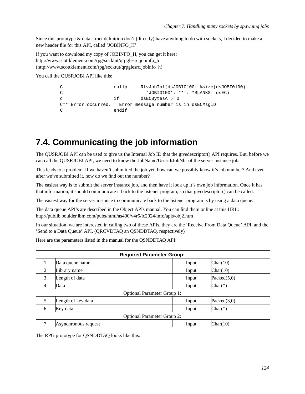Since this prototype & data struct definition don't (directly) have anything to do with sockets, I decided to make a new header file for this API, called 'JOBINFO\_H'

If you want to download my copy of JOBINFO\_H, you can get it here: http://www.scottklement.com/rpg/socktut/qrpglesrc.jobinfo\_h (http://www.scottklement.com/rpg/socktut/qrpglesrc.jobinfo\_h)

You call the OUSRJOBI API like this:

```
C callp RtvJobInf(dsJOBI0100: %size(dsJOBI0100):
C 'JOBI0100': '*': *BLANKS: dsEC)
c if dsECBytesA > 0
C** Error occurred. Error message number is in dsECMsgID
C endif
```
### **7.4. Communicating the job information**

The QUSRJOBI API can be used to give us the Internal Job ID that the givedescriptor() API requires. But, before we can call the QUSRJOBI API, we need to know the JobName/Userid/JobNbr of the server instance job.

This leads to a problem. If we haven't submitted the job yet, how can we possibly know it's job number? And even after we've submitted it, how do we find out the number?

The easiest way is to submit the server instance job, and then have it look up it's own job information. Once it has that information, it should communicate it back to the listener program, so that givedescriptor() can be called.

The easiest way for the server instance to communicate back to the listener program is by using a data queue.

The data queue API's are described in the Object APIs manual. You can find them online at this URL: http://publib.boulder.ibm.com/pubs/html/as400/v4r5/ic2924/info/apis/obj2.htm

In our situation, we are interested in calling two of these APIs, they are the 'Receive From Data Queue' API, and the 'Send to a Data Queue' API. (QRCVDTAQ an QSNDDTAQ, respectively)

Here are the parameters listed in the manual for the QSNDDTAQ API:

| <b>Required Parameter Group:</b> |                                    |       |                |  |  |  |
|----------------------------------|------------------------------------|-------|----------------|--|--|--|
|                                  | Data queue name                    | Input | Char(10)       |  |  |  |
| 2                                | Library name                       | Input | Char(10)       |  |  |  |
| 3                                | Length of data                     | Input | Packed $(5,0)$ |  |  |  |
| $\overline{4}$                   | Data                               | Input | $Char(*)$      |  |  |  |
|                                  | <b>Optional Parameter Group 1:</b> |       |                |  |  |  |
| 5                                | Length of key data                 | Input | Packed $(3,0)$ |  |  |  |
| 6                                | Key data                           | Input | $Char(*)$      |  |  |  |
|                                  | <b>Optional Parameter Group 2:</b> |       |                |  |  |  |
| 7                                | Asynchronous request               | Input | Char(10)       |  |  |  |

The RPG prototype for QSNDDTAQ looks like this: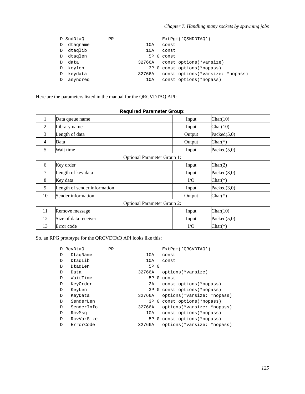|    | D SndDtaO | <b>PR</b> |        |        | ExtPqm('OSNDDTAO')                |  |
|----|-----------|-----------|--------|--------|-----------------------------------|--|
| D  | dtagname  |           | 10A    | const  |                                   |  |
| D  | dtaglib   |           | 10A    | const. |                                   |  |
| D  | dtaglen   |           | 5P 0   | const  |                                   |  |
| D. | data      |           | 32766A |        | const options(*varsize)           |  |
| D  | keylen    |           |        |        | 3P 0 const options (*nopass)      |  |
| D  | keydata   |           | 32766A |        | const options (*varsize: *nopass) |  |
| D  | asyncreg  |           | 10A    |        | const options (*nopass)           |  |

Here are the parameters listed in the manual for the QRCVDTAQ API:

| <b>Required Parameter Group:</b> |                                    |          |                |  |  |  |  |
|----------------------------------|------------------------------------|----------|----------------|--|--|--|--|
| 1                                | Data queue name                    | Input    | Char(10)       |  |  |  |  |
| 2                                | Library name                       | Input    | Char(10)       |  |  |  |  |
| 3                                | Length of data                     | Output   | Packed $(5,0)$ |  |  |  |  |
| 4                                | Data                               | Output   | $Char(*)$      |  |  |  |  |
| 5                                | Wait time                          | Input    | Packed $(5,0)$ |  |  |  |  |
|                                  | <b>Optional Parameter Group 1:</b> |          |                |  |  |  |  |
| 6                                | Key order                          | Input    | Char(2)        |  |  |  |  |
| 7                                | Length of key data                 | Input    | Packed(3,0)    |  |  |  |  |
| 8                                | Key data                           | $\rm LO$ | $Char(*)$      |  |  |  |  |
| 9                                | Length of sender information       | Input    | Packed(3,0)    |  |  |  |  |
| 10                               | Sender information                 | Output   | $Char(*)$      |  |  |  |  |
|                                  | <b>Optional Parameter Group 2:</b> |          |                |  |  |  |  |
| 11                               | Remove message                     | Input    | Char(10)       |  |  |  |  |
| 12                               | Size of data receiver              | Input    | Packed $(5,0)$ |  |  |  |  |
| 13                               | Error code                         | $\rm LO$ | $Char(*)$      |  |  |  |  |

So, an RPG prototype for the QRCVDTAQ API looks like this:

|   | D RcvDtaO  | <b>PR</b> |        |          | ExtPqm('ORCVDTAO')           |
|---|------------|-----------|--------|----------|------------------------------|
| D | DtaqName   |           | 10A    |          | const                        |
| D | DtagLib    |           | 10A    |          | const                        |
| D | DtaqLen    |           | 5P 0   |          |                              |
| D | Data       |           | 32766A |          | options(*varsize)            |
| D | WaitTime   |           | 5P     | $\Omega$ | const                        |
| D | KeyOrder   |           | 2A     |          | const options (*nopass)      |
| D | KeyLen     |           |        |          | 3P 0 const options (*nopass) |
| D | KeyData    |           | 32766A |          | options(*varsize: *nopass)   |
| D | SenderLen  |           |        |          | 3P 0 const options (*nopass) |
| D | SenderInfo |           | 32766A |          | options(*varsize: *nopass)   |
| D | RmvMsq     |           | 10A    |          | const options (*nopass)      |
| D | RcvVarSize |           | 5P 0   |          | const options (*nopass)      |
| D | ErrorCode  |           | 32766A |          | options(*varsize: *nopass)   |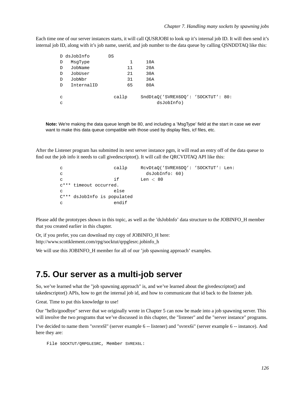Each time one of our server instances starts, it will call QUSRJOBI to look up it's internal job ID. It will then send it's internal job ID, along with it's job name, userid, and job number to the data queue by calling QSNDDTAQ like this:

|               | D dsJobInfo | DS    |                                    |  |
|---------------|-------------|-------|------------------------------------|--|
| D             | MsqType     | 1     | 10A                                |  |
| D             | JobName     | 11    | 20A                                |  |
| D             | JobUser     | 21    | 30A                                |  |
| D             | JobNbr      | 31    | 36A                                |  |
| $\mathcal{D}$ | InternalID  | 65    | 80A                                |  |
|               |             |       |                                    |  |
| C             |             | callp | SndDtaO('SVREX6DO': 'SOCKTUT': 80: |  |
| C             |             |       | dsJobInfo)                         |  |

**Note:** We're making the data queue length be 80, and including a 'MsgType' field at the start in case we ever want to make this data queue compatible with those used by display files, icf files, etc.

After the Listener program has submitted its next server instance pgm, it will read an entry off of the data queue to find out the job info it needs to call givedescriptor(). It will call the QRCVDTAQ API like this:

```
c callp RcvDtaQ('SVREX6DQ': 'SOCKTUT': Len:
c dsJobInfo: 60)
c if Len < 80c*** timeout occurred.
c else
C*** dsJobInfo is populated
c endif
```
Please add the prototypes shown in this topic, as well as the 'dsJobInfo' data structure to the JOBINFO\_H member that you created earlier in this chapter.

Or, if you prefer, you can download my copy of JOBINFO\_H here: http://www.scottklement.com/rpg/socktut/qrpglesrc.jobinfo\_h

We will use this JOBINFO H member for all of our 'job spawning approach' examples.

#### **7.5. Our server as a multi-job server**

So, we've learned what the "job spawning approach" is, and we've learned about the givedescriptor() and takedescriptor() APIs, how to get the internal job id, and how to communicate that id back to the listener job.

Great. Time to put this knowledge to use!

Our "hello/goodbye" server that we originally wrote in Chapter 5 can now be made into a job spawning server. This will involve the two programs that we've discussed in this chapter, the "listener" and the "server instance" programs.

I've decided to name them "svrex6l" (server example 6 -- listener) and "svrex6i" (server example 6 -- instance). And here they are:

```
File SOCKTUT/QRPGLESRC, Member SVREX6L:
```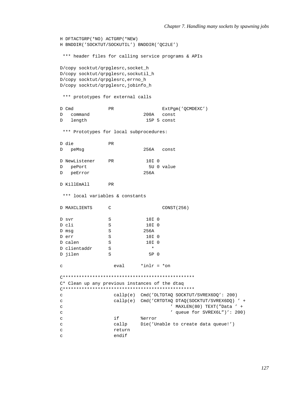```
H DFTACTGRP(*NO) ACTGRP(*NEW)
H BNDDIR('SOCKTUT/SOCKUTIL') BNDDIR('OC2LE')
 *** header files for calling service programs & APIs
D/copy socktut/qrpqlesrc, socket h
D/copy socktut/qrpglesrc, sockutil_h
D/copy socktut/qrpglesrc, errno_h
D/copy socktut/qrpglesrc, jobinfo_h
*** prototypes for external calls
D Cmd
                                      ExtPgm('QCMDEXC')
                  PR
D command
                               200A const
  length
\overline{D}15P 5 const
 *** Prototypes for local subprocedures:
D die
                  PR
D peMsg
                               256A const
D NewListener
                               10I 0
                PR
                                5U 0 value
D pePort
                               256A
D peError
D KillEmAll
                  PR*** local variables & constants
D MAXCLIENTS
             \overline{C}CONST (256)
D svr
                  \, \mathbb{S} \,10I 0
D cli
                  S10I<sub>0</sub>D msg
                  \mathbf S256A
D err
                  S10I<sub>0</sub>10I<sub>0</sub>D calen
                 SD clientaddr
                 \mathbf S\starD jilen
                  S5P 0
                    eval
                              *inlr = *on\mathbf{C}C* Clean up any previous instances of the dtaq
\text{callp}(e) Cmd('DLTDTAQ SOCKTUT/SVREX6DQ': 200)
\mathbf{C}\rm{c}\text{callp}(e) Cmd('CRTDTAQ DTAQ(SOCKTUT/SVREX6DQ)' +
                                          ' MAXLEN(80) TEXT("Data ' +
\mathbf C' queue for SVREX6L")': 200)
\rm{c}\epsilonif
                              %error
\mathbf Ccallp
                              Die('Unable to create data queue!')
\mathbf{C}return
                    endif
\mathtt{C}
```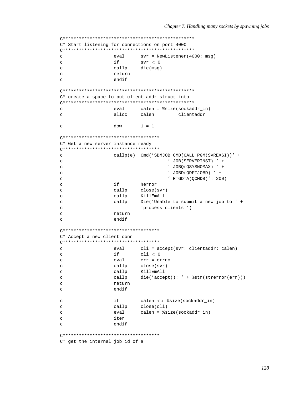C\* Start listening for connections on port 4000 eval  $svr = NewListener (4000: msg)$  $\overline{a}$ if  $\mathbf{C}$  $svr < 0$ die(msg)  $\mathbf{C}$ callp return  $\mathcal{L}$ endif  $\mathbf{C}$ C\* create a space to put client addr struct into calen = %size(sockaddr\_in)  $\Gamma$ eval alloc calen clientaddr  $\epsilon$  $1 = 1$ dow  $\mathbf{C}$ (\*\*\*\*\*\*\*\*\*\*\*\*\*\*\*\*\*\*\*\*\*\*\*\*\*\*\*\*\*\*\*\*\*\*\*\* C\* Get a new server instance ready (\*\*\*\*\*\*\*\*\*\*\*\*\*\*\*\*\*\*\*\*\*\*\*\*\*\*\*\*\*\*\*\*\*\*\*\*\* callp(e) Cmd('SBMJOB CMD(CALL PGM(SVREX6I))' +  $\mathbf C$ ' JOB(SERVERINST) ' +  $\rm{c}$ ' JOBQ(QSYSNOMAX) ' +  $\mathtt{C}$  $'$  JOBD(ODFTJOBD)  $'$  +  $\mathcal{C}$  $\mathbf{C}$  $'$  RTGDTA(OCMDB)': 200) if  $\mathbf{C}$ %error  $\mathbf{C}$ callp close(svr)  $\rm{c}$ callp KillEmAll Die('Unable to submit a new job to ' +  $\mathbf C$ callp 'process clients!')  $\mathcal{C}$ return  $\mathcal{L}$ endif  $\mathtt{C}$ C\* Accept a new client conn  $\mathsf{C}$  $eva1$ cli =  $accept(svr: clientaddr: calendar)$  $i f$  $cli < 0$  $\rm{c}$  $err = err$  $\rm{c}$ eval callp close(svr)  $\mathbf{C}$ callp KillEmAll  $\mathbf{C}$ callp die('accept(): ' +  $%$ str(strerror(err)))  $\mathcal{L}$  $\mathbf{C}$ return endif  $\mathbf{C}$ if calen <> %size(sockaddr\_in)  $\mathbf{C}$ close(cli) callp  $\mathbf{C}$  $\mathcal{C}$ eval calen =  $ssize(sockaddr_in)$  $\epsilon$ iter endif  $\mathbf{C}$ C\* get the internal job id of a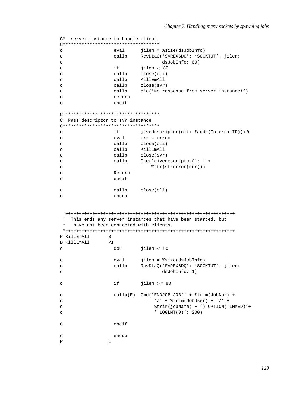```
C* server instance to handle client
C************************************
c eval jilen = %size(dsJobInfo)
c callp RcvDtaQ('SVREX6DQ': 'SOCKTUT': jilen:
c dsJobInfo: 60)
c if ilen < 80c callp close(cli)
c callp KillEmAll
c callp close(svr)
c callp die('No response from server instance!')
c return
c endif
C************************************
C* Pass descriptor to svr instance
C************************************
c if givedescriptor(cli: %addr(InternalID))<0
c eval err = errno
c callp close(cli)
c callp KillEmAll
c callp close(svr)
c callp Die('givedescriptor(): ' +
c \text{Bstr}(\text{str}(error(err)))c Return
c endif
c callp close(cli)
c enddo
*+++++++++++++++++++++++++++++++++++++++++++++++++++++++++++++++
* This ends any server instances that have been started, but
  have not been connected with clients.
*+++++++++++++++++++++++++++++++++++++++++++++++++++++++++++++++
P KillEmAll B
D KillEmAll PI
c dou jilen < 80
c eval jilen = %size(dsJobInfo)
c callp RcvDtaQ('SVREX6DQ': 'SOCKTUT': jilen:
c dsJobInfo: 1)
c if jilen >= 80
c callp(E) Cmd('ENDJOB JOB(' + %trim(JobNbr) +
c \frac{1}{1 + \frac{1}{2}} \frac{1}{1 + \frac{1}{2}} \frac{1}{1 + \frac{1}{2}} \frac{1}{1 + \frac{1}{2}} \frac{1}{1 + \frac{1}{2}} \frac{1}{1 + \frac{1}{2}} \frac{1}{1 + \frac{1}{2}} \frac{1}{1 + \frac{1}{2}} \frac{1}{1 + \frac{1}{2}} \frac{1}{1 + \frac{1}{2}} \frac{1}{1 + \frac{1}{2}} \frac{1}{1 + \frac{1}{2}} \frac{1}{1 + \frac{1}{2}}c %trim(jobName) + ') OPTION(*IMMED)'+
c ' LOGLMT(0)': 200)
C endif
c enddo
P E
```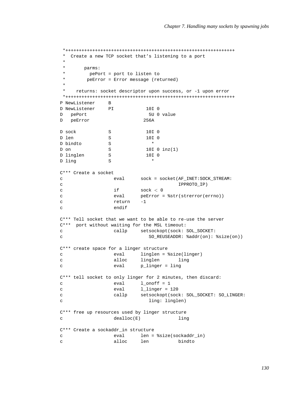```
*+++++++++++++++++++++++++++++++++++++++++++++++++++++++++++++++
 * Create a new TCP socket that's listening to a port
 *
* parms:
 * pePort = port to listen to
 * peError = Error message (returned)
 *
   returns: socket descriptor upon success, or -1 upon error
*+++++++++++++++++++++++++++++++++++++++++++++++++++++++++++++++
P NewListener B
D NewListener PI 10I 0
D pePort 5U 0 value
D peError 256A
D sock S 10I 0
D len S 10I 0
D bindto S *
D on S 10I 0 inz(1)<br>D linglen S 10I 0
D linglen S 10I 0
D ling S *
C*** Create a socket
c eval sock = socket(AF_INET:SOCK_STREAM:
c IPPROTO_IP)
c if sock < 0c eval peError = %str(strerror(errno))
c return -1
c endif
C*** Tell socket that we want to be able to re-use the server
C*** port without waiting for the MSL timeout:
c callp setsockopt(sock: SOL_SOCKET:
c SO_REUSEADDR: %addr(on): %size(on))
C*** create space for a linger structure
c eval linglen = %size(linger)
c alloc linglen ling
c eval p_linger = ling
C*** tell socket to only linger for 2 minutes, then discard:
c eval 1_onoff = 1
c eval l_linger = 120
c callp setsockopt(sock: SOL_SOCKET: SO_LINGER:
c ling: linglen)
C*** free up resources used by linger structure
c dealloc(E) ling
C*** Create a sockaddr_in structure
c eval len = %size(sockaddr_in)
c alloc len bindto
```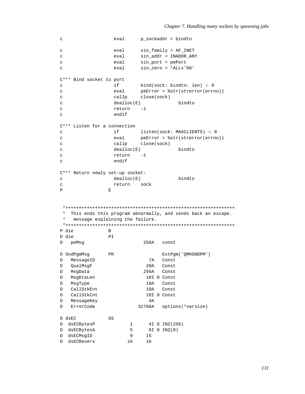```
c eval p_sockaddr = bindto
c eval sin_family = AF_INET
c eval sin_addr = INADDR_ANY
c eval sin_port = pePort
c eval sin_zero = *ALLx'00'
C*** Bind socket to port
c if bind(sock: bindto: len) < 0
c eval peError = %str(strerror(errno))
c callp close(sock)
c dealloc(E) bindto
c return -1
c endif
C*** Listen for a connection
c if listen(sock: MAXCLIENTS) < 0
c eval peError = %str(strerror(errno))
c callp close(sock)
c dealloc(E) bindto
c return -1
c endif
C*** Return newly set-up socket:
c dealloc(E) bindto
c return sock
P E
*+++++++++++++++++++++++++++++++++++++++++++++++++++++++++++++++
* This ends this program abnormally, and sends back an escape.
* message explaining the failure.
*+++++++++++++++++++++++++++++++++++++++++++++++++++++++++++++++
P die B
D die PI
D peMsg 256A const
D SndPgmMsg PR PR ExtPgm('QMHSNDPM')
D MessageID 7A Const
D QualMsgF 20A Const
D MsgData 256A Const
D MsgDtaLen 10I 0 Const
D MsgType 10A Const
D CallStkEnt 10A Const
D CallStkCnt 10I 0 Const
D MessageKey 4A
D ErrorCode 32766A options(*varsize)
D dsEC DS
D dsECBytesP 1 4I 0 INZ(256)
D dsECBytesA 5 8I 0 INZ(0)
D dsECMsgID 9 15
D dsECReserv 16 16
```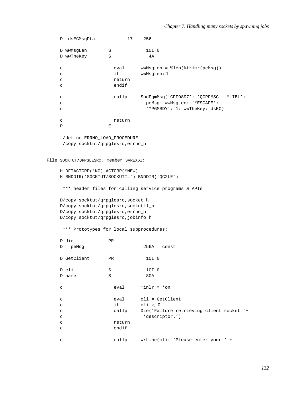```
D dsECMsgDta
                            17
                                       256
     D wwMsgLen
                          \, \mathbb{S} \,10I 0
     D wwTheKey
                          S
                                            4Aeval
                                         wwwMsgLen = %len(%trimr(peMsq))\mathbf{C}\mathbf{C}if
                                         wwMsqLen<1
     \rm{c}return
                             endif
     \mathbf{C}\mathbf{C}callp
                                        SndPgmMsg('CPF9897': 'QCPFMSG *LIBL':
                                           peMsg: wwMsgLen: '*ESCAPE':
     \mathbf{C}'*PGMBDY': 1: wwTheKey: dsEC)
     \mathbf Creturn
     \rm{c}\overline{P}\mathbf{E}/define ERRNO LOAD PROCEDURE
       /copy socktut/qrpglesrc, errno_h
File SOCKTUT/QRPGLESRC, member SVREX6I:
     H DFTACTGRP(*NO) ACTGRP(*NEW)
     H BNDDIR('SOCKTUT/SOCKUTIL') BNDDIR('QC2LE')
      *** header files for calling service programs & APIs
     D/copy socktut/qrpglesrc, socket_h
     D/copy socktut/qrpglesrc, sockutil_h
     D/copy socktut/qrpglesrc, errno_h
     D/copy socktut/qrpglesrc, jobinfo_h
      *** Prototypes for local subprocedures:
     D die
                          PRD peMsg
                                          256A const
     D GetClient
                                          10I<sub>0</sub>PRD cli
                                           10I 0
                          SD name
                          \, \mathbb{S} \,80A
                                       *inlr = *on\mathtt{C}eval
                                        cli = GetClient\mathbf Ceval
                             if
                                         cli < 0\mathcal{C}Die('Failure retrieving client socket '+
                             callp
     \mathbf{C}'descriptor.')
     \rm{c}return
     \mathbf{C}endif
     \mathtt{C}\rm{c}callp
                                       WrLine(cli: 'Please enter your ' +
```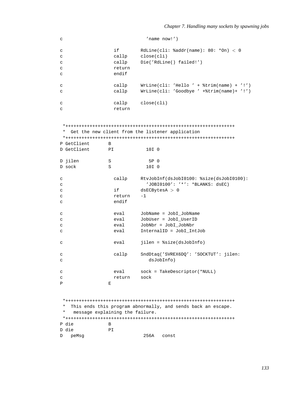```
c 'name now!')
c if RdLine(cli: %addr(name): 80: *On) < 0
c callp close(cli)
c callp Die('RdLine() failed!')
c return
c endif
c callp WrLine(cli: 'Hello ' + %trim(name) + '!')
c callp WrLine(cli: 'Goodbye ' +%trim(name)+ '!')
c callp close(cli)
c return
*+++++++++++++++++++++++++++++++++++++++++++++++++++++++++++++++
* Get the new client from the listener application
*+++++++++++++++++++++++++++++++++++++++++++++++++++++++++++++++
P GetClient B
D GetClient PI 10I 0
D jilen S 5P 0
D sock S 10I 0
c callp RtvJobInf(dsJobI0100: %size(dsJobI0100):
c 'JOBI0100': '*': *BLANKS: dsEC)
c if dsECBytesA > 0
c return -1
c endif
c eval JobName = JobI_JobName
c eval JobUser = JobI_UserID
c eval JobNbr = JobI_JobNbr
c eval InternalID = JobI_IntJob
c eval jilen = %size(dsJobInfo)
c callp SndDtaq('SVREX6DQ': 'SOCKTUT': jilen:
c dsJobInfo)
c eval sock = TakeDescriptor(*NULL)
c return sock
P E
*+++++++++++++++++++++++++++++++++++++++++++++++++++++++++++++++
* This ends this program abnormally, and sends back an escape.
   message explaining the failure.
*+++++++++++++++++++++++++++++++++++++++++++++++++++++++++++++++
P die B
D die PI
D peMsg 256A const
```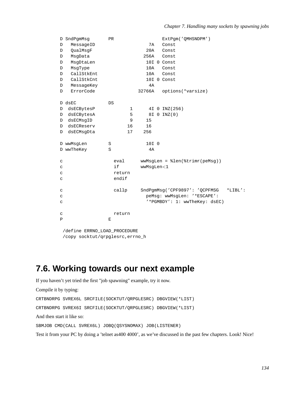|             | D SndPqmMsq | <b>PR</b> |        |            | ExtPqm('OMHSNDPM')                         |
|-------------|-------------|-----------|--------|------------|--------------------------------------------|
| D           | MessageID   |           |        | 7A         | Const                                      |
| D           | QualMsqF    |           |        | 20A        | Const                                      |
| D           | MsgData     |           |        | 256A       | Const                                      |
| D           | MsgDtaLen   |           |        |            | 10I 0 Const                                |
| $\mathbb D$ | MsqType     |           |        | 10A        | Const                                      |
| $\mathbb D$ | CallStkEnt  |           |        | 10A        | Const                                      |
| $\mathbb D$ | CallStkCnt  |           |        |            | 10I 0 Const                                |
| D           | MessageKey  |           |        | 4A         |                                            |
| D           | ErrorCode   |           |        | 32766A     | options(*varsize)                          |
|             | D dsEC      | DS        |        |            |                                            |
| D           | dsECBytesP  |           | 1      |            | 4I 0 INZ (256)                             |
| D           | dsECBytesA  |           | 5      |            | 8I 0 INZ(0)                                |
| D           | dsECMsqID   |           | 9      | 15         |                                            |
| D           | dsECReserv  |           | 16     | 16         |                                            |
| D           | dsECMsqDta  |           | 17     | 256        |                                            |
|             | D wwMsqLen  | S         |        | 10I 0      |                                            |
|             | D wwTheKey  | S         |        | 4A         |                                            |
| C           |             |           | eval   |            | wwMsgLen = %len(%trimr(peMsg))             |
| C           |             |           | if     | wwMsqLen<1 |                                            |
| C           |             |           | return |            |                                            |
| C           |             |           | endif  |            |                                            |
| C           |             |           | callp  |            | SndPqmMsq('CPF9897': 'QCPFMSG<br>$*LIBL':$ |
| C           |             |           |        |            | peMsq: wwMsqLen: '*ESCAPE':                |
| C           |             |           |        |            | '*PGMBDY': 1: wwTheKey: dsEC)              |
| C           |             |           | return |            |                                            |
| P           |             | Е         |        |            |                                            |
|             |             |           |        |            |                                            |

/define ERRNO\_LOAD\_PROCEDURE /copy socktut/qrpglesrc,errno\_h

### **7.6. Working towards our next example**

If you haven't yet tried the first "job spawning" example, try it now. Compile it by typing: CRTBNDRPG SVREX6L SRCFILE(SOCKTUT/QRPGLESRC) DBGVIEW(\*LIST) CRTBNDRPG SVREX6I SRCFILE(SOCKTUT/QRPGLESRC) DBGVIEW(\*LIST) And then start it like so: SBMJOB CMD(CALL SVREX6L) JOBQ(QSYSNOMAX) JOB(LISTENER) Test it from your PC by doing a 'telnet as400 4000', as we've discussed in the past few chapters. Look! Nice!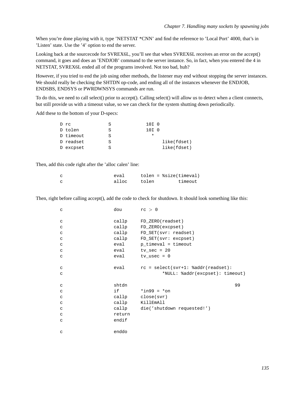When you're done playing with it, type 'NETSTAT \*CNN' and find the reference to 'Local Port' 4000, that's in 'Listen' state. Use the '4' option to end the server.

Looking back at the sourcecode for SVREX6L, you'll see that when SVREX6L receives an error on the accept() command, it goes and does an 'ENDJOB' command to the server instance. So, in fact, when you entered the 4 in NETSTAT, SVREX6L ended all of the programs involved. Not too bad, huh?

However, if you tried to end the job using other methods, the listener may end without stopping the server instances. We should really be checking the SHTDN op-code, and ending all of the instances whenever the ENDJOB, ENDSBS, ENDSYS or PWRDWNSYS commands are run.

To do this, we need to call select() prior to accept(). Calling select() will allow us to detect when a client connects, but still provide us with a timeout value, so we can check for the system shutting down periodically.

Add these to the bottom of your D-specs:

| D rc      |   | 10I 0 |             |
|-----------|---|-------|-------------|
| D tolen   | S | 10I 0 |             |
| D timeout | S |       |             |
| D readset | S |       | like(fdset) |
| D excpset |   |       | like(fdset) |

Then, add this code right after the 'alloc calen' line:

| eva1  | $tolen = %size(timeval)$ |         |
|-------|--------------------------|---------|
| alloc | tolen                    | timeout |

Then, right before calling accept(), add the code to check for shutdown. It should look something like this:

| $\mathsf C$  | dou    | rc > 0                               |    |
|--------------|--------|--------------------------------------|----|
| C            |        | callp FD_ZERO(readset)               |    |
| C            |        | callp FD_ZERO(excpset)               |    |
| $\mathtt{C}$ |        | callp FD_SET(svr: readset)           |    |
| $\mathtt{C}$ |        | callp FD_SET(svr: excpset)           |    |
| $\mathtt{C}$ |        | eval p_timeval = timeout             |    |
| C            |        | $eval$ $tv\_sec = 20$                |    |
| $\mathtt{C}$ |        | $eval$ tv_usec = 0                   |    |
| C            | eval   | $rc = select(svr+1: %addr(readset):$ |    |
| C            |        | *NULL: \texcpset): timeout)          |    |
| $\mathtt{C}$ | shtdn  |                                      | 99 |
| $\mathtt{C}$ | if a   | *in99 = *on                          |    |
| $\mathtt{C}$ |        | callp close(svr)                     |    |
| C            |        | callp KillEmAll                      |    |
| $\mathtt{C}$ |        | callp die('shutdown requested!')     |    |
| C            | return |                                      |    |
| C            | endif  |                                      |    |
|              |        |                                      |    |
| C            | enddo  |                                      |    |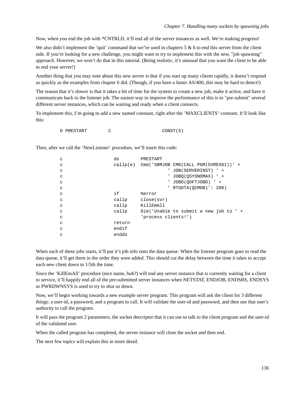Now, when you end the job with \*CNTRLD, it'll end all of the server instances as well. We're making progress!

We also didn't implement the 'quit' command that we've used in chapters  $5 \& 6$  to end this server from the client side. If you're looking for a new challenge, you might want to try to implement this with the new, "job spawning" approach. However, we won't do that in this tutorial. (Being realistic, it's unusual that you want the client to be able to end your server!)

Another thing that you may note about this new server is that if you start up many clients rapidly, it doesn't respond as quickly as the examples from chapter 6 did. (Though, if you have a faster AS/400, this may be hard to detect!)

The reason that it's slower is that it takes a bit of time for the system to create a new job, make it active, and have it communicate back to the listener job. The easiest way to improve the performance of this is to "pre-submit" several different server instances, which can be waiting and ready when a client connects.

To implement this, I'm going to add a new named constant, right after the 'MAXCLIENTS' constant. It'll look like this:

D PRESTART C CONST(5)

Then, after we call the 'NewListener' procedure, we'll insert this code:

| C | do     | PRESTART            |                                                  |
|---|--------|---------------------|--------------------------------------------------|
| C |        |                     | $callp(e)$ Cmd('SBMJOB CMD(CALL PGM(SVREX6I))' + |
| C |        |                     | $'$ JOB(SERVERINST) $'$ +                        |
| C |        |                     | JOBO(OSYSNOMAX) ' +                              |
| C |        |                     | $'$ JOBD(ODFTJOBD) $'$ +                         |
| C |        |                     | ' RTGDTA(OCMDB)': $200$ )                        |
| C | if     | %error              |                                                  |
| C | callp  | close(svr)          |                                                  |
| C | callp  | KillEmAll           |                                                  |
| C | callp  |                     | Die('Unable to submit a new job to ' +           |
| C |        | 'process clients!') |                                                  |
| C | return |                     |                                                  |
| C | endif  |                     |                                                  |
| C | enddo  |                     |                                                  |
|   |        |                     |                                                  |

When each of these jobs starts, it'll put it's job info onto the data queue. When the listener program goes to read the data queue, it'll get them in the order they were added. This should cut the delay between the time it takes to accept each new client down to 1/5th the time.

Since the 'KillEmAll' procedure (nice name, huh?) will end any server instance that is currently waiting for a client to service, it'll happily end all of the pre-submitted server instances when NETSTAT, ENDJOB, ENDSBS, ENDSYS or PWRDWNSYS is used to try to shut us down.

Now, we'll begin working towards a new example server program. This program will ask the client for 3 different things: a user-id, a password, and a program to call. It will validate the user-id and password, and then use that user's authority to call the program.

It will pass the program 2 parameters, the socket descriptor that it can use to talk to the client program and the user-id of the validated user.

When the called program has completed, the server instance will close the socket and then end.

The next few topics will explain this in more detail.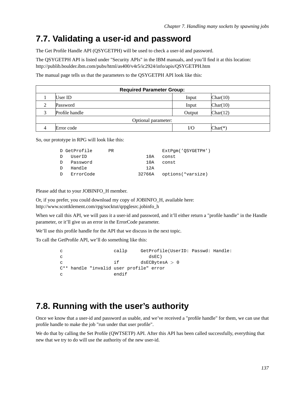## **7.7. Validating a user-id and password**

The Get Profile Handle API (QSYGETPH) will be used to check a user-id and password.

The QSYGETPH API is listed under "Security APIs" in the IBM manuals, and you'll find it at this location: http://publib.boulder.ibm.com/pubs/html/as400/v4r5/ic2924/info/apis/QSYGETPH.htm

The manual page tells us that the parameters to the QSYGETPH API look like this:

|   | <b>Required Parameter Group:</b> |        |           |  |  |  |
|---|----------------------------------|--------|-----------|--|--|--|
|   | User ID                          | Input  | Char(10)  |  |  |  |
| ◠ | Password                         | Input  | Char(10)  |  |  |  |
| 2 | Profile handle                   | Output | Char(12)  |  |  |  |
|   | Optional parameter:              |        |           |  |  |  |
|   | Error code                       | I/Ο    | $Char(*)$ |  |  |  |

So, our prototype in RPG will look like this:

| ExtPqm('OSYGETPH') |
|--------------------|
|                    |
|                    |
|                    |
| options(*varsize)  |
|                    |

Please add that to your JOBINFO\_H member.

Or, if you prefer, you could download my copy of JOBINFO\_H, available here: http://www.scottklement.com/rpg/socktut/qrpglesrc.jobinfo\_h

When we call this API, we will pass it a user-id and password, and it'll either return a "profile handle" in the Handle parameter, or it'll give us an error in the ErrorCode parameter.

We'll use this profile handle for the API that we discuss in the next topic.

To call the GetProfile API, we'll do something like this:

| C            |  | callp | GetProfile(UserID: Passwd: Handle:                  |  |
|--------------|--|-------|-----------------------------------------------------|--|
| C            |  |       | dsEC)                                               |  |
| $\mathbf{C}$ |  | if i  | dsECBvtesA > 0                                      |  |
|              |  |       | C <sup>**</sup> handle "invalid user profile" error |  |
| C            |  | endif |                                                     |  |

#### **7.8. Running with the user's authority**

Once we know that a user-id and password as usable, and we've received a "profile handle" for them, we can use that profile handle to make the job "run under that user profile".

We do that by calling the Set Profile (QWTSETP) API. After this API has been called successfully, everything that new that we try to do will use the authority of the new user-id.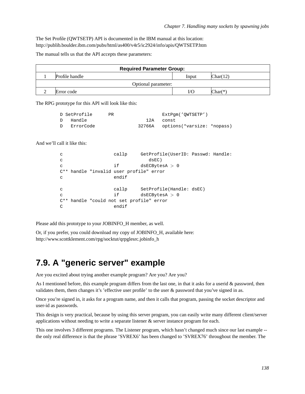The Set Profile (QWTSETP) API is documented in the IBM manual at this location: http://publib.boulder.ibm.com/pubs/html/as400/v4r5/ic2924/info/apis/QWTSETP.htm

The manual tells us that the API accepts these parameters:

| <b>Required Parameter Group:</b> |       |           |  |  |  |  |
|----------------------------------|-------|-----------|--|--|--|--|
| Profile handle                   | Input | Char(12)  |  |  |  |  |
| Optional parameter:              |       |           |  |  |  |  |
| Error code                       | I/O   | $Char(*)$ |  |  |  |  |

The RPG prototype for this API will look like this:

|              | D SetProfile | PR. | ExtPqm('QWTSETP')                 |  |
|--------------|--------------|-----|-----------------------------------|--|
| $\mathbf{D}$ | Handle       |     | 12A const                         |  |
| D            | ErrorCode    |     | 32766A options(*varsize: *nopass) |  |

And we'll call it like this:

```
c callp GetProfile(UserID: Passwd: Handle:
c dsEC)
c if dsECBytesA > 0
C** handle "invalid user profile" error
c endif
c callp SetProfile(Handle: dsEC)
c if dsECBytesA > 0
C** handle "could not set profile" error
C endif
```
Please add this prototype to your JOBINFO\_H member, as well.

Or, if you prefer, you could download my copy of JOBINFO\_H, available here: http://www.scottklement.com/rpg/socktut/qrpglesrc.jobinfo\_h

### **7.9. A "generic server" example**

Are you excited about trying another example program? Are you? Are you?

As I mentioned before, this example program differs from the last one, in that it asks for a userid & password, then validates them, them changes it's 'effective user profile' to the user & password that you've signed in as.

Once you're signed in, it asks for a program name, and then it calls that program, passing the socket descriptor and user-id as passwords.

This design is very practical, because by using this server program, you can easily write many different client/server applications without needing to write a separate listener & server instance program for each.

This one involves 3 different programs. The Listener program, which hasn't changed much since our last example - the only real difference is that the phrase 'SVREX6' has been changed to 'SVREX76' throughout the member. The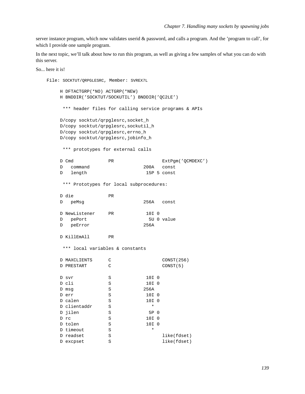server instance program, which now validates userid & password, and calls a program. And the 'program to call', for which I provide one sample program.

In the next topic, we'll talk about how to run this program, as well as giving a few samples of what you can do with this server.

So... here it is!

```
File: SOCKTUT/QRPGLESRC, Member: SVREX7L
     H DFTACTGRP(*NO) ACTGRP(*NEW)
     H BNDDIR('SOCKTUT/SOCKUTIL') BNDDIR('QC2LE')
      *** header files for calling service programs & APIs
     D/copy socktut/qrpglesrc, socket_h
     D/copy socktut/qrpglesrc, sockutil_h
     D/copy socktut/qrpglesrc, errno_h
     D/copy socktut/qrpglesrc, jobinfo_h
      *** prototypes for external calls
     D Cmd
                                             ExtPqm('QCMDEXC')
                        DR
        command
                                      200Aconst
     \mathbb D15P 5 const
     \mathbb{D}length
      *** Prototypes for local subprocedures:
     D die
                        PR256A const
     D
         peMsg
     D NewListener
                                     10I 0
                      PR
        pePort
                                        5U 0 value
     \mathbb D256A
     \mathcal{D}peError
     D KillEmAll
                        PR*** local variables & constants
     D MAXCLIENTS
                        \, C
                                             CONST (256)
     D PRESTART
                        \mathtt{C}CONST(5)
                       \mathbf S10I<sub>0</sub>D svr
     D cli
                       S10I 0
                       \mathbf S256A
     D msq
                      S10I 0
     D err
     D calen
                      S10I 0
     D clientaddr
                      S\star5P 0
     D jilen
                       S10I<sub>0</sub>D rc
                       SS10I 0
     D tolen
     D timeout
                      S\pmb{\star}SD readset
                                             like(fdset)
                                             like(fdset)
     D excpset
                       S
```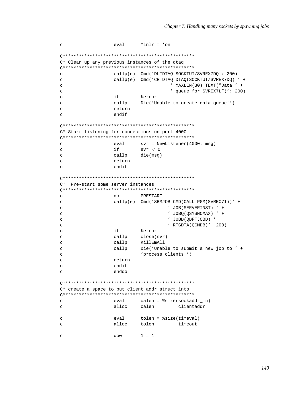```
\mathbf{C}eval
                          *inlr = *onC* Clean up any previous instances of the dtaq
\mathbf{C}callp(e) Cmd('DLTDTAQ SOCKTUT/SVREX7DQ': 200)
                  callp(e) Cmd('CRTDTAQ DTAQ(SOCKTUT/SVREX7DQ)' +
\mathbf{C}' MAXLEN(80) TEXT("Data ' +
\mathbf{C}' queue for SVREX7L")': 200)
\mathbf{C}if
                          %error
\mathbf{C}Die('Unable to create data queue!')
                 callp
\mathbf C\mathbf Creturn
                  endif
\epsilonC* Start listening for connections on port 4000
\mathbf Ceval
                          svr = NewListener (4000: msg)\mathbf{C}if
                          svr < 0callp
\mathcal{C}die(msg)
                 return
\mathbf{C}endif
\mathtt{C}C* Pre-start some server instances
PRESTART
\mathbf Cdo
                  callop(e) Cmd('SBMJOB CMD(CALL PGM(SVREX7I))' +
\mathbf C' JOB(SERVERINST) ' +
\mathbf{C}' JOBQ(QSYSNOMAX) ' +
\mathcal{L}' JOBD(QDFTJOBD) ' +
\rm{c}' RTGDTA(QCMDB)': 200)
\mathcal{L}if
                          %error
\mathbf{C}callp
                          close(svr)
\mathbf C\mathbf Ccallp
                          KillEmAll
\mathbf{C}callp
                          Die('Unable to submit a new job to ' +
                          'process clients!')
\mathbf{C}\rm{c}return
                  endif
\mathcal{L}enddo
\mathbf{C}C* create a space to put client addr struct into
\mathtt{C}eval
                         calen = %size(sockaddr_in)
                 alloc
                         calen
                                       clientaddr
\mathbf{C}eval
                         tolen = %size(timeval)
\mathcal{L}\mathbf{C}alloc
                         tolen
                                  timeout
                          1 = 1\mathtt{C}dow
```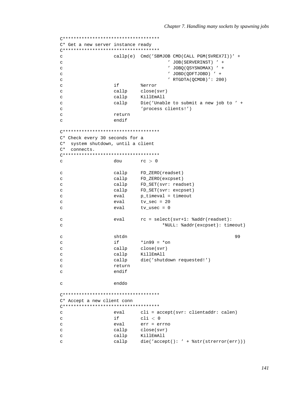```
C* Get a new server instance ready
callp(e) Cmd('SBMJOB CMD(CALL PGM(SVREX7I))' +
\mathcal{C}' JOB(SERVERINST) ' +
\mathbf{C}' JOBO (OSYSNOMAX) ' +
\mathbf{C}' JOBD(ODFTJOBD) ' +
\mathcal{L}' RTGDTA(QCMDB)': 200)
\rm{c}if
                                %error
\mathsf{C}callp
                                close(svr)
\mathtt{C}\mathbf{C}callp
                                KillEmAll
                                Die('Unable to submit a new job to ' +
                     callp
\mathbf{C}'process clients!')
\mathbf C\overline{c}return
                     endif
\overline{a}C* Check every 30 seconds for a
C* system shutdown, until a client
C^* connects.
dou
                               rc > 0\mathtt{C}FD_ZERO(readset)
                     callp
\mathcal{C}\mathbf{C}callp
                               FD ZERO(excpset)
                               FD_SET(svr: readset)
\mathbf{C}callp
\mathbf{C}callp
                               FD_SET(svr: excpset)
                               p_timeval = timeout
                     eval
\mathcal{C}tv sec = 20\mathbf Ceval
                     eval
                               tv_usec = 0\mathcal{C}rc = select(svr+1: %addr(readset):\rm{c}eval
                                         *NULL: %addr(excpset): timeout)
\mathbf{C}shtdn
                                                                      99
\mathbf C*in99 = *on
\mathbf Cif
\mathcal{C}callp
                               close(svr)
                               KillEmAll
                     callp
\mathbf{C}callp
                               die('shutdown requested!')
\rm{c}return
\mathbf{C}endif
\mathbf{C}\rm{c}enddo
C* Accept a new client conn
(************************************
\rm{c}eval
                               cli = accept(svr: clientaddr: calendar)\mathcal{L}if
                               cli < 0\mathbf Ceval
                               err = errno
\mathbf{C}callp
                               close(svr)
                     callp
                               KillEmAll
\mathtt{C}\mathbf{C}callp
                               die('accept(): ' + %str(strerror(err)))
```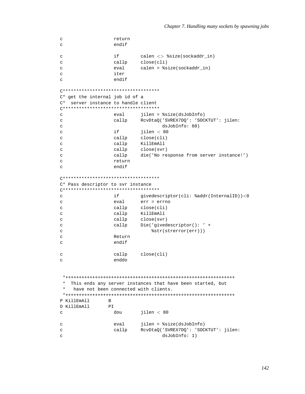```
\mathtt{C}return
\mathbf{C}endif
\mathbf{C}if
                               calen \langle \rangle %size(sockaddr_in)
                               close(cli)\mathbf{C}callp
                               \text{calen} = \text{size}(\text{sockaddr}\_\text{in})\mathbf{C}eval
                     iter
\mathcal{L}endif
\mathbf{C}C* get the internal job id of a
C* server instance to handle client
(************************************
\mathbf{c}jilen = %size(dsJobInfo)
                     eva1RcvDtaQ('SVREX7DQ': 'SOCKTUT': jilen:
                     callp
\rm{c}dsJobInfo: 60)\mathbf{C}\mathtt{C}if
                               jilen < 80\mathbf Ccallp
                               close(cli)
                    callp
                               KillEmAll
\mathbf{C}\mathbf{C}callp
                               close(svr)
                    callp
                               die('No response from server instance!')
\mathcal{C}return
\mathbf{C}\mathtt{C}endif
C* Pass descriptor to svr instance
if
\mathbf Cgivedescriptor(cli: %addr(InternalID))<0
                               err = errno\mathbf Ceval
\mathbf{C}callp
                               close(cli)callp
                               KillEmAll
\mathbf{C}callp
                               close(svr)
\rm{c}Die('givedescriptor(): ' +
                    callp
\mathbf{C}%str(strerror(err)))
\mathbf{C}Return
\mathbf C\mathbf Cendif
                    callp
                              close(cli)
\mathbf{C}enddo
\rm{c}* This ends any server instances that have been started, but
    have not been connected with clients.
 P KillEmAll
                  \, {\bf B}D KillEmAll
                  PT\rm{c}dou
                               \text{jilen} < 80\rm{c}eval
                               jilen = %size(dsJobInfo)
                               RcvDtaQ('SVREX7DQ': 'SOCKTUT': jilen:
\mathsf{C}callp
                                       dsJobInfo: 1)\mathtt{C}
```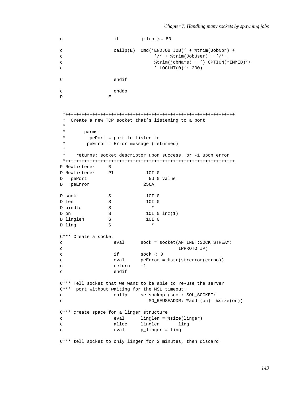```
c if jilen > = 80c callp(E) Cmd('ENDJOB JOB(' + %trim(JobNbr) +
c \frac{1}{1 + \text{string}(\text{JobUser}) + \frac{1}{1 + \text{string}(\text{JobUser}) + \frac{1}{1 + \text{string}(\text{JobUser}) + \frac{1}{1 + \text{string}(\text{JobUser}) + \frac{1}{1 + \text{string}(\text{JobUser}) + \frac{1}{1 + \text{string}(\text{JobUser}) + \frac{1}{1 + \text{terms}(\text{JobUser}) + \frac{1}{1 + \text{terms}(\text{JobUser}) + \frac{1}{1 + \text{terms}(\text{JobUser}) + \frac{1}{1 + \text{terms}(\text{JobUser}) + \frac{1}{1 + \text{terms}(\text{JobUserc %trim(jobName) + ') OPTION(*IMMED)'+
C ' LOGLMT(0)': 200)
C endif
c enddo
P E
 *+++++++++++++++++++++++++++++++++++++++++++++++++++++++++++++++
 * Create a new TCP socket that's listening to a port
 *
 * parms:
 * pePort = port to listen to
 * peError = Error message (returned)
 *
     returns: socket descriptor upon success, or -1 upon error
 *+++++++++++++++++++++++++++++++++++++++++++++++++++++++++++++++
P NewListener B
D NewListener PI 10I 0
D pePort 5U 0 value
D peError 256A
D sock S 10I 0
D len S 10I 0
D bindto S *
D on S 10I 0 inz(1)
D linglen S 10I 0
D ling S *
C*** Create a socket
c eval sock = socket(AF_INET:SOCK_STREAM:
c IPPROTO_IP)
c if sock < 0c eval peError = %str(strerror(errno))
c return -1
c endif
C*** Tell socket that we want to be able to re-use the server
C*** port without waiting for the MSL timeout:
c callp setsockopt(sock: SOL_SOCKET:
c SO_REUSEADDR: %addr(on): %size(on))
C*** create space for a linger structure
c eval linglen = %size(linger)
c alloc linglen ling
c eval p_linger = ling
C*** tell socket to only linger for 2 minutes, then discard:
```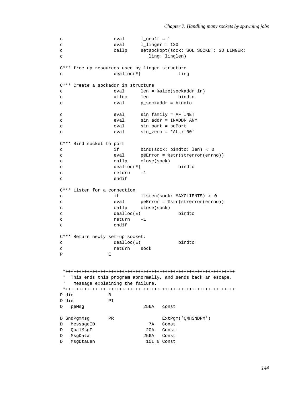```
c eval 1 onoff = 1
c eval llinger = 120
c callp setsockopt(sock: SOL_SOCKET: SO_LINGER:
c ling: linglen)
C*** free up resources used by linger structure
c dealloc(E) ling
C*** Create a sockaddr_in structure
c eval len = %size(sockaddr_in)
c alloc len bindto
c eval p_sockaddr = bindto
c eval sin_family = AF_INET
c eval sin_addr = INADDR_ANY
c eval sin_port = pePort
c eval sin_zero = *ALLx'00'
C*** Bind socket to port
c if bind(sock: bindto: len) < 0
c eval peError = %str(strerror(errno))
c callp close(sock)
c dealloc(E) bindto
c return -1
c endif
C*** Listen for a connection
c if listen(sock: MAXCLIENTS) < 0
c eval peError = %str(strerror(errno))
c callp close(sock)
c dealloc(E) bindto
c return -1
c endif
C*** Return newly set-up socket:
c dealloc(E) bindto
c return sock
P E
*+++++++++++++++++++++++++++++++++++++++++++++++++++++++++++++++
* This ends this program abnormally, and sends back an escape.
* message explaining the failure.
*+++++++++++++++++++++++++++++++++++++++++++++++++++++++++++++++
P die B
D die PI
D peMsg 256A const
D SndPgmMsg PR ExtPgm('QMHSNDPM')
D MessageID 7A Const
D QualMsgF 20A Const
D MsgData 256A Const
D MsgDtaLen 10I 0 Const
```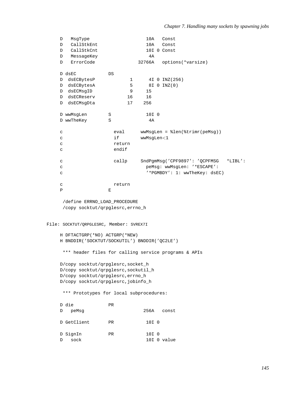```
D MsgType
                                       10AConst
     DCallStkEnt
                                       10AConst
     D CallStkCnt
                                       10I 0 Const
     D MessageKey
                                        4AD ErrorCode
                                    32766A options(*varsize)
     D dsEC
                        DSD dsECBytesP
                                 \mathbf{1}4I 0 INZ (256)
     D dsECBytesA
                                5
                                       8I 0 INZ(0)
                                9D dsECMsgID
                                      15
     D dsECReserv
                                16
                                      16
     D dsECMsqDta
                               17
                                      256
     D wwMsqLen
                        S10I<sub>0</sub>D wwTheKey
                        \mathbf S4A\mathtt{C}eval
                                     wwMsgLen = %len(%trimr(peMsg))
     \mathbf{C}if
                                     wwMsqLen<1
     \mathcal{C}return
     \mathbf{C}endif
                                     SndPgmMsg('CPF9897': 'QCPFMSG *LIBL':
                         callp
     \mathbf{C}peMsq: wwMsqLen: '*ESCAPE':
     \mathbf C'*PGMBDY': 1: wwTheKey: dsEC)
     \mathcal{C}return
     \mathtt{C}\mathbf{p}\mathbf{E}/define ERRNO LOAD PROCEDURE
      /copy socktut/qrpglesrc, errno_h
File: SOCKTUT/QRPGLESRC, Member: SVREX7I
     H DFTACTGRP(*NO) ACTGRP(*NEW)
     H BNDDIR('SOCKTUT/SOCKUTIL') BNDDIR('QC2LE')
      *** header files for calling service programs & APIs
     D/copy socktut/qrpglesrc, socket_h
     D/copy socktut/qrpglesrc, sockutil_h
     D/copy socktut/qrpglesrc, errno_h
     D/copy socktut/qrpglesrc, jobinfo_h
      *** Prototypes for local subprocedures:
     D die
                        PR
                                     256A const
     D peMsg
     D GetClient
                                      10I<sub>0</sub>PR
                                       10I 0
     D SignIn
                        PRD sock
                                       10I 0 value
```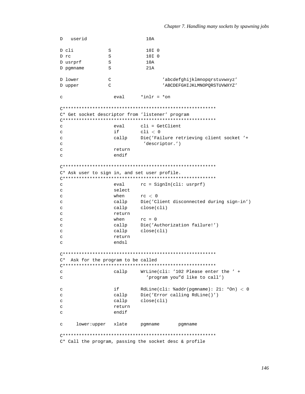```
D userid
                            10AD cli
               S
                            10I<sub>0</sub>10I<sub>0</sub>D rc
               \mathbf SS10AD usrprf
               S
                            21AD pomname
D lower
               \mathsf C'abcdefghijklmnopqrstuvwxyz'
               \mathcal{C}'ABCDEFGHIJKLMNOPORSTUVWXYZ'
D upper
                 eval*inlr = *on\mathbf{C}C* Get socket descriptor from 'listener' program
cli = GetClient\mathbf{C}eval
\mathtt{C}i fcli < 0\mathbf{C}callp
                          Die('Failure retrieving client socket '+
                           'descriptor.')
\mathbf{C}\mathbf{C}return
                 endif
\mathcal{C}C* Ask user to sign in, and set user profile.
rc = SignIn(cli: usrprf)\mathsf{C}eval
\mathbf{C}select
                 when
                          rc < 0\mathbf{C}Die('Client disconnected during sign-in')
\mathbf Ccallp
                 callp
                          close(cli)\mathcal{C}return
\mathbf{C}rc = 0\rm{c}when
                         Die('Authorization failure!')
                 callp
\mathbf{C}callp
                          close(cli)\mathbf{C}return
\mathbf C\mathbf Cendsl
C* Ask for the program to be called
callp
                          WrLine(cli: '102 Please enter the ' +
\mathtt{C}'program you"d like to call')
\mathbf{C}if
                          RdLine(cli: \text{kadar}(\text{pgmname}): 21: *On) < 0
\mathbf{C}Die('Error calling RdLine()')
\rm{c}callp
\rm{c}callp
                          close(cli)return
\mathbf{C}\mathbf{C}endif
     lower:upper xlate
                         pgmname
                                      pgmname
\mathsf{C}C* Call the program, passing the socket desc & profile
```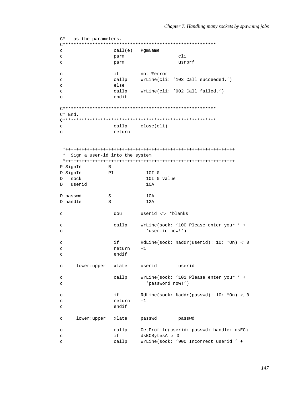```
C* as the parameters.
call(e) PgmName
\mathsf{C}\mathbf{C}parm
                                       cli\mathbf{C}usrprf
                  parm
                  if
                          not %error
\GammaWrLine(cli: '103 Call succeeded.')
\rm{c}callp
                  else
\mathsf{C}callp
                           WrLine(cli: '902 Call failed.')
\mathbf{C}endif
\mathbf{C}C^* End.
callp
                          close(cli)
\mathtt{C}\mathtt{C}return
 * Sign a user-id into the system
 P SignIn
               \mathbf{B}D SignIn
               PT10T<sub>0</sub>Dsock
                            10I 0 value
D userid
                            10AD passwd
                \mathbf S10AD handle
                S12Auserid <> *blanks
                  dou
\mathbf{C}WrLine(sock: '100 Please enter your ' +
\epsiloncallp
                            'user-id now!')
\rm{c}RdLine(sock: \text{addr}(userid): 10: *On) < 0\mathbf Cif
\mathbf{C}return
                           -1endif
\mathbf{C}lower:upper xlate userid
                                      userid
\mathbf{C}WrLine(sock: '101 Please enter your ' +
                  callp
\mathcal{L}\rm{c}'password now!')
                  if
                          RdLine(sock: \text{addr}(passwd): 10: *On) < 0\mathbf{C}\mathtt{C}return
                           -1endif
\mathbf{C}xlate
                                     passwd
     lower:upper
                         passwd
\mathbf{C}callp
                          GetProfile(userid: passwd: handle: dsEC)
\mathbf{C}if
                          dsECBytesA > 0
\mathtt{C}WrLine(sock: '900 Incorrect userid ' +
\mathbf{C}callp
```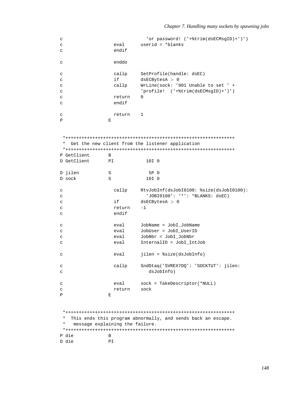```
c 'or password! ('+%trim(dsECMsgID)+')')
c eval userid = *blanks
c endif
c enddo
c callp SetProfile(handle: dsEC)
c if dsECBytesA > 0
c callp WrLine(sock: '901 Unable to set ' +
c 'profile! ('+%trim(dsECMsgID)+')')
c return 0
c endif
c return 1
P E
*+++++++++++++++++++++++++++++++++++++++++++++++++++++++++++++++
* Get the new client from the listener application
*+++++++++++++++++++++++++++++++++++++++++++++++++++++++++++++++
P GetClient B
D GetClient PI 10I 0
D jilen S 5P 0
D sock S 10I 0
c callp RtvJobInf(dsJobI0100: %size(dsJobI0100):
c 'JOBI0100': '*': *BLANKS: dsEC)
c if dsECBytesA > 0
c return -1
c endif
c eval JobName = JobI_JobName
c eval JobUser = JobI_UserID
c eval JobNbr = JobI_JobNbr
c eval InternalID = JobI_IntJob
c eval jilen = %size(dsJobInfo)
c callp SndDtaq('SVREX7DQ': 'SOCKTUT': jilen:
c dsJobInfo)
c eval sock = TakeDescriptor(*NULL)
c return sock
P E
*+++++++++++++++++++++++++++++++++++++++++++++++++++++++++++++++
* This ends this program abnormally, and sends back an escape.
  message explaining the failure.
*+++++++++++++++++++++++++++++++++++++++++++++++++++++++++++++++
P die B
D die PI
```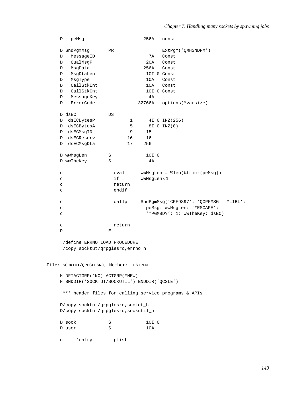| D            | peMsg                                                                      |        | 256A       | const                                                |            |
|--------------|----------------------------------------------------------------------------|--------|------------|------------------------------------------------------|------------|
|              | D SndPgmMsg                                                                | PR     |            | ExtPgm('QMHSNDPM')                                   |            |
| D            | MessageID                                                                  |        | 7A         | Const                                                |            |
| D            | QualMsqF                                                                   |        | 20A        | Const                                                |            |
| D            | MsgData                                                                    |        | 256A       | Const                                                |            |
| D            | MsgDtaLen                                                                  |        |            | 10I 0 Const                                          |            |
| D            | MsgType                                                                    |        | 10A        | Const                                                |            |
| D            | CallStkEnt                                                                 |        | 10A        | Const                                                |            |
| D            | CallStkCnt                                                                 |        |            | 10I 0 Const                                          |            |
| D            | MessageKey                                                                 |        | 4A         |                                                      |            |
| D            | ErrorCode                                                                  |        | 32766A     | options(*varsize)                                    |            |
|              |                                                                            |        |            |                                                      |            |
| D dsEC       |                                                                            | DS     |            |                                                      |            |
|              | D dsECBytesP                                                               | 1      |            | 4I 0 INZ (256)                                       |            |
| D            | dsECBytesA                                                                 | 5      |            | 8I 0 INZ(0)                                          |            |
| D            | dsECMsgID                                                                  | 9      | 15         |                                                      |            |
| D            | dsECReserv                                                                 | 16     | 16         |                                                      |            |
| D            | dsECMsgDta                                                                 | 17     | 256        |                                                      |            |
|              | D wwMsgLen                                                                 | S      | 10I 0      |                                                      |            |
|              | D wwTheKey                                                                 | S      | 4A         |                                                      |            |
| C            |                                                                            | eval   |            | $wwwMsgLen = %len(%trimr(peMsq))$                    |            |
| $\mathtt{C}$ |                                                                            | if     | wwMsgLen<1 |                                                      |            |
| $\mathtt{C}$ |                                                                            | return |            |                                                      |            |
| $\mathtt{C}$ |                                                                            | endif  |            |                                                      |            |
|              |                                                                            |        |            |                                                      |            |
| $\mathtt{C}$ |                                                                            | callp  |            | SndPgmMsg('CPF9897': 'QCPFMSG                        | $*$ LIBL': |
| $\mathtt{C}$ |                                                                            |        |            | peMsg: wwMsgLen: '*ESCAPE':                          |            |
| $\mathtt{C}$ |                                                                            |        |            | '*PGMBDY': 1: wwTheKey: dsEC)                        |            |
| $\mathtt{C}$ |                                                                            | return |            |                                                      |            |
| $\, {\bf P}$ |                                                                            | E      |            |                                                      |            |
|              |                                                                            |        |            |                                                      |            |
|              | /define ERRNO LOAD PROCEDURE                                               |        |            |                                                      |            |
|              | /copy socktut/qrpglesrc, errno_h                                           |        |            |                                                      |            |
|              |                                                                            |        |            |                                                      |            |
|              | File: SOCKTUT/QRPGLESRC, Member: TESTPGM                                   |        |            |                                                      |            |
|              | H DFTACTGRP(*NO) ACTGRP(*NEW)                                              |        |            |                                                      |            |
|              | H BNDDIR('SOCKTUT/SOCKUTIL') BNDDIR('QC2LE')                               |        |            |                                                      |            |
|              |                                                                            |        |            |                                                      |            |
|              |                                                                            |        |            | *** header files for calling service programs & APIs |            |
|              |                                                                            |        |            |                                                      |            |
|              | D/copy socktut/qrpglesrc, socket_h<br>D/copy socktut/qrpglesrc, sockutil_h |        |            |                                                      |            |
|              |                                                                            |        |            |                                                      |            |
| D sock       |                                                                            | S      | 10I 0      |                                                      |            |
| D user       |                                                                            | S      | 10A        |                                                      |            |
|              |                                                                            |        |            |                                                      |            |
| C            | *entry                                                                     | plist  |            |                                                      |            |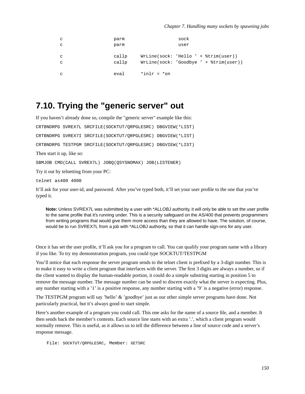```
c parm parm sock
c parm user
c callp WrLine(sock: 'Hello ' + %trim(user))
c callp WrLine(sock: 'Goodbye ' + %trim(user))
c \alpha eval \alpha \alpha \alpha
```
#### **7.10. Trying the "generic server" out**

If you haven't already done so, compile the "generic server" example like this: CRTBNDRPG SVREX7L SRCFILE(SOCKTUT/QRPGLESRC) DBGVIEW(\*LIST) CRTBNDRPG SVREX7I SRCFILE(SOCKTUT/QRPGLESRC) DBGVIEW(\*LIST) CRTBNDRPG TESTPGM SRCFILE(SOCKTUT/QRPGLESRC) DBGVIEW(\*LIST) Then start it up, like so: SBMJOB CMD(CALL SVREX7L) JOBQ(QSYSNOMAX) JOB(LISTENER) Try it out by telnetting from your PC: telnet as400 4000

It'll ask for your user-id, and password. After you've typed both, it'll set your user profile to the one that you've typed it.

**Note:** Unless SVREX7L was submitted by a user with \*ALLOBJ authority, it will only be able to set the user profile to the same profile that it's running under. This is a security safeguard on the AS/400 that prevents programmers from writing programs that would give them more access than they are allowed to have. The solution, of course, would be to run SVREX7L from a job with \*ALLOBJ authority, so that it can handle sign-ons for any user.

Once it has set the user profile, it'll ask you for a program to call. You can qualify your program name with a library if you like. To try my demonstration program, you could type SOCKTUT/TESTPGM

You'll notice that each response the server program sends to the telnet client is prefixed by a 3-digit number. This is to make it easy to write a client program that interfaces with the server. The first 3 digits are always a number, so if the client wanted to display the human-readable portion, it could do a simple substring starting in position 5 to remove the message number. The message number can be used to discern exactly what the server is expecting. Plus, any number starting with a '1' is a positive response, any number starting with a '9' is a negative (error) response.

The TESTPGM program will say 'hello' & 'goodbye' just as our other simple server programs have done. Not particularly practical, but it's always good to start simple.

Here's another example of a program you could call. This one asks for the name of a source file, and a member. It then sends back the member's contents. Each source line starts with an extra '.', which a client program would normally remove. This is useful, as it allows us to tell the difference between a line of source code and a server's response message.

File: SOCKTUT/QRPGLESRC, Member: GETSRC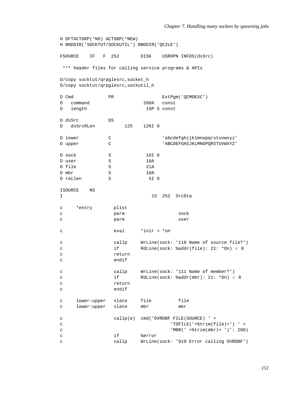```
H DFTACTGRP(*NO) ACTGRP(*NEW)
H BNDDIR('SOCKTUT/SOCKUTIL') BNDDIR('QC2LE')
FSOURCE IF F 252 DISK USROPN INFDS(dsSrc)
*** header files for calling service programs & APIs
D/copy socktut/qrpglesrc,socket_h
D/copy socktut/qrpglesrc,sockutil_h
D Cmd PR ExtPgm('QCMDEXC')
D command 200A
D length 15P 5 const
D dsSrc DS
D dsSrcRLen 125 126I 0
D lower C C 'abcdefghijklmnopgrstuvwxyz'
D upper C C 'ABCDEFGHIJKLMNOPQRSTUVWXYZ'
D sock S 10I 0
D user S 10A
D file S 21A
D mbr S 10A
D reclen S 5I 0
ISOURCE NS
I 13 252 SrcDta
c *entry plist
c parm sock
c parm user
c \text{eval} \text{*inlr} = \text{*on}c callp WrLine(sock: '110 Name of source file?')
c if RdLine(sock: %addr(file): 21: *On) < 0
c return
c endif
c callp WrLine(sock: '111 Name of member?')
c if RdLine(sock: %addr(mbr): 21: *On) < 0
c return
c endif
c lower:upper xlate file file
c lower:upper xlate mbr mbr
c callp(e) cmd('OVRDBF FILE(SOURCE) ' +
c 'TOFILE('+%trim(file)+') ' +
c 'MBR(' +%trim(mbr)+ ')': 200)
c if \text{Serror}c callp WrLine(sock: '910 Error calling OVRDBF')
```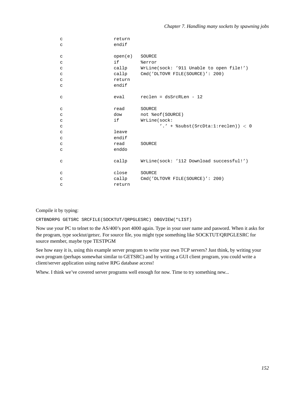| $\mathtt{C}$ | return  |                                                  |
|--------------|---------|--------------------------------------------------|
| $\mathtt{C}$ | endif   |                                                  |
| $\mathtt{C}$ | open(e) | SOURCE                                           |
| $\mathtt{C}$ |         | %error                                           |
| $\mathsf{C}$ |         | callp WrLine(sock: '911 Unable to open file!')   |
| $\mathtt{C}$ |         | callp Cmd('DLTOVR FILE(SOURCE)': 200)            |
| $\mathtt{C}$ | return  |                                                  |
| $\mathbf C$  | endif   |                                                  |
|              |         |                                                  |
| $\mathsf C$  | eval    | $reclen = dsSrcRLen - 12$                        |
| $\mathbf{C}$ | read    | SOURCE                                           |
| $\mathtt{C}$ | dow     | not %eof(SOURCE)                                 |
| $\mathtt{C}$ | if      | WrLine(sock:                                     |
| $\mathsf{C}$ |         | '.' + $\text{subst}(\text{SrcDta:1:reclen})$ < 0 |
| $\mathbf{C}$ | leave   |                                                  |
| $\mathtt{C}$ | endif   |                                                  |
| $\mathtt{C}$ | read    | SOURCE                                           |
| $\mathtt{C}$ | enddo   |                                                  |
|              |         |                                                  |
| $\mathtt{C}$ |         | callp WrLine(sock: '112 Download successful!')   |
| $\mathsf C$  | close   | SOURCE                                           |
| $\mathtt{C}$ | callp   | Cmd('DLTOVR FILE(SOURCE)': 200)                  |
| C            | return  |                                                  |
|              |         |                                                  |

Compile it by typing:

CRTBNDRPG GETSRC SRCFILE(SOCKTUT/QRPGLESRC) DBGVIEW(\*LIST)

Now use your PC to telnet to the AS/400's port 4000 again. Type in your user name and pasword. When it asks for the program, type socktut/getsrc. For source file, you might type something like SOCKTUT/QRPGLESRC for source member, maybe type TESTPGM

See how easy it is, using this example server program to write your own TCP servers? Just think, by writing your own program (perhaps somewhat similar to GETSRC) and by writing a GUI client program, you could write a client/server application using native RPG database access!

Whew. I think we've covered server programs well enough for now. Time to try something new...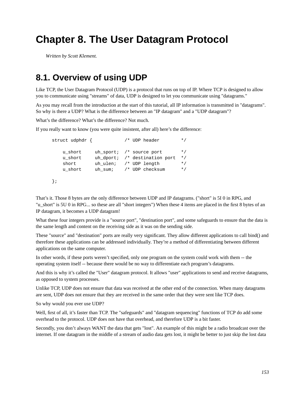# **Chapter 8. The User Datagram Protocol**

*Written by Scott Klement.*

### **8.1. Overview of using UDP**

Like TCP, the User Datagram Protocol (UDP) is a protocol that runs on top of IP. Where TCP is designed to allow you to communicate using "streams" of data, UDP is designed to let you communicate using "datagrams."

As you may recall from the introduction at the start of this tutorial, all IP information is transmitted in "datagrams". So why is there a UDP? What is the difference between an "IP datagram" and a "UDP datagram"?

What's the difference? What's the difference? Not much.

If you really want to know (you were quite insistent, after all) here's the difference:

```
struct udphdr { / /* UDP header */
  u short uh sport; /* source port */
  u_short uh_dport; /* destination port */
  short uh_ulen; /* UDP length */
  u_short uh_sum; /* UDP checksum */
```
};

That's it. Those 8 bytes are the only difference between UDP and IP datagrams. ("short" is 5I 0 in RPG, and "u\_short" is 5U 0 in RPG... so these are all "short integers") When these 4 items are placed in the first 8 bytes of an IP datagram, it becomes a UDP datagram!

What these four integers provide is a "source port", "destination port", and some safeguards to ensure that the data is the same length and content on the receiving side as it was on the sending side.

These "source" and "destination" ports are really very significant. They allow different applications to call bind() and therefore these applications can be addressed individually. They're a method of differentiating between different applications on the same computer.

In other words, if these ports weren't specified, only one program on the system could work with them -- the operating system itself -- because there would be no way to differentiate each program's datagrams.

And this is why it's called the "User" datagram protocol. It allows "user" applications to send and receive datagrams, as opposed to system processes.

Unlike TCP, UDP does not ensure that data was received at the other end of the connection. When many datagrams are sent, UDP does not ensure that they are received in the same order that they were sent like TCP does.

So why would you ever use UDP?

Well, first of all, it's faster than TCP. The "safeguards" and "datagram sequencing" functions of TCP do add some overhead to the protocol. UDP does not have that overhead, and therefore UDP is a bit faster.

Secondly, you don't always WANT the data that gets "lost". An example of this might be a radio broadcast over the internet. If one datagram in the middle of a stream of audio data gets lost, it might be better to just skip the lost data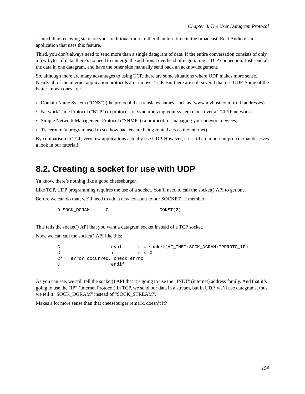-- much like receiving static on your traditional radio, rather than lose time in the broadcast. Real Audio is an application that uses this feature.

Third, you don't always need to send more than a single datagram of data. If the entire conversation consists of only a few bytes of data, there's no need to undergo the additional overhead of negotiating a TCP connection. Just send all the data in one datagram, and have the other side manually send back an acknowledgement.

So, although there are many advantages to using TCP, there are some situations where UDP makes more sense. Nearly all of the internet application protocols are run over TCP. But there are still several that use UDP. Some of the better known ones are:

- Domain Name System ("DNS") (the protocol that translates names, such as 'www.myhost.com' to IP addresses)
- Network Time Protocol ("NTP") (a protocol for synchronizing your system clock over a TCP/IP network)
- Simple Network Management Protocol ("SNMP") (a protocol for managing your network devices)
- Traceroute (a program used to see how packets are being routed across the internet)

By comparison to TCP, very few applications actually use UDP. However, it is still an important protcol that deserves a look in our tutorial!

#### **8.2. Creating a socket for use with UDP**

Ya know, there's nothing like a good cheeseburger.

Like TCP, UDP programming requires the use of a socket. You'll need to call the socket() API to get one.

Before we can do that, we'll need to add a new constant to our SOCKET. H member:

D SOCK\_DGRAM C CONST(2)

This tells the socket() API that you want a datagram socket instead of a TCP socket.

Now, we can call the socket() API like this:

```
C eval s = socket(AF_INET:SOCK_DGRAM:IPPROTO_IP)
C if s < 0C** error occurred, check errno
C endif
```
As you can see, we still tell the socket() API that it's going to use the "INET" (internet) address family. And that it's going to use the "IP" (Internet Protocol) In TCP, we send our data in a stream, but in UDP, we'll use datagrams, thus we tell it "SOCK\_DGRAM" instead of "SOCK\_STREAM".

Makes a lot more sense than that cheeseburger remark, doesn't it?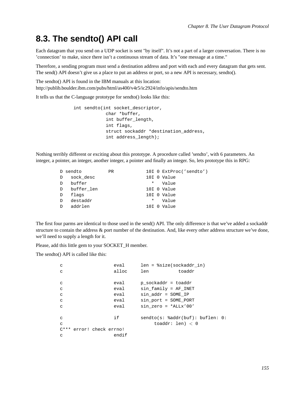#### **8.3. The sendto() API call**

Each datagram that you send on a UDP socket is sent "by itself". It's not a part of a larger conversation. There is no 'connection' to make, since there isn't a continuous stream of data. It's "one message at a time."

Therefore, a sending program must send a destination address and port with each and every datagram that gets sent. The send() API doesn't give us a place to put an address or port, so a new API is necessary, sendto().

The sendto() API is found in the IBM manuals at this location: http://publib.boulder.ibm.com/pubs/html/as400/v4r5/ic2924/info/apis/sendto.htm

It tells us that the C-language prototype for sendto() looks like this:

```
int sendto(int socket descriptor,
            char *buffer,
            int buffer_length,
            int flags,
            struct sockaddr *destination_address,
            int address_length);
```
Nothing terribly different or exciting about this prototype. A procedure called 'sendto', with 6 parameters. An integer, a pointer, an integer, another integer, a pointer and finally an integer. So, lets prototype this in RPG:

|    | D sendto   | <b>PR</b> |          | 10I 0 ExtProc('sendto') |
|----|------------|-----------|----------|-------------------------|
| D  | sock desc  |           |          | 10I O Value             |
| D. | buffer     |           | $^\star$ | Value                   |
| D  | buffer len |           |          | 10I O Value             |
| D  | flags      |           |          | 10I O Value             |
| D. | destaddr   |           | *        | Value                   |
| D  | addrlen    |           |          | 10I O Value             |

The first four parms are identical to those used in the send() API. The only difference is that we've added a sockaddr structure to contain the address & port number of the destination. And, like every other address structure we've done, we'll need to supply a length for it.

Please, add this little gem to your SOCKET\_H member.

The sendto() API is called like this:

| C                        | eval  | $len = $size(sockaddr in)$        |
|--------------------------|-------|-----------------------------------|
| C                        | alloc | len<br>toaddr                     |
|                          |       |                                   |
| C                        | eval  | p sockaddr = toaddr               |
| $\mathbf C$              | eval  | $sin$ family = AF INET            |
| $\mathbf C$              | eval  | $sin addr = SOME IP$              |
| $\mathbf C$              | eval  | $sin$ port = SOME PORT            |
| $\mathsf{C}$             | eval  | $\sin$ zero = *ALLx'00'           |
|                          |       |                                   |
| C                        | if    | $sendto(s: addr(buf): buffer: 0:$ |
| $\mathsf{C}$             |       | toaddr: len) $< 0$                |
| C*** error! check errno! |       |                                   |
| C                        | endif |                                   |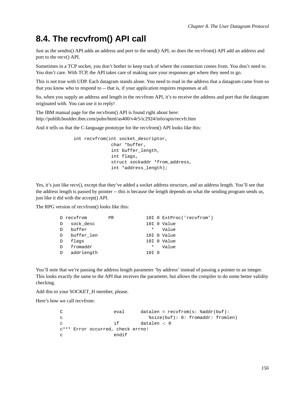#### **8.4. The recvfrom() API call**

Just as the sendto() API adds an address and port to the send() API, so does the recvfrom() API add an address and port to the recv() API.

Sometimes in a TCP socket, you don't bother to keep track of where the connection comes from. You don't need to. You don't care. With TCP, the API takes care of making sure your responses get where they need to go.

This is not true with UDP. Each datagram stands alone. You need to read in the address that a datagram came from so that you know who to respond to -- that is, if your application requires responses at all.

So, when you supply an address and length in the recvfrom API, it's to receive the address and port that the datagram originated with. You can use it to reply!

The IBM manual page for the recvfrom() API is found right about here: http://publib.boulder.ibm.com/pubs/html/as400/v4r5/ic2924/info/apis/recvfr.htm

And it tells us that the C-language prototype for the recvfrom() API looks like this:

int recvfrom(int socket\_descriptor, char \*buffer, int buffer\_length, int flags, struct sockaddr \*from\_address, int \*address\_length);

Yes, it's just like recv(), except that they've added a socket address structure, and an address length. You'll see that the address length is passed by pointer -- this is because the length depends on what the sending program sends us, just like it did with the accept() API.

The RPG version of recvfrom() looks like this:

|               | D recyfrom   | <b>PR</b> |          | 10I 0 ExtProc('recvfrom') |
|---------------|--------------|-----------|----------|---------------------------|
| D             | sock desc    |           |          | 10I O Value               |
| $\mathcal{D}$ | buffer       |           | $\ast$   | Value                     |
|               | D buffer len |           |          | 10I 0 Value               |
| D             | flags        |           |          | 10I O Value               |
| D             | fromaddr     |           | $^\star$ | Value                     |
|               | D addrlength |           | 10I 0    |                           |
|               |              |           |          |                           |

You'll note that we're passing the address length parameter 'by address' instead of passing a pointer to an integer. This looks exactly the same to the API that receives the parameter, but allows the compiler to do some better validity checking.

Add this to your SOCKET\_H member, please.

Here's how we call recvfrom:

C eval datalen = recvfrom(s: %addr(buf): c %size(buf): 0: fromaddr: fromlen) c if datalen < 0 c\*\*\* Error occurred, check errno! c endif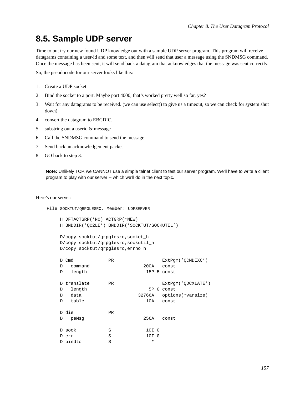#### **8.5. Sample UDP server**

Time to put try our new found UDP knowledge out with a sample UDP server program. This program will receive datagrams containing a user-id and some text, and then will send that user a message using the SNDMSG command. Once the message has been sent, it will send back a datagram that acknowledges that the message was sent correctly.

So, the pseudocode for our server looks like this:

- 1. Create a UDP socket
- 2. Bind the socket to a port. Maybe port 4000, that's worked pretty well so far, yes?
- 3. Wait for any datagrams to be received. (we can use select() to give us a timeout, so we can check for system shut down)
- 4. convert the datagram to EBCDIC.
- 5. substring out a userid & message
- 6. Call the SNDMSG command to send the message
- 7. Send back an acknowledgement packet
- 8. GO back to step 3.

**Note:** Unlikely TCP, we CANNOT use a simple telnet client to test our server program. We'll have to write a client program to play with our server -- which we'll do in the next topic.

Here's our server:

```
File SOCKTUT/QRPGLESRC, Member: UDPSERVER
```

```
H DFTACTGRP(*NO) ACTGRP(*NEW)
H BNDDIR('QC2LE') BNDDIR('SOCKTUT/SOCKUTIL')
```

```
D/copy socktut/qrpglesrc,socket_h
D/copy socktut/qrpglesrc,sockutil_h
D/copy socktut/qrpglesrc,errno_h
```

|   | D Cmd       | <b>PR</b> |        | ExtPqm('OCMDEXC')  |
|---|-------------|-----------|--------|--------------------|
| D | command     |           | 200A   | const              |
| D | length      |           |        | 15P 5 const        |
|   | D translate | <b>PR</b> |        | ExtPqm('QDCXLATE') |
| D | length      |           |        | 5P 0 const         |
| D | data        |           | 32766A | options(*varsize)  |
| D | table       |           | 10A    | const              |
|   | D die       | PR.       |        |                    |
| D | peMsq       |           | 256A   | const              |
|   | D sock      | S         | 10I 0  |                    |
|   | D err       | S         | 10I 0  |                    |
|   | D bindto    | S         | $\ast$ |                    |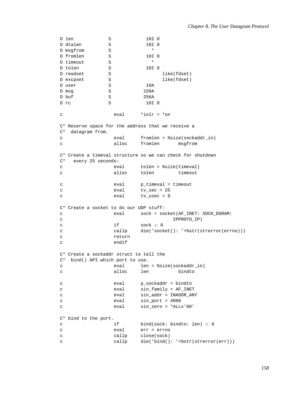```
D len S 10I 0
D dtalen S 10I 0<br>D msqfrom S *
D msgfrom
D from len S 10I 0<br>D timeout S *
D timeout S * *<br>D tolen S * 1010
D tolen S
D readset S and like(fdset)
D excpset S S S like(fdset)
D user S 10A
D msg S 3 150A
D buf S 256A
D rc S 10I 0
c \qquad \qquad \text{eval} \qquad \text{*inlr} = \text{*on}C* Reserve space for the address that we receive a
C* datagram from.
c eval fromlen = %size(sockaddr_in)
c alloc fromlen msgfrom
C* Create a timeval structure so we can check for shutdown
C* every 25 seconds:
c eval tolen = %size(timeval)
c alloc tolen timeout
c eval p_timeval = timeout
c eval tv_sec = 25
c eval tv_usec = 0
C* Create a socket to do our UDP stuff:
c eval sock = socket(AF_INET: SOCK_DGRAM:
c IPPROTO_IP)
c if sock < 0c callp die('socket(): '+%str(strerror(errno)))
c return
c endif
C* Create a sockaddr struct to tell the
C^* bind() API which port to use.<br>c eval len
c eval len = %size(sockaddr_in)
c alloc len bindto
c eval p_sockaddr = bindto
c eval sin_family = AF_INET
c eval sin_addr = INADDR_ANY
c eval sin_port = 4000
c eval sin_zero = *ALLx'00'
C* bind to the port.
c if bind(sock: bindto: len) < 0
c eval err = errno
c callp close(sock)
c callp die('bind(): '+%str(strerror(err)))
```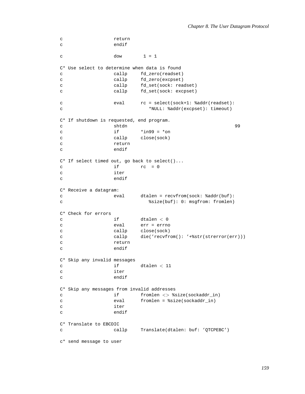```
c return
c endif
c dow \t1 = 1C* Use select to determine when data is found
c callp fd zero(readset)
c callp fd_zero(excpset)
c callp fd_set(sock: readset)
c callp fd_set(sock: excpset)
c eval rc = select(sock+1: %addr(readset):
c *NULL: %addr(excpset): timeout)
C* If shutdown is requested, end program.
c shtdn shtdn 99 shtda ethiopidae ethiopidae ethiopidae ethiopidae ethiopidae ethiopidae ethiopidae ethiopidae ethiopidae ethiopidae ethiopidae ethiopidae ethiopidae ethiopidae ethiopidae ethiopidae ethiopidae ethiopidae e
c if *ing9 = *onc callp close(sock)
c return
c endif
C* If select timed out, go back to select()...
c if rc = 0
c iter
c endif
C* Receive a datagram:
c eval dtalen = recvfrom(sock: %addr(buf):
c %size(buf): 0: msgfrom: fromlen)
C* Check for errors
c if dtalen < 0c eval err = errno
c callp close(sock)
c callp die('recvfrom(): '+%str(strerror(err)))
c return
c endif
C* Skip any invalid messages
c if dtalen < 11
c iter
c endif
C* Skip any messages from invalid addresses
c if fromlen <> %size(sockaddr_in)
c eval fromlen = %size(sockaddr_in)
c iter
c endif
C* Translate to EBCDIC
c callp Translate(dtalen: buf: 'QTCPEBC')
c* send message to user
```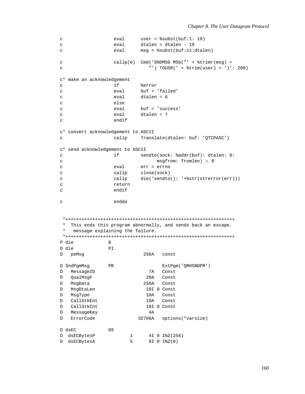```
user = soubst(buf:1: 10)\mathtt{C}eval
\mathbf{C}eval
                               dtalen = dtalen - 10msg = %subst(buf:11:dtalen)
                     eval
\mathbf{C}callp(e) Cmd('SNDMSG MSG("' + %trimr(msq) +
\mathbf{C}"') TOUSR(' + \frac{1}{200}) + ')': 200)
\mathbf{C}c* make an acknowledgement
                     if
                               %error
\mathbf{C}buf = 'failed'eval
\mathtt{C}\mathbf{C}eval
                              dtalen = 6else
\mathbf{C}but = 'success'\mathbf Ceval
\overline{c}eval
                              dtalen = 7
                     endif
\mathcal{C}c* convert acknowledgement to ASCII
\mathtt{C}callp Translate(dtalen: buf: 'OTCPASC')
c* send acknowledgement to ASCII
                     if
                               sendto(sock: %addr(buf): dtalen: 0:
\mathtt{C}msgfrom: fromlen) < 0\mathtt{C}err = errno\mathtt{C}eval
                              close(sock)
                    callp
\mathcal{C}\mathbf{C}callp
                              die('sendto(): '+%str(strerror(err)))
                    return
\mathsf{C}endif
\mathbf{C}enddo
\mathbf{C}* This ends this program abnormally, and sends back an escape.
 \starmessage explaining the failure.
 P die
                  \mathbf{R}D die
                  PID peMsg
                                256A const
D SndPgmMsg
                  PR
                                       ExtPgm('QMHSNDPM')
D MessageID
                                  7A Const
                                 20ADOualMsqF
                                       Const
D MsgData
                                256A
                                       Const
DMsgDtaLen
                                 10I 0 Const
                                 10AConst
DMsgType
\mathbb DCallStkEnt
                                 10AConst
\GammaCallStkCnt
                                 10I 0 Const
   MessageKey
\mathbb{D}4A32766A options(*varsize)
\mathbb{D}ErrorCode
D dsEC
                  DS
                                  4I 0 INZ (256)
D dsECBytesP
                           \mathbf{1}D dsECBytesA
                           5<sup>5</sup>8I 0 INZ(0)
```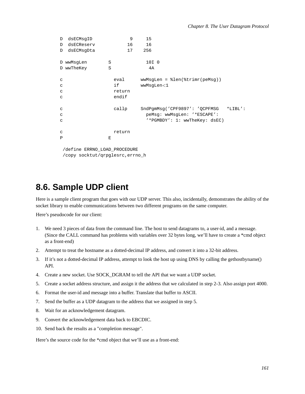```
D dsECMsqID 9 15
D dsECReserv 16 16
D dsECMsgDta 17 256
D wwMsqLen S 10I 0
D wwTheKey S 4A
c eval wwMsgLen = %len(%trimr(peMsg))
c if wwMsgLen<1
c return
c endif
c callp SndPgmMsg('CPF9897': 'QCPFMSG *LIBL':
c peMsg: wwMsgLen: '*ESCAPE':
c '*PGMBDY': 1: wwTheKey: dsEC)
c return
P E
```
/define ERRNO\_LOAD\_PROCEDURE /copy socktut/qrpglesrc,errno\_h

## **8.6. Sample UDP client**

Here is a sample client program that goes with our UDP server. This also, incidentally, demonstrates the ability of the socket library to enable communications between two different programs on the same computer.

Here's pseudocode for our client:

- 1. We need 3 pieces of data from the command line. The host to send datagrams to, a user-id, and a message. (Since the CALL command has problems with variables over 32 bytes long, we'll have to create a \*cmd object as a front-end)
- 2. Attempt to treat the hostname as a dotted-decimal IP address, and convert it into a 32-bit address.
- 3. If it's not a dotted-decimal IP address, attempt to look the host up using DNS by calling the gethostbyname() API.
- 4. Create a new socket. Use SOCK\_DGRAM to tell the API that we want a UDP socket.
- 5. Create a socket address structure, and assign it the address that we calculated in step 2-3. Also assign port 4000.
- 6. Format the user-id and message into a buffer. Translate that buffer to ASCII.
- 7. Send the buffer as a UDP datagram to the address that we assigned in step 5.
- 8. Wait for an acknowledgement datagram.
- 9. Convert the acknowledgement data back to EBCDIC.
- 10. Send back the results as a "completion message".

Here's the source code for the \*cmd object that we'll use as a front-end: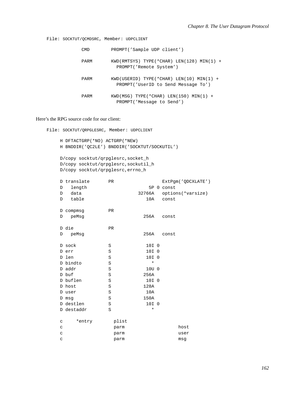```
File: SOCKTUT/QCMDSRC, Member: UDPCLIENT
             CMD
                        PROMPT('Sample UDP client')
             PARM
                        KWD(RMTSYS) TYPE(*CHAR) LEN(128) MIN(1) +
                          PROMPT('Remote System')
                        KWD(USERID) TYPE(*CHAR) LENGTH(10) MIN(1) +PARM
                          PROMPT('UserID to Send Message To')
                        KWD(MSG) TYPE(*CHAR) LEN(150) MIN(1) +
             PARM
                          PROMPT('Message to Send')
```
#### Here's the RPG source code for our client:

File: SOCKTUT/QRPGLESRC, Member: UDPCLIENT

```
H DFTACTGRP(*NO) ACTGRP(*NEW)
H BNDDIR('QC2LE') BNDDIR('SOCKTUT/SOCKUTIL')
D/copy socktut/qrpglesrc, socket_h
D/copy socktut/grpglesrc, sockutil_h
D/copy socktut/qrpglesrc, errno_h
D translate
                  PR
                                      ExtPgm('QDCXLATE')
D length
                                 5P 0 const
D data
                            32766A options(*varsize)
D table
                                10A const
D compmsg
                  PR
D peMsg
                               256A
                                      const
D die
                  PR
                               256A
                                      const
D peMsq
D sock
                  S10I<sub>0</sub>D err
                 S10I 0
                                10I 0
D len
                  SD bindto
                 S\starD addr
                 S10U 0
D buf
                 S256A
D buflen
                S10I 0
D host
                 S128A
                SD user
                               10A150A
D msq
                 SD destlen
                 \mathbf S10I<sub>0</sub>D destaddr
                 S\star\mathtt{C}*entry
                   plist
\mathtt{C}parm
                                            host
                                            user
\mathtt{C}parm
\mathbf{C}parm
                                            msq
```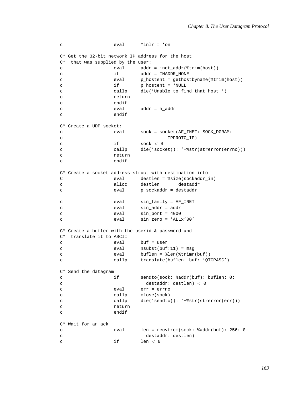```
\mathbf{C}eval
                                     *inlr = *onC* Get the 32-bit network IP address for the host
C* that was supplied by the user:
                         evaladdr = \text{inet\_addr}(\text{trim}(\text{host}))\mathsf{C}addr = IMADDR NONEif
\Gammap_hostent = gethostbyname(%trim(host))
\rm{c}eval
                        if
                                     p_hostent = *NULL
\mathsf{C}callp
                                     die('Unable to find that host!')
\mathtt{C}\mathbf{C}return
                        endif
\mathbf{C}eval
                                     addr = h\_addr\mathbf Cendif
\mathbf{C}C* Create a UDP socket:
\mathtt{C}eval
                                   sock = socket(AF_INET: SOCK_DGRAM:
\mathtt{C}IPPROTO IP)
\rm{c}if
                                     sock < 0\mathbf{C}callp
                                     die('socket(): '+%str(strerror(errno)))
                         return
\mathcal{C}endif
\mathbf{C}C* Create a socket address struct with destination info
\mathsf Ceval
                                    destlen = ssize(sockaddr in)alloc
                                   destlen
                                                      destaddr
\mathtt{C}p_sockaddr = destaddr
\mathbf{C}eval
                                     sin family = AF INET
\mathbf Ceval
                                     sin\_addr = addreval
\mathcal{C}sin\_port = 4000eval
\mathcal{L}eval
                                     sin\_zero = *ALLx'00'\mathtt{C}C* Create a buffer with the userid & password and
C* translate it to ASCII
\mathbf{C}eval
                                    buf = user\mathsf{C}eval
                                    ssubst(buf:11) = msq
                         eval
                                    buffer = %len(%trimr(buf))\mathbf{C}callp
                                    translate(buflen: buf: 'QTCPASC')
\mathtt{C}C* Send the datagram
                                     sendto(sock: %addr(buf): buflen: 0:
                         if
\Gamma\rm{c}destaddr: destlen) < 0err = errno\mathbf Ceval
\mathtt{C}callp
                                     close(sock)
\mathtt{C}callp
                                     die('sendto(): '+%str(strerror(err)))return
\mathbf{C}\mathtt{C}endif
C* Wait for an ack
                                     len = recvfrom(sock: \text{addr}(buf): 256: 0:\mathbf{C}eval
                                       destaddr: destlen)
\mathtt{C}if
                                     len < 6\mathbf{C}
```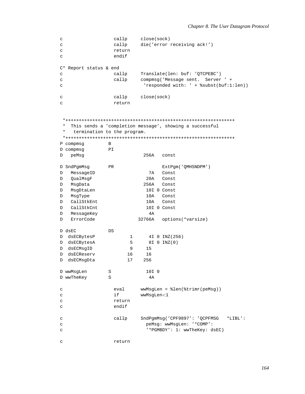```
c callp close(sock)
c callp die('error receiving ack!')
c return
c endif
C* Report status & end
c callp Translate(len: buf: 'QTCPEBC')
c callp compmsg('Message sent. Server ' +
c 'responded with: ' + %subst(buf:1:len))
c callp close(sock)
c return
*+++++++++++++++++++++++++++++++++++++++++++++++++++++++++++++++
* This sends a 'completion message', showing a successful
* termination to the program.
*+++++++++++++++++++++++++++++++++++++++++++++++++++++++++++++++
P compmsg B
D compmsg PI
D peMsg 256A const
D SndPgmMsg PR ExtPgm('QMHSNDPM')
D MessageID 7A Const
D QualMsgF 20A Const
D MsgData 256A Const
D MsgDtaLen 10I 0 Const
D MsgType 10A Const
D CallStkEnt 10A Const
D CallStkCnt 10I 0 Const
D MessageKey 4A
D ErrorCode 32766A options(*varsize)
D dsEC DS
D dsECBytesP 1 4I 0 INZ(256)
D dsECBytesA 5 8I 0 INZ(0)
D dsECMsqID 9 15
D dsECReserv 16 16
D dsECMsqDta 17 256
D wwMsqLen S 3 10I 0
D wwTheKey S 4A
c eval wwMsgLen = %len(%trimr(peMsg))
c if wwMsgLen<1
c return
c endif
c callp SndPgmMsg('CPF9897': 'QCPFMSG *LIBL':
c peMsg: wwMsgLen: '*COMP':
c '*PGMBDY': 1: wwTheKey: dsEC)
c return
```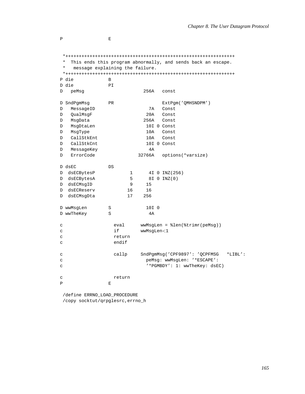```
* This ends this program abnormally, and sends back an escape.
 \starmessage explaining the failure.
 P die
                \mathbf{B}D die
                PI\mathbb DpeMsg
                            256A
                                 const
D SndPgmMsg
                                   ExtPgm('QMHSNDPM')
                PRD MessageID
                              7A Const
DOualMsqF
                             20AConst
D MsgData
                            256A
                                   Const
DMsgDtaLen
                             10I 0 Const
                             10AConst
D MsqType
D CallStkEnt
                            10AConst
D CallStkCnt
                             10I 0 Const
D MessageKey
                              4AD ErrorCode
                          32766A options(*varsize)
D dsEC
               DS
D dsECBytesP
                       \mathbf{1}4I 0 INZ (256)
D dsECBytesA
                       5
                             8I 0 INZ(0)
D dsECMsgID
                       915
D dsECReserv
                      16
                            16
D dsECMsgDta
                      17
                          256
                            10I<sub>0</sub>D wwMsqLen
                SD wwTheKey
                S4Aeval
                           wwMsgLen = %len(%trimr(peMsg))
\mathbf{C}\mathbf Ci fwwMsgLen<1
                  return
\mathsf{C}endif
\mathbf C\mathbf{C}callp
                           SndPgmMsg('CPF9897': 'QCPFMSG *LIBL':
                             peMsq: wwMsqLen: '*ESCAPE':
\rm{c}'*PGMBDY': 1: wwTheKey: dsEC)
\mathbf{C}\mathbf{C}return
\overline{\mathbf{P}}\mathbf{E}
```
/define ERRNO\_LOAD\_PROCEDURE /copy socktut/qrpglesrc, errno\_h

 $\, {\bf p}$ 

 $\mathbf E$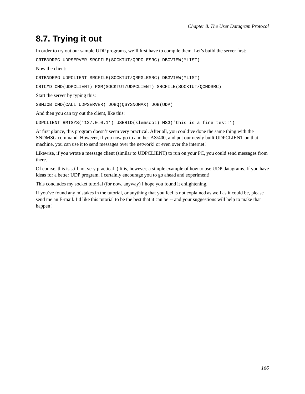### **8.7. Trying it out**

In order to try out our sample UDP programs, we'll first have to compile them. Let's build the server first:

CRTBNDRPG UDPSERVER SRCFILE(SOCKTUT/QRPGLESRC) DBGVIEW(\*LIST)

Now the client:

CRTBNDRPG UDPCLIENT SRCFILE(SOCKTUT/QRPGLESRC) DBGVIEW(\*LIST)

CRTCMD CMD(UDPCLIENT) PGM(SOCKTUT/UDPCLIENT) SRCFILE(SOCKTUT/QCMDSRC)

Start the server by typing this:

SBMJOB CMD(CALL UDPSERVER) JOBQ(QSYSNOMAX) JOB(UDP)

And then you can try out the client, like this:

UDPCLIENT RMTSYS('127.0.0.1') USERID(klemscot) MSG('this is a fine test!')

At first glance, this program doesn't seem very practical. After all, you could've done the same thing with the SNDMSG command. However, if you now go to another AS/400, and put our newly built UDPCLIENT on that machine, you can use it to send messages over the network! or even over the internet!

Likewise, if you wrote a message client (similar to UDPCLIENT) to run on your PC, you could send messages from there.

Of course, this is still not very practical :) It is, however, a simple example of how to use UDP datagrams. If you have ideas for a better UDP program, I certainly encourage you to go ahead and experiment!

This concludes my socket tutorial (for now, anyway) I hope you found it enlightening.

If you've found any mistakes in the tutorial, or anything that you feel is not explained as well as it could be, please send me an E-mail. I'd like this tutorial to be the best that it can be -- and your suggestions will help to make that happen!